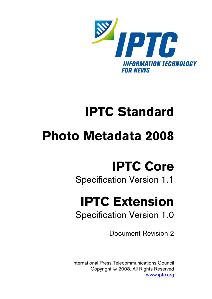

# **IPTC Standard**

# **Photo Metadata 2008**

# **IPTC Core**

# Specification Version 1.1

# **IPTC Extension**

Specification Version 1.0

Document Revision 2

International Press Telecommunications Council Copyright © 2008. All Rights Reserved [www.iptc.org](http://www.iptc.org/)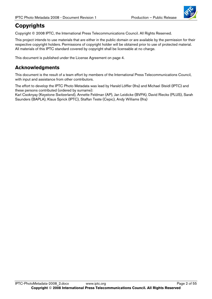

# **Copyrights**

Copyright © 2008 IPTC, the International Press Telecommunications Council. All Rights Reserved.

This project intends to use materials that are either in the public domain or are available by the permission for their respective copyright holders. Permissions of copyright holder will be obtained prior to use of protected material. All materials of this IPTC standard covered by copyright shall be licensable at no charge.

This document is published under the License Agreement on page 4.

#### **Acknowledgments**

This document is the result of a team effort by members of the International Press Telecommunications Council, with input and assistance from other contributors.

The effort to develop the IPTC Photo Metadata was lead by Harald Löffler (Ifra) and Michael Steidl (IPTC) and these persons contributed (ordered by surname):

Karl Csoknyay (Keystone Switzerland), Annette Feldman (AP), Jan Leidicke (BVPA), David Riecks (PLUS), Sarah Saunders (BAPLA), Klaus Sprick (IPTC), Staffan Teste (Cepic), Andy Williams (Ifra)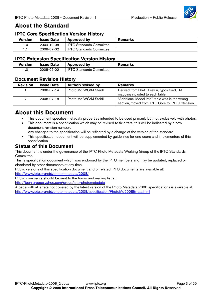

#### **About the Standard**

#### **IPTC Core Specification Version History**

| <b>Version</b> | <b>Issue Date</b> | <b>Approved by</b>              | <b>Remarks</b> |
|----------------|-------------------|---------------------------------|----------------|
| 1.0            | 2004-10-08        | <b>IPTC Standards Committee</b> |                |
|                | 2008-07-02        | I IPTC Standards Committee      |                |

#### **IPTC Extension Specification Version History**

| <b>Version</b> | <b>Issue Date</b> | <b>Approved by</b>                    | Remarks |
|----------------|-------------------|---------------------------------------|---------|
| . 0.           | 2008-07-02        | <b>IPTC</b><br>Committee<br>Standards |         |

#### **Document Revision History**

| <b>Revision</b> | <b>Issue Date</b> | <b>Author/revised by</b> | <b>Remarks</b>                                                                                    |
|-----------------|-------------------|--------------------------|---------------------------------------------------------------------------------------------------|
|                 | 2008-07-14        | Photo Md WG/M Steidl     | Derived from DRAFT rev 4, typos fixed, IIM<br>mapping included to each table.                     |
|                 | 2008-07-18        | Photo Md WG/M Steidl     | "Additional Model Info" table was in the wrong<br>section, moved from IPTC Core to IPTC Extension |

#### **About this Document**

- This document specifies metadata properties intended to be used primarily but not exclusively with photos.
- This document is a specification which may be revised to fix errata, this will be indicated by a new document revision number.

Any changes to the specification will be reflected by a change of the version of the standard.

This specification document will be supplemented by guidelines for end users and implementers of this specification.

#### **Status of this Document**

This document is under the governance of the IPTC Photo Metadata Working Group of the IPTC Standards Committee.

This is specification document which was endorsed by the IPTC members and may be updated, replaced or obsoleted by other documents at any time.

Public versions of this specification document and of related IPTC documents are available at: <http://www.iptc.org/std/photometadata/2008/>

Public comments should be sent to the forum and mailing list at:

<http://tech.groups.yahoo.com/group/iptc-photometadata>

A page with all errata not covered by the latest version of the Photo Metadata 2008 specifications is available at: <http://www.iptc.org/std/photometadata/2008/specification/PhotoMd2008Errata.html>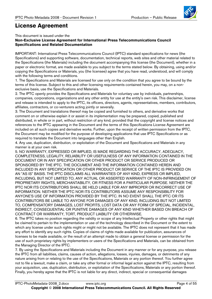

### **License Agreement**

This document is issued under the

#### **Non-Exclusive License Agreement for International Press Telecommunications Council Specifications and Related Documentation**

IMPORTANT: International Press Telecommunications Council (IPTC) standard specifications for news (the Specifications) and supporting software, documentation, technical reports, web sites and other material related to the Specifications (the Materials) including the document accompanying this license (the Document), whether in a paper or electronic format, are made available to you subject to the terms stated below. By obtaining, using and/or copying the Specifications or Materials, you (the licensee) agree that you have read, understood, and will comply with the following terms and conditions.

1. The Specifications and Materials are licensed for use only on the condition that you agree to be bound by the terms of this license. Subject to this and other licensing requirements contained herein, you may, on a nonexclusive basis, use the Specifications and Materials.

2. The IPTC openly provides the Specifications and Materials for voluntary use by individuals, partnerships, companies, corporations, organizations and any other entity for use at the entity's own risk. This disclaimer, license and release is intended to apply to the IPTC, its officers, directors, agents, representatives, members, contributors, affiliates, contractors, or co-venturers acting jointly or severally.

3. The Document and translations thereof may be copied and furnished to others, and derivative works that comment on or otherwise explain it or assist in its implementation may be prepared, copied, published and distributed, in whole or in part, without restriction of any kind, provided that the copyright and license notices and references to the IPTC appearing in the Document and the terms of this Specifications License Agreement are included on all such copies and derivative works. Further, upon the receipt of written permission from the IPTC, the Document may be modified for the purpose of developing applications that use IPTC Specifications or as required to translate the Document into languages other than English.

4. Any use, duplication, distribution, or exploitation of the Document and Specifications and Materials in any manner is at your own risk.

5. NO WARRANTY, EXPRESSED OR IMPLIED, IS MADE REGARDING THE ACCURACY, ADEQUACY, COMPLETENESS, LEGALITY, RELIABILITY OR USEFULNESS OF ANY INFORMATION CONTAINED IN THE DOCUMENT OR IN ANY SPECIFICATION OR OTHER PRODUCT OR SERVICE PRODUCED OR SPONSORED BY THE IPTC. THE DOCUMENT AND THE INFORMATION CONTAINED HEREIN AND INCLUDED IN ANY SPECIFICATION OR OTHER PRODUCT OR SERVICE OF THE IPTC IS PROVIDED ON AN "AS IS" BASIS. THE IPTC DISCLAIMS ALL WARRANTIES OF ANY KIND, EXPRESS OR IMPLIED, INCLUDING, BUT NOT LIMITED TO, ANY ACTUAL OR ASSERTED WARRANTY OF NON-INFRINGEMENT OF PROPRIETARY RIGHTS, MERCHANTABILITY, OR FITNESS FOR A PARTICULAR PURPOSE. NEITHER THE IPTC NOR ITS CONTRIBUTORS SHALL BE HELD LIABLE FOR ANY IMPROPER OR INCORRECT USE OF INFORMATION. NEITHER THE IPTC NOR ITS CONTRIBUTORS ASSUME ANY RESPONSIBILITY FOR ANYONE'S USE OF INFORMATION PROVIDED BY THE IPTC. IN NO EVENT SHALL THE IPTC OR ITS CONTRIBUTORS BE LIABLE TO ANYONE FOR DAMAGES OF ANY KIND, INCLUDING BUT NOT LIMITED TO, COMPENSATORY DAMAGES, LOST PROFITS, LOST DATA OR ANY FORM OF SPECIAL, INCIDENTAL, INDIRECT, CONSEQUENTIAL OR PUNITIVE DAMAGES OF ANY KIND WHETHER BASED ON BREACH OF CONTRACT OR WARRANTY, TORT, PRODUCT LIABILITY OR OTHERWISE.

6. The IPTC takes no position regarding the validity or scope of any Intellectual Property or other rights that might be claimed to pertain to the implementation or use of the technology described in the Document or the extent to which any license under such rights might or might not be available. The IPTC does not represent that it has made any effort to identify any such rights. Copies of claims of rights made available for publication, assurances of licenses to be made available, or the result of an attempt made to obtain a general license or permission for the use of such proprietary rights by implementers or users of the Specifications and Materials, can be obtained from the Managing Director of the IPTC.

7. By using the Specifications and Materials including the Document in any manner or for any purpose, you release the IPTC from all liabilities, claims, causes of action, allegations, losses, injuries, damages, or detriments of any nature arising from or relating to the use of the Specifications, Materials or any portion thereof. You further agree not to file a lawsuit, make a claim, or take any other formal or informal legal action against the IPTC, resulting from your acquisition, use, duplication, distribution, or exploitation of the Specifications, Materials or any portion thereof. Finally, you hereby agree that the IPTC is not liable for any direct, indirect, special or consequential damages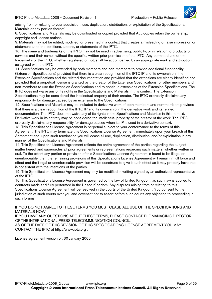

arising from or relating to your acquisition, use, duplication, distribution, or exploitation of the Specifications, Materials or any portion thereof.

8. Specifications and Materials may be downloaded or copied provided that ALL copies retain the ownership, copyright and license notices.

9. Materials may not be edited, modified, or presented in a context that creates a misleading or false impression or statement as to the positions, actions, or statements of the IPTC.

10. The name and trademarks of the IPTC may not be used in advertising, publicity, or in relation to products or services and their names without the specific, written prior permission of the IPTC. Any permitted use of the trademarks of the IPTC, whether registered or not, shall be accompanied by an appropriate mark and attribution, as agreed with the IPTC.

11. Specifications may be extended by both members and non-members to provide additional functionality (Extension Specifications) provided that there is a clear recognition of the IPTC IP and its ownership in the Extension Specifications and the related documentation and provided that the extensions are clearly identified and provided that a perpetual license is granted by the creator of the Extension Specifications for other members and non-members to use the Extension Specifications and to continue extensions of the Extension Specifications. The IPTC does not waive any of its rights in the Specifications and Materials in this context. The Extension Specifications may be considered the intellectual property of their creator. The IPTC expressly disclaims any responsibility for damage caused by an extension to the Specifications.

12. Specifications and Materials may be included in derivative work of both members and non-members provided that there is a clear recognition of the IPTC IP and its ownership in the derivative work and its related documentation. The IPTC does not waive any of its rights in the Specifications and Materials in this context. Derivative work in its entirety may be considered the intellectual property of the creator of the work .The IPTC expressly disclaims any responsibility for damage caused when its IP is used in a derivative context.

13. This Specifications License Agreement is perpetual subject to your conformance to the terms of this Agreement. The IPTC may terminate this Specifications License Agreement immediately upon your breach of this Agreement and, upon such termination you will cease all use, duplication, distribution, and/or exploitation in any manner of the Specifications and Materials.

14. This Specifications License Agreement reflects the entire agreement of the parties regarding the subject matter hereof and supersedes all prior agreements or representations regarding such matters, whether written or oral. To the extent any portion or provision of this Specifications License Agreement is found to be illegal or unenforceable, then the remaining provisions of this Specifications License Agreement will remain in full force and effect and the illegal or unenforceable provision will be construed to give it such effect as it may properly have that is consistent with the intentions of the parties.

15. This Specifications License Agreement may only be modified in writing signed by an authorized representative of the IPTC.

16. This Specifications License Agreement is governed by the law of United Kingdom, as such law is applied to contracts made and fully performed in the United Kingdom. Any disputes arising from or relating to this Specifications License Agreement will be resolved in the courts of the United Kingdom. You consent to the jurisdiction of such courts over you and covenant not to assert before such courts any objection to proceeding in such forums.

IF YOU DO NOT AGREE TO THESE TERMS YOU MUST CEASE ALL USE OF THE SPECIFICATIONS AND MATERIALS NOW.

IF YOU HAVE ANY QUESTIONS ABOUT THESE TERMS, PLEASE CONTACT THE MANAGING DIRECTOR OF THE INTERNATIONAL PRESS TELECOMMUNICATION COUNCIL. AS OF THE DATE OF THIS REVISION OF THIS SPECIFICATIONS LICENSE AGREEMENT YOU MAY CONTACT THE IPTC at http://www.iptc.org .

License agreement version of: 30 January 2006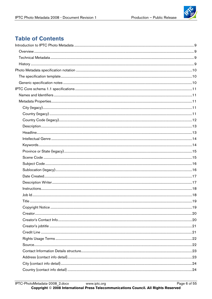

# **Table of Contents**

| Title |  |
|-------|--|
|       |  |
|       |  |
|       |  |
|       |  |
|       |  |
|       |  |
|       |  |
|       |  |
|       |  |
|       |  |
|       |  |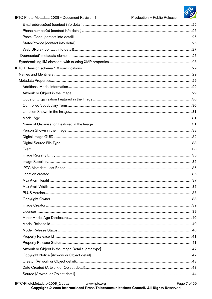

Page 7 of 55

| 37 |
|----|
|    |
|    |
|    |
|    |
|    |
|    |
|    |
|    |
|    |
|    |
|    |
|    |
|    |
|    |
|    |
|    |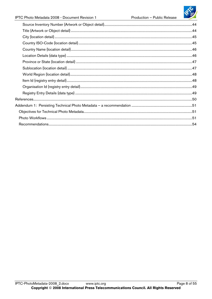Production - Public Release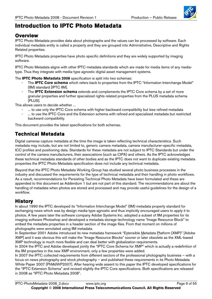

# <span id="page-8-0"></span>**Introduction to IPTC Photo Metadata**

#### **Overview**

IPTC Photo Metadata provides data about photographs and the values can be processed by software. Each individual metadata entity is called a property and they are grouped into Administrative, Descriptive and Rights Related properties.

IPTC Photo Metadata properties have photo specific definitions and they are widely supported by imaging software.

IPTC Photo Metadata aligns with other IPTC metadata standards which are made for media items of any mediatype. Thus they integrate with media-type agnostic digital asset management systems.

The **IPTC Photo Metadata 2008** specification is split into two schemas:

- The **IPTC Core schema** which refers back to properties from the IPTC "Information Interchange Model" (IIM) standard [IPTC IIM].
- The **IPTC Extension schema** extends and complements the IPTC Core schema by a set of more granular properties and further specialized rights related properties from the PLUS metadata schema [PLUS].

This allows users to decide whether ...

- ... to use only the IPTC Core schema with higher backward compatibility but less refined metadata
- ... to use the IPTC Core and the Extension schema with refined and specialized metadata but restricted backward compatibility.

This document provides the latest specifications for both schemas.

### **Technical Metadata**

Digital cameras capture metadata at the time the image is taken reflecting technical characteristics. Such metadata may include, but are not limited to, generic camera metadata, camera manufacturer-specific metadata, ICC profiles and positioning data. Standards for these metadata are not subject to IPTC Standards but under the control of the camera manufacturers, their associations (such as CIPA) and others. As the IPTC acknowledges these technical metadata standards of other bodies and as the IPTC does not want to duplicate existing metadata properties the IPTC Photo Metadata specification does not include any technical metadata.

Beyond that the IPTC Photo Metadata Working Group has studied several photo business processes in the industry and discussed the requirements for the type of technical metadata and their handling in photo workflows. As a result, recommendations for Persisting Technical Photo Metadata have been formulated and these are appended to this document as Addendum 1 but are not part of this standard. The recommendations are about the handling of metadata when photos are stored and processed and may provide useful guidelines for the design of a workflow.

#### **History**

In about 1990 the IPTC developed its "Information Interchange Model" (IIM) metadata property standard for exchanging news which was by design media-type agnostic and thus implicitly encouraged users to apply it to photos. A few years later the software company Adobe Systems Inc. adopted a subset of IIM properties for its imaging software Photoshop and developed a metadata storage technology name "Image Resource Block" to embed the metadata properties in a header section of the image files. From that moment on millions of photographs were annotated using IIM metadata.

In September 2001 Adobe introduced its new metadata framework "Extensible Metadata Platform (XMP)" [Adobe XMP] and it was obvious this will make the "Image Resource Blocks" sooner or later obsolete as the XML-based XMP technology is much more flexible and can deal better with globalization requirements.

In 2004 the IPTC and Adobe developed jointly the "IPTC Core Schema for XMP" which is actually a redefinition of the IIM properties in the new XMP environment, only a few properties were added.

In 2007 the IPTC collected requirements from different sectors of the professional photography business – with a focus on news photography and stock photography – and published these requirements in its Photo Metadata White Paper 2007 [PhMdWP2007]. After hearing wide assent to this paper the IPTC developed specifications for the "IPTC Extension Schema" and revised slightly the IPTC Core specifications. Both specifications are released in 2008 as "IPTC Photo Metadata 2008".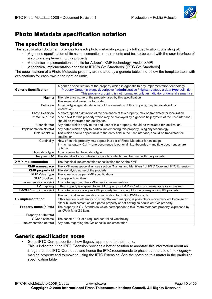

# <span id="page-9-0"></span>**Photo Metadata specification notation**

#### **The specification template**

This specification document provides for each photo metadata property a full specification consisting of:

- A generic specification of its name, semantics, requirements and text to be used with the user interface of a software implementing this property
- A technical implementation specific for Adobe's XMP technology [Adobe XMP]
- A technical implementation specific to IPTC's G2-Standards. [IPTC G2-Standards]

The specifications of a Photo Metadata property are notated by a generic table, find below the template table with explanations for each row in the right column:

| <b>Generic Specification</b> | A generic specification of the property which is agnostic to any implementation technology.<br>Property Group (in blue): descriptive / administrative / rights related / a data type definition |
|------------------------------|-------------------------------------------------------------------------------------------------------------------------------------------------------------------------------------------------|
|                              | This property grouping is not normative, only an indicator of general semantics                                                                                                                 |
| <b>Name</b>                  | The reference name of the property used by this specification                                                                                                                                   |
|                              | This name shall never be translated                                                                                                                                                             |
| <b>Definition</b>            | A media-type agnostic definition of the semantics of this property, may be translated for                                                                                                       |
|                              | localization.                                                                                                                                                                                   |
| Photo Definition             | A photo-specific definition of the semantics of this property, may be translated for localization.                                                                                              |
| Photo Help Text              | A help text for this property which may be displayed by a generic help system of the user interface,                                                                                            |
|                              | should be translated for localization.                                                                                                                                                          |
| User Note(s)                 | Any notes which apply to the end user of this property, should be translated for localization.                                                                                                  |
| Implementation Note(s)       | Any notes which apply to parties implementing this property using any technology.                                                                                                               |
| Field label/title            | Text which should appear next to the entry field in the user interface, should be translated for                                                                                                |
|                              | localization.                                                                                                                                                                                   |
| Cardinality                  | How often this property may appear in a set of Photo Metadata for an image.                                                                                                                     |
|                              | $1 =$ is mandatory, 01 = one occurrence is optional, 1. unbounded = multiple occurrences are                                                                                                    |
|                              | optional                                                                                                                                                                                        |
| Basic data type              | A recommended basic data type                                                                                                                                                                   |
| Required CV                  | The identifier for a controlled vocabulary which must be used with this property.                                                                                                               |
| <b>XMP</b> implementation    | The technical implementation specification for Adobe XMP                                                                                                                                        |
| <b>XMP namespace</b>         | The XMP namespace alias, see section "Names and Identifiers" of IPTC Core and IPTC Extension.                                                                                                   |
| <b>XMP</b> property id       | The identifying name of the property                                                                                                                                                            |
| <b>XMP Value Type</b>        | The value type as per XMP specifications                                                                                                                                                        |
| <b>XMP</b> qualifiers        | Any applied qualifiers                                                                                                                                                                          |
| Implementation note(s)       | Any note regarding the XMP-specific implementation                                                                                                                                              |
| IIM mapping                  | If this property is mapped to an IIM property its IIM Data Set id and name appears in this row.                                                                                                 |
| IIM/XMP mapping note(s)      | Any note on accessing an XMP property for mapping it to the corresponding IIM property.                                                                                                         |
|                              | The technical implementation specification for IPTC G2-Standards                                                                                                                                |
| <b>G2</b> implementation     | If this section is left empty no straightforward mapping is possible or recommended, because of                                                                                                 |
|                              | either blurred semantics of a photo property or not having an equivalent G2-property.                                                                                                           |
| <b>Property name (XPath)</b> | The property in G2-Standards which corresponds to this Photo Metadata property, expressed by                                                                                                    |
|                              | an XPath for a G2 item.                                                                                                                                                                         |
| Property-attribute(s)        |                                                                                                                                                                                                 |
| QCode scheme                 | The scheme-URI of a required controlled vocabulary                                                                                                                                              |
| Implementation note(s)       | Any note regarding the G2-specific implementation                                                                                                                                               |

#### **Generic specification notes**

- Some IPTC Core properties show {legacy} appended to their name.
	- This is indicated if the IPTC Extension provides a better solution to annotate this information about an image than the IPTC Core does and hence the IPTC recommends to phase out the use of the {legacy} marked property and to move to using the IPTC Extension. See the notes on this matter in the particular specification table.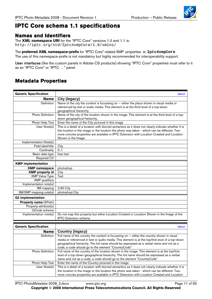

# <span id="page-10-0"></span>**IPTC Core schema 1.1 specifications**

#### **Names and Identifiers**

The **XML namespace URI** for the "IPTC Core" versions 1.0 and 1.1 is: http://iptc.org/std/Iptc4xmpCore/1.0/xmlns/

The **preferred XML namespace-prefix** for "IPTC Core" related XMP properties is: **Iptc4xmpCore** The use of this namespace-prefix is not mandatory but highly recommended for interoperability support.

User interfaces (like the custom panels in Adobe CS products) showing "IPTC Core" properties must refer to it as an "IPTC Core" or "IPTC …" panel.

# **Metadata Properties**

| <b>Generic Specification</b> | descr                                                                                               |
|------------------------------|-----------------------------------------------------------------------------------------------------|
| <b>Name</b>                  | City (legacy)                                                                                       |
| Definition                   | Name of the city the content is focussing on -- either the place shown in visual media or           |
|                              | referenced by text or audio media. This element is at the third level of a top-down                 |
|                              | geographical hierarchy.                                                                             |
| Photo Definition             | Name of the city of the location shown in the image. This element is at the third level of a top-   |
|                              | down geographical hierarchy.                                                                        |
| Photo Help Text              | Enter the name of the City pictured in this image                                                   |
| User Note(s)                 | This is a detail of a location with blurred semantics as it does not clearly indicate whether it is |
|                              | the location in the image or the location the photo was taken - which can be different. Two         |
|                              | more concise properties are available in IPTC Extension with Location Created and Location          |
|                              | Shown in the Image.                                                                                 |
| Implementation Note(s)       |                                                                                                     |
| Field label/title            | City                                                                                                |
| Cardinality                  | 0.1                                                                                                 |
| Basic data type              | free-text                                                                                           |
| <b>Required CV</b>           |                                                                                                     |
| <b>XMP</b> implementation    |                                                                                                     |
| <b>XMP</b> namespace         | photoshop                                                                                           |
| <b>XMP</b> property id       | City                                                                                                |
| <b>XMP Value Type</b>        | Text                                                                                                |
| <b>XMP</b> qualifiers        |                                                                                                     |
| Implementation note(s)       |                                                                                                     |
| IIM mapping                  | 2:90 City                                                                                           |
| IIM/XMP mapping note(s)      | photoshop:City                                                                                      |
| <b>G2</b> implementation     |                                                                                                     |
| <b>Property name (XPath)</b> |                                                                                                     |
| Property-attribute(s)        |                                                                                                     |
| QCode scheme                 |                                                                                                     |
| Implementation note(s)       | Do not map this property but either Location Created or Location Shown in the Image of the          |
|                              | <b>IPTC</b> Extension schema                                                                        |
|                              |                                                                                                     |
| <b>Generic Specification</b> | descr                                                                                               |
| <b>Name</b>                  | <b>Country (legacy)</b>                                                                             |
| Definition                   | Full name of the country the content is focussing on -- either the country shown in visual          |
|                              | media or referenced in text or audio media. This element is at the top/first level of a top-down    |
|                              | geographical hierarchy. The full name should be expressed as a verbal name and not as a             |
|                              | code, a code should go to the element "CountryCode"                                                 |
| Photo Definition             | Full name of the country of the location shown in the image. This element is at the top/first       |
|                              | level of a top-down geographical hierarchy. The full name should be expressed as a verbal           |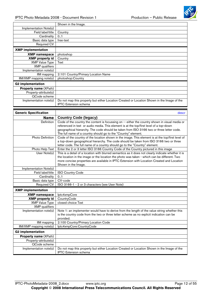

<span id="page-11-0"></span>

|                              | Shown in the Image.                                                                                                        |
|------------------------------|----------------------------------------------------------------------------------------------------------------------------|
| Implementation Note(s)       |                                                                                                                            |
| Field label/title            | Country                                                                                                                    |
| Cardinality                  | 0.1                                                                                                                        |
| Basic data type              | free-text                                                                                                                  |
| <b>Required CV</b>           |                                                                                                                            |
| <b>XMP</b> implementation    |                                                                                                                            |
| <b>XMP namespace</b>         | photoshop                                                                                                                  |
| <b>XMP</b> property id       | Country                                                                                                                    |
| <b>XMP Value Type</b>        | Text                                                                                                                       |
| <b>XMP</b> qualifiers        |                                                                                                                            |
| Implementation note(s)       |                                                                                                                            |
| IIM mapping                  | 2:101 Country/Primary Location Name                                                                                        |
| IIM/XMP mapping note(s)      | photoshop:Country                                                                                                          |
| <b>G2</b> implementation     |                                                                                                                            |
| <b>Property name (XPath)</b> |                                                                                                                            |
| Property-attribute(s)        |                                                                                                                            |
| QCode scheme                 |                                                                                                                            |
| Implementation note(s)       | Do not map this property but either Location Created or Location Shown in the Image of the<br><b>IPTC</b> Extension schema |

| <b>Generic Specification</b> | descr                                                                                                                                                                                                                                                                                                                                                   |
|------------------------------|---------------------------------------------------------------------------------------------------------------------------------------------------------------------------------------------------------------------------------------------------------------------------------------------------------------------------------------------------------|
| <b>Name</b>                  | <b>Country Code (legacy)</b>                                                                                                                                                                                                                                                                                                                            |
| Definition                   | Code of the country the content is focussing on -- either the country shown in visual media or<br>referenced in text or audio media. This element is at the top/first level of a top-down<br>geographical hierarchy. The code should be taken from ISO 3166 two or three letter code.<br>The full name of a country should go to the "Country" element. |
| <b>Photo Definition</b>      | Code of the country of the location shown in the image. This element is at the top/first level of<br>a top-down geographical hierarchy. The code should be taken from ISO 3166 two or three<br>letter code. The full name of a country should go to the "Country" element.                                                                              |
| Photo Help Text              | Enter the 2 or 3 letter ISO 3166 Country Code of the Country pictured in this image                                                                                                                                                                                                                                                                     |
| User Note(s)                 | This is a detail of a location with blurred semantics as it does not clearly indicate whether it is<br>the location in the image or the location the photo was taken - which can be different. Two<br>more concise properties are available in IPTC Extension with Location Created and Location<br>Shown in the Image.                                 |
| Implementation Note(s)       |                                                                                                                                                                                                                                                                                                                                                         |
| Field label/title            | <b>ISO Country Code</b>                                                                                                                                                                                                                                                                                                                                 |
| Cardinality                  | 0.1                                                                                                                                                                                                                                                                                                                                                     |
| Basic data type              | CV-code                                                                                                                                                                                                                                                                                                                                                 |
| <b>Required CV</b>           | ISO 3166-1 - 2 or 3 characters (see User Note)                                                                                                                                                                                                                                                                                                          |
| <b>XMP</b> implementation    |                                                                                                                                                                                                                                                                                                                                                         |
| <b>XMP</b> namespace         | lptc4xmpCore                                                                                                                                                                                                                                                                                                                                            |
| <b>XMP</b> property id       | CountryCode                                                                                                                                                                                                                                                                                                                                             |
| <b>XMP Value Type</b>        | closed choice Text                                                                                                                                                                                                                                                                                                                                      |
| <b>XMP</b> qualifiers        |                                                                                                                                                                                                                                                                                                                                                         |
| Implementation note(s)       | Note 1: an implementer would have to derive from the length of the value string whether this<br>is the country code from the two or three letter scheme as no explicit indication can be<br>provided.                                                                                                                                                   |
| <b>IIM</b> mapping           | 2:100 Country/Primary Location Code                                                                                                                                                                                                                                                                                                                     |
| IIM/XMP mapping note(s)      | Iptc4xmpCore:CountryCode                                                                                                                                                                                                                                                                                                                                |
| <b>G2 implementation</b>     |                                                                                                                                                                                                                                                                                                                                                         |
| Property name (XPath)        |                                                                                                                                                                                                                                                                                                                                                         |
| Property-attribute(s)        |                                                                                                                                                                                                                                                                                                                                                         |
| QCode scheme                 |                                                                                                                                                                                                                                                                                                                                                         |
| Implementation note(s)       | Do not map this property but either Location Created or Location Shown in the Image of the<br><b>IPTC</b> Extension schema                                                                                                                                                                                                                              |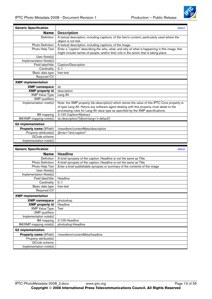

<span id="page-12-0"></span>

| <b>Generic Specification</b> | descr                                                                                         |
|------------------------------|-----------------------------------------------------------------------------------------------|
| <b>Name</b>                  | <b>Description</b>                                                                            |
| Definition                   | A textual description, including captions, of the item's content, particularly used where the |
|                              | object is not text.                                                                           |
| Photo Definition             | A textual description, including captions, of the image.                                      |
| Photo Help Text              | Enter a "caption" describing the who, what, and why of what is happening in this image, this  |
|                              | might include names of people, and/or their role in the action that is taking place           |
| User Note(s)                 |                                                                                               |
| Implementation Note(s)       |                                                                                               |
| Field label/title            | Caption/Description                                                                           |
| Cardinality                  | 0.1                                                                                           |
| Basic data type              | free-text                                                                                     |
| <b>Required CV</b>           |                                                                                               |
| <b>XMP</b> implementation    |                                                                                               |
| <b>XMP namespace</b>         | dc                                                                                            |
| <b>XMP</b> property id       | description                                                                                   |
| <b>XMP Value Type</b>        | Lang Alt                                                                                      |
| <b>XMP</b> qualifiers        |                                                                                               |
| Implementation note(s)       | Note: the XMP property (dc:description) which stores the value of this IPTC Core property is  |
|                              | of type Lang Alt. Hence any software agent dealing with this property must abide to the       |
|                              | processing rules for Lang Alt value type as specified by the XMP specifications.              |
| IIM mapping                  | 2:120 Caption/Abstract                                                                        |
| IIM/XMP mapping note(s)      | dc:description/*[@xml:lang='x-default']                                                       |
| <b>G2 implementation</b>     |                                                                                               |
| Property name (XPath)        | /newsltem/contentMeta/description                                                             |
| Property-attribute(s)        | @role="drol:caption"                                                                          |
| QCode scheme                 |                                                                                               |
| Implementation note(s)       |                                                                                               |

| <b>Generic Specification</b> | descr                                                                      |
|------------------------------|----------------------------------------------------------------------------|
| <b>Name</b>                  | <b>Headline</b>                                                            |
| Definition                   | A brief synopsis of the caption. Headline is not the same as Title.        |
| <b>Photo Definition</b>      | A brief synopsis of the caption. Headline is not the same as Title.        |
| Photo Help Text              | Enter a brief publishable synopsis or summary of the contents of the image |
| User Note(s)                 |                                                                            |
| Implementation Note(s)       |                                                                            |
| Field label/title            | Headline                                                                   |
| Cardinality                  | 0.1                                                                        |
| Basic data type              | free-text                                                                  |
| <b>Required CV</b>           |                                                                            |
| <b>XMP</b> implementation    |                                                                            |
| <b>XMP namespace</b>         | photoshop                                                                  |
| <b>XMP</b> property id       | Headline                                                                   |
| <b>XMP Value Type</b>        | Text                                                                       |
| <b>XMP</b> qualifiers        |                                                                            |
| Implementation note(s)       |                                                                            |
| IIM mapping                  | 2:105 Headline                                                             |
| IIM/XMP mapping note(s)      | photoshop: Headline                                                        |
| <b>G2 implementation</b>     |                                                                            |
| Property name (XPath)        | /newsltem/contentMeta/headline                                             |
| Property-attribute(s)        |                                                                            |
| QCode scheme                 |                                                                            |
| Implementation note(s)       |                                                                            |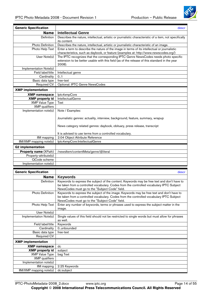

<span id="page-13-0"></span>

| <b>Generic Specification</b> | descr                                                                                                                                                                                           |
|------------------------------|-------------------------------------------------------------------------------------------------------------------------------------------------------------------------------------------------|
| <b>Name</b>                  | <b>Intellectual Genre</b>                                                                                                                                                                       |
| Definition                   | Describes the nature, intellectual, artistic or journalistic characteristic of a item, not specifically<br>its content.                                                                         |
| Photo Definition             | Describes the nature, intellectual, artistic or journalistic characteristic of an image.                                                                                                        |
| Photo Help Text              | Enter a term to describe the nature of the image in terms of its intellectual or journalistic<br>characteristics, such as daybook, or feature (examples at: http://www.newscodes.org/)          |
| User Note(s)                 | The IPTC recognizes that the corresponding IPTC Genre NewsCodes needs photo specific<br>extension to be better usable with this field (as of the release of this standard in the year<br>2008). |
| Implementation Note(s)       |                                                                                                                                                                                                 |
| Field label/title            | Intellectual genre                                                                                                                                                                              |
| Cardinality                  | 0.1                                                                                                                                                                                             |
| Basic data type              | free-text                                                                                                                                                                                       |
| Required CV                  | Optional: IPTC Genre NewsCodes                                                                                                                                                                  |
| <b>XMP</b> implementation    |                                                                                                                                                                                                 |
| <b>XMP</b> namespace         | lptc4xmpCore                                                                                                                                                                                    |
| <b>XMP</b> property id       | <b>IntellectualGenre</b>                                                                                                                                                                        |
| <b>XMP Value Type</b>        | Text                                                                                                                                                                                            |
| <b>XMP</b> qualifiers        |                                                                                                                                                                                                 |
| Implementation note(s)       | Note / Examples:                                                                                                                                                                                |
|                              | Journalistic genres: actuality, interview, background, feature, summary, wrapup                                                                                                                 |
|                              | News category related genres: daybook, obituary, press release, transcript                                                                                                                      |
|                              | It is advised to use terms from a controlled vocabulary.                                                                                                                                        |
| IIM mapping                  | 2:04 Object Attribute Reference                                                                                                                                                                 |
| IIM/XMP mapping note(s)      | Iptc4xmpCore:IntellectualGenre                                                                                                                                                                  |
| <b>G2 implementation</b>     |                                                                                                                                                                                                 |
| Property name (XPath)        | /newsltem/contentMeta/genre/@literal                                                                                                                                                            |
| Property-attribute(s)        |                                                                                                                                                                                                 |
| QCode scheme                 |                                                                                                                                                                                                 |
| Implementation note(s)       |                                                                                                                                                                                                 |

| <b>Generic Specification</b> | descr                                                                                                                                      |
|------------------------------|--------------------------------------------------------------------------------------------------------------------------------------------|
| <b>Name</b>                  | <b>Keywords</b>                                                                                                                            |
| <b>Definition</b>            | Keywords to express the subject of the content. Keywords may be free text and don't have to                                                |
|                              | be taken from a controlled vocabulary. Codes from the controlled vocabulary IPTC Subject<br>NewsCodes must go to the "Subject Code" field. |
| Photo Definition             | Keywords to express the subject of the image. Keywords may be free text and don't have to                                                  |
|                              | be taken from a controlled vocabulary. Codes from the controlled vocabulary IPTC Subject<br>NewsCodes must go to the "Subject Code" field. |
| Photo Help Text              | Enter any number of keywords, terms or phrases used to express the subject matter in the<br>image.                                         |
| User Note(s)                 |                                                                                                                                            |
| Implementation Note(s)       | Single values of this field should not be restricted to single words but must allow for phrases                                            |
|                              | as well.                                                                                                                                   |
| Field label/title            | Keywords                                                                                                                                   |
| Cardinality                  | 0.unbounded                                                                                                                                |
| Basic data type              | free-text                                                                                                                                  |
| Required CV                  |                                                                                                                                            |
| <b>XMP</b> implementation    |                                                                                                                                            |
| <b>XMP namespace</b>         | dc                                                                                                                                         |
| <b>XMP</b> property id       | subject                                                                                                                                    |
| <b>XMP Value Type</b>        | bag Text                                                                                                                                   |
| <b>XMP</b> qualifiers        |                                                                                                                                            |
| Implementation note(s)       |                                                                                                                                            |
| IIM mapping                  | 2:25 Keywords                                                                                                                              |
| IIM/XMP mapping note(s)      | dc:subject                                                                                                                                 |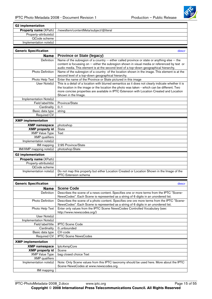

<span id="page-14-0"></span>

| <b>G2</b> implementation                       |                                                                                                     |
|------------------------------------------------|-----------------------------------------------------------------------------------------------------|
| <b>Property name (XPath)</b>                   | /newsltem/contentMeta/subject/@literal                                                              |
| Property-attribute(s)                          |                                                                                                     |
| QCode scheme                                   |                                                                                                     |
| Implementation $note(s)$                       |                                                                                                     |
|                                                |                                                                                                     |
| <b>Generic Specification</b>                   | descr                                                                                               |
| <b>Name</b>                                    | <b>Province or State (legacy)</b>                                                                   |
| Definition                                     | Name of the subregion of a country -- either called province or state or anything else -- the       |
|                                                | content is focussing on -- either the subregion shown in visual media or referenced by text or      |
|                                                | audio media. This element is at the second level of a top-down geographical hierarchy.              |
| Photo Definition                               | Name of the subregion of a country of the location shown in the image. This element is at the       |
|                                                | second level of a top-down geographical hierarchy.                                                  |
| Photo Help Text                                | Enter the name of the Province or State pictured in this image                                      |
| User Note(s)                                   | This is a detail of a location with blurred semantics as it does not clearly indicate whether it is |
|                                                | the location in the image or the location the photo was taken - which can be different. Two         |
|                                                | more concise properties are available in IPTC Extension with Location Created and Location          |
| Implementation Note(s)                         | Shown in the Image.                                                                                 |
| Field label/title                              | Province/State                                                                                      |
| Cardinality                                    | 0.1                                                                                                 |
| Basic data type                                | string                                                                                              |
| Required CV                                    |                                                                                                     |
| <b>XMP</b> implementation                      |                                                                                                     |
|                                                |                                                                                                     |
| <b>XMP</b> namespace<br><b>XMP</b> property id | photoshop                                                                                           |
| <b>XMP Value Type</b>                          | <b>State</b><br>Text                                                                                |
| <b>XMP</b> qualifiers                          |                                                                                                     |
| Implementation note(s)                         |                                                                                                     |
| <b>IIM</b> mapping                             | 2:95 Province/State                                                                                 |
| IIM/XMP mapping note(s)                        | photoshop:State                                                                                     |
|                                                |                                                                                                     |
| <b>G2 implementation</b>                       |                                                                                                     |
| Property name (XPath)                          |                                                                                                     |
| Property-attribute(s)<br>QCode scheme          |                                                                                                     |
| Implementation note(s)                         | Do not map this property but either Location Created or Location Shown in the Image of the          |
|                                                | <b>IPTC</b> Extension schema                                                                        |
|                                                |                                                                                                     |
| <b>Generic Specification</b>                   | descr                                                                                               |
| <b>Name</b>                                    | <b>Scene Code</b>                                                                                   |
| Definition                                     | Describes the scene of a news content. Specifies one or more terms from the IPTC "Scene-            |
|                                                | NewsCodes". Each Scene is represented as a string of 6 digits in an unordered list.                 |
| Photo Definition                               | Describes the scene of a photo content. Specifies one ore more terms from the IPTC "Scene-          |
|                                                | NewsCodes". Each Scene is represented as a string of 6 digits in an unordered list.                 |
| Photo Help Text                                | Enter only values from the IPTC Scene NewsCodes Controlled Vocabulary (see:                         |
|                                                | http://www.newscodes.org/)                                                                          |
| User Note(s)                                   |                                                                                                     |
| Implementation Note(s)                         |                                                                                                     |
| Field label/title                              | <b>IPTC Scene Code</b>                                                                              |
| Cardinality                                    | 0unbounded                                                                                          |
| Basic data type                                | CV-code                                                                                             |
| Required CV                                    | <b>IPTC Scene NewsCodes</b>                                                                         |
| <b>XMP</b> implementation                      |                                                                                                     |
| <b>XMP namespace</b>                           | lptc4xmpCore                                                                                        |
| <b>XMP</b> property id                         | Scene                                                                                               |
| <b>XMP Value Type</b>                          | bag closed choice Text                                                                              |

Implementation note(s) | Note: Only Scene values from this IPTC taxonomy should be used here. More about the IPTC

Scene-NewsCodes at www.newscodes.org.

bag closed choice Text

XMP qualifiers

IIM mapping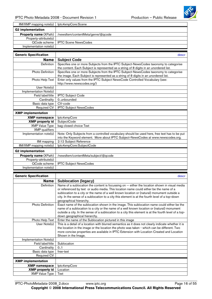

<span id="page-15-0"></span>

| IIM/XMP mapping note(s)      | Iptc4xmpCore:Scene                 |
|------------------------------|------------------------------------|
| <b>G2</b> implementation     |                                    |
| <b>Property name (XPath)</b> | /newsltem/contentMeta/genre/@qcode |
| Property-attribute(s)        |                                    |
| QCode scheme                 | <b>IPTC Scene NewsCodes</b>        |
| Implementation note(s)       |                                    |
|                              |                                    |
| <b>Generic Specification</b> | desci                              |
| <b>Name</b>                  | <b>Subject Code</b>                |

| Subject Code                                                                                  |
|-----------------------------------------------------------------------------------------------|
| Specifies one or more Subjects from the IPTC Subject-NewsCodes taxonomy to categorise         |
| the content. Each Subject is represented as a string of 8 digits in an unordered list.        |
| Specifies one or more Subjects from the IPTC Subject-NewsCodes taxonomy to categorise         |
| the image. Each Subject is represented as a string of 8 digits in an unordered list.          |
| Enter only values from the IPTC Subject NewsCode Controlled Vocabulary (see:                  |
| http://www.newscodes.org/)                                                                    |
|                                                                                               |
|                                                                                               |
| <b>IPTC Subject Code</b>                                                                      |
| 0unbounded                                                                                    |
| CV-code                                                                                       |
| <b>IPTC Subject NewsCodes</b>                                                                 |
|                                                                                               |
| lptc4xmpCore                                                                                  |
| <b>SubjectCode</b>                                                                            |
| bag closed choice Text                                                                        |
|                                                                                               |
| Note: Only Subjects from a controlled vocabulary should be used here, free text has to be put |
| into the Keyword element. More about IPTC Subject-NewsCodes at www.newscodes.org.             |
| 2:12 Subject Reference                                                                        |
| Iptc4xmpCore:SubjectCode                                                                      |
|                                                                                               |
| /newsltem/contentMeta/subject/@qcode                                                          |
|                                                                                               |
| <b>IPTC Subject NewsCodes</b>                                                                 |
|                                                                                               |
|                                                                                               |

| <b>Generic Specification</b> | descr                                                                                                                                                                                                                                                                                                                                                                                                                |
|------------------------------|----------------------------------------------------------------------------------------------------------------------------------------------------------------------------------------------------------------------------------------------------------------------------------------------------------------------------------------------------------------------------------------------------------------------|
| Name                         | <b>Sublocation (legacy)</b>                                                                                                                                                                                                                                                                                                                                                                                          |
| Definition                   | Name of a sublocation the content is focussing on -- either the location shown in visual media<br>or referenced by text or audio media. This location name could either be the name of a<br>sublocation to a city or the name of a well known location or (natural) monument outside a<br>city. In the sense of a sublocation to a city this element is at the fourth level of a top-down<br>geographical hierarchy. |
| <b>Photo Definition</b>      | Exact name of the sublocation shown in the image. This sublocation name could either be the<br>name of a sublocation to a city or the name of a well known location or (natural) monument<br>outside a city. In the sense of a sublocation to a city this element is at the fourth level of a top-<br>down geographical hierarchy.                                                                                   |
| Photo Help Text              | Enter the name of the Sublocation pictured in this image                                                                                                                                                                                                                                                                                                                                                             |
| User Note(s)                 | This is a detail of a location with blurred semantics as it does not clearly indicate whether it is<br>the location in the image or the location the photo was taken - which can be different. Two<br>more concise properties are available in IPTC Extension with Location Created and Location<br>Shown in the Image.                                                                                              |
| Implementation Note(s)       |                                                                                                                                                                                                                                                                                                                                                                                                                      |
| Field label/title            | Sublocation                                                                                                                                                                                                                                                                                                                                                                                                          |
| Cardinality                  | 0.1                                                                                                                                                                                                                                                                                                                                                                                                                  |
| Basic data type              | free-text                                                                                                                                                                                                                                                                                                                                                                                                            |
| <b>Required CV</b>           |                                                                                                                                                                                                                                                                                                                                                                                                                      |
| <b>XMP</b> implementation    |                                                                                                                                                                                                                                                                                                                                                                                                                      |
| <b>XMP namespace</b>         | lptc4xmpCore                                                                                                                                                                                                                                                                                                                                                                                                         |
| <b>XMP</b> property id       | Location                                                                                                                                                                                                                                                                                                                                                                                                             |
| <b>XMP Value Type</b>        | Text                                                                                                                                                                                                                                                                                                                                                                                                                 |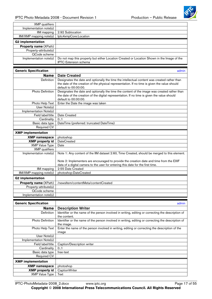

<span id="page-16-0"></span>

| <b>XMP</b> qualifiers        |                                                                                               |
|------------------------------|-----------------------------------------------------------------------------------------------|
| Implementation note(s)       |                                                                                               |
| IIM mapping                  | 2:92 Sublocation                                                                              |
| IIM/XMP mapping note(s)      | lptc4xmpCore:Location                                                                         |
| <b>G2 implementation</b>     |                                                                                               |
| <b>Property name (XPath)</b> |                                                                                               |
| Property-attribute(s)        |                                                                                               |
| QCode scheme                 |                                                                                               |
| Implementation note(s)       | Do not map this property but either Location Created or Location Shown in the Image of the    |
|                              | <b>IPTC</b> Extension schema                                                                  |
|                              |                                                                                               |
| <b>Generic Specification</b> | admin                                                                                         |
| <b>Name</b>                  | <b>Date Created</b>                                                                           |
| Definition                   | Designates the date and optionally the time the intellectual content was created rather than  |
|                              | the date of the creation of the physical representation. If no time is given the value should |
|                              | default to 00:00:00.                                                                          |
| Photo Definition             | Designates the date and optionally the time the content of the image was created rather than  |
|                              | the date of the creation of the digital representation. If no time is given the value should  |
|                              | default to 00:00:00.                                                                          |
| Photo Help Text              | Enter the Date the image was taken                                                            |
| User Note(s)                 |                                                                                               |
| Implementation Note(s)       |                                                                                               |
| Field label/title            | Date Created                                                                                  |
| Cardinality                  | 0.1                                                                                           |
| Basic data type              | DateTime (preferred: truncated DateTime)                                                      |
| Required CV                  |                                                                                               |
| <b>XMP</b> implementation    |                                                                                               |
| <b>XMP</b> namespace         | photoshop                                                                                     |
| <b>XMP</b> property id       | <b>DateCreated</b>                                                                            |
| <b>XMP Value Type</b>        | Date                                                                                          |
| <b>XMP</b> qualifiers        |                                                                                               |
| Implementation note(s)       | Note 1: Any content of the IIM dataset 2:60, Time Created, should be merged to this element.  |
|                              | Note 2: Implementers are encouraged to provide the creation date and time from the EXIF       |
|                              | data of a digital camera to the user for entering this date for the first time.               |
| <b>IIM</b> mapping           | 2:55 Date Created                                                                             |
| IIM/XMP mapping note(s)      | photoshop:DateCreated                                                                         |
| <b>G2 implementation</b>     |                                                                                               |
| Property name (XPath)        | /newsltem/contentMeta/contentCreated                                                          |
| Property-attribute(s)        |                                                                                               |
| QCode scheme                 |                                                                                               |
| Implementation note(s)       |                                                                                               |

| <b>Generic Specification</b> | admin                                                                                                              |
|------------------------------|--------------------------------------------------------------------------------------------------------------------|
| <b>Name</b>                  | <b>Description Writer</b>                                                                                          |
| <b>Definition</b>            | Identifier or the name of the person involved in writing, editing or correcting the description of<br>the content. |
| Photo Definition             | Identifier or the name of the person involved in writing, editing or correcting the description of<br>the image.   |
| Photo Help Text              | Enter the name of the person involved in writing, editing or correcting the description of the<br>image            |
| User Note(s)                 |                                                                                                                    |
| Implementation Note(s)       |                                                                                                                    |
| Field label/title            | Caption/Description writer                                                                                         |
| Cardinality                  | 0.1                                                                                                                |
| Basic data type              | free-text                                                                                                          |
| Required CV                  |                                                                                                                    |
| <b>XMP</b> implementation    |                                                                                                                    |
| <b>XMP namespace</b>         | photoshop                                                                                                          |
| <b>XMP</b> property id       | <b>CaptionWriter</b>                                                                                               |
| <b>XMP Value Type</b>        | Text                                                                                                               |

IPTC-PhotoMetadata-2008\_2.docx www.iptc.org Page 17 of 55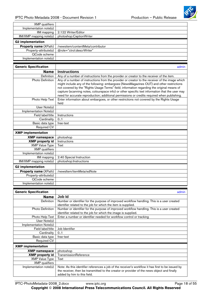

<span id="page-17-0"></span>

| <b>XMP</b> qualifiers        |                                   |
|------------------------------|-----------------------------------|
| Implementation note(s)       |                                   |
| IIM mapping                  | 2:122 Writer/Editor               |
| $IIM/XMP$ mapping note(s)    | photoshop:CaptionWriter           |
| <b>G2 implementation</b>     |                                   |
| <b>Property name (XPath)</b> | /newsitem/contentMeta/contributor |
| Property-attribute(s)        | @role="ctrol:descrWriter"         |
| QCode scheme                 |                                   |
| Implementation note(s)       |                                   |

| <b>Generic Specification</b> | admin                                                                                                                                                                                                                                                                                                                                                                                                                                                                                       |
|------------------------------|---------------------------------------------------------------------------------------------------------------------------------------------------------------------------------------------------------------------------------------------------------------------------------------------------------------------------------------------------------------------------------------------------------------------------------------------------------------------------------------------|
| <b>Name</b>                  | <b>Instructions</b>                                                                                                                                                                                                                                                                                                                                                                                                                                                                         |
| Definition                   | Any of a number of instructions from the provider or creator to the receiver of the item.                                                                                                                                                                                                                                                                                                                                                                                                   |
| <b>Photo Definition</b>      | Any of a number of instructions from the provider or creator to the receiver of the image which<br>might include any of the following: embargoes (NewsMagazines OUT) and other restrictions<br>not covered by the "Rights Usage Terms" field; information regarding the original means of<br>capture (scanning notes, colourspace info) or other specific text information that the user may<br>need for accurate reproduction; additional permissions or credits required when publishing. |
| Photo Help Text              | Enter information about embargoes, or other restrictions not covered by the Rights Usage<br>field                                                                                                                                                                                                                                                                                                                                                                                           |
| User Note(s)                 |                                                                                                                                                                                                                                                                                                                                                                                                                                                                                             |
| Implementation Note(s)       |                                                                                                                                                                                                                                                                                                                                                                                                                                                                                             |
| Field label/title            | Instructions                                                                                                                                                                                                                                                                                                                                                                                                                                                                                |
| Cardinality                  | 0.1                                                                                                                                                                                                                                                                                                                                                                                                                                                                                         |
| Basic data type              | free-text                                                                                                                                                                                                                                                                                                                                                                                                                                                                                   |
| Required CV                  |                                                                                                                                                                                                                                                                                                                                                                                                                                                                                             |
| <b>XMP</b> implementation    |                                                                                                                                                                                                                                                                                                                                                                                                                                                                                             |
| <b>XMP namespace</b>         | photoshop                                                                                                                                                                                                                                                                                                                                                                                                                                                                                   |
| <b>XMP</b> property id       | Instructions                                                                                                                                                                                                                                                                                                                                                                                                                                                                                |
| <b>XMP Value Type</b>        | Text                                                                                                                                                                                                                                                                                                                                                                                                                                                                                        |
| XMP qualifiers               |                                                                                                                                                                                                                                                                                                                                                                                                                                                                                             |
| Implementation note(s)       |                                                                                                                                                                                                                                                                                                                                                                                                                                                                                             |
| IIM mapping                  | 2:40 Special Instruction                                                                                                                                                                                                                                                                                                                                                                                                                                                                    |
| IIM/XMP mapping note(s)      | photoshop:Instructions                                                                                                                                                                                                                                                                                                                                                                                                                                                                      |
| <b>G2</b> implementation     |                                                                                                                                                                                                                                                                                                                                                                                                                                                                                             |
| Property name (XPath)        | /newsltem/itemMeta/edNote                                                                                                                                                                                                                                                                                                                                                                                                                                                                   |
| Property-attribute(s)        |                                                                                                                                                                                                                                                                                                                                                                                                                                                                                             |
| QCode scheme                 |                                                                                                                                                                                                                                                                                                                                                                                                                                                                                             |
| Implementation note(s)       |                                                                                                                                                                                                                                                                                                                                                                                                                                                                                             |

| <b>Generic Specification</b> | admin                                                                                             |
|------------------------------|---------------------------------------------------------------------------------------------------|
| Name                         | Job Id                                                                                            |
| <b>Definition</b>            | Number or identifier for the purpose of improved workflow handling. This is a user created        |
|                              | identifier related to the job for which the item is supplied.                                     |
| <b>Photo Definition</b>      | Number or identifier for the purpose of improved workflow handling. This is a user created        |
|                              | identifier related to the job for which the image is supplied.                                    |
| Photo Help Text              | Enter a number or identifier needed for workflow control or tracking                              |
| User Note(s)                 |                                                                                                   |
| Implementation Note(s)       |                                                                                                   |
| Field label/title            | Job Identifier                                                                                    |
| Cardinality                  | 0.1                                                                                               |
| Basic data type              | free-text                                                                                         |
| <b>Required CV</b>           |                                                                                                   |
| <b>XMP</b> implementation    |                                                                                                   |
| <b>XMP namespace</b>         | photoshop                                                                                         |
| <b>XMP</b> property id       | TransmissionReference                                                                             |
| <b>XMP Value Type</b>        | Text                                                                                              |
| <b>XMP</b> qualifiers        |                                                                                                   |
| Implementation note(s)       | Note: As this identifier references a job of the receiver's workflow it has first to be issued by |
|                              | the receiver, then be transmitted to the creator or provider of the news object and finally       |
|                              | added by him to this field.                                                                       |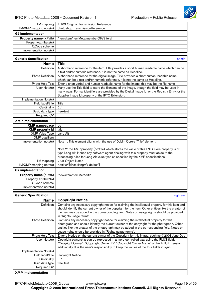

<span id="page-18-0"></span>

| IIM mapping                  | 2:103 Original Transmission Reference |
|------------------------------|---------------------------------------|
| $IIM/XMP$ mapping note(s)    | photoshop:TransmissionReference       |
| <b>G2</b> implementation     |                                       |
| <b>Property name (XPath)</b> | /newsltem/itemMeta/memberOf/@literal  |
| Property-attribute(s)        |                                       |
| QCode scheme                 |                                       |
| Implementation note(s)       |                                       |

| <b>Generic Specification</b> | admin                                                                                             |
|------------------------------|---------------------------------------------------------------------------------------------------|
| <b>Name</b>                  | <b>Title</b>                                                                                      |
| <b>Definition</b>            | A shorthand reference for the item. Title provides a short human readable name which can be       |
|                              | a text and/or numeric reference. It is not the same as Headline.                                  |
| Photo Definition             | A shorthand reference for the digital image. Title provides a short human readable name           |
|                              | which can be a text and/or numeric reference. It is not the same as Headline.                     |
| Photo Help Text              | Enter a short verbal and human readable name for the image, this may be the file name             |
| User Note(s)                 | Many use the Title field to store the filename of the image, though the field may be used in      |
|                              | many ways. Formal identifiers are provided by the Digital Image Id, or the Registry Entry, or the |
|                              | Supplier Image Id property of the IPTC Extension.                                                 |
| Implementation Note(s)       |                                                                                                   |
| Field label/title            | Title                                                                                             |
| Cardinality                  | 0.1                                                                                               |
| Basic data type              | free-text                                                                                         |
| <b>Required CV</b>           |                                                                                                   |
| <b>XMP</b> implementation    |                                                                                                   |
| <b>XMP</b> namespace         | dc                                                                                                |
| <b>XMP</b> property id       | title                                                                                             |
| <b>XMP Value Type</b>        | Lang Alt                                                                                          |
| <b>XMP</b> qualifiers        |                                                                                                   |
| Implementation note(s)       | Note 1: This element aligns with the use of Dublin Core's "Title" element.                        |
|                              | Note 2: the XMP property (dc:title) which stores the value of this IPTC Core property is of       |
|                              | type Lang Alt. Hence any software agent dealing with this property must abide to the              |
|                              | processing rules for Lang Alt value type as specified by the XMP specifications.                  |
| IIM mapping                  | 2:05 Object Name                                                                                  |
| IIM/XMP mapping note(s)      | dc:title/*[@xml:lang='x-default']                                                                 |
| <b>G2</b> implementation     |                                                                                                   |
| Property name (XPath)        | /newsltem/itemMeta/title                                                                          |
| Property-attribute(s)        |                                                                                                   |
| QCode scheme                 |                                                                                                   |
| Implementation note(s)       |                                                                                                   |

| <b>Generic Specification</b> | rightsrel                                                                                                              |
|------------------------------|------------------------------------------------------------------------------------------------------------------------|
| Name                         | <b>Copyright Notice</b>                                                                                                |
| Definition                   | Contains any necessary copyright notice for claiming the intellectual property for this item and                       |
|                              | should identify the current owner of the copyright for the item. Other entities like the creator of                    |
|                              | the item may be added in the corresponding field. Notes on usage rights should be provided<br>in "Rights usage terms". |
| <b>Photo Definition</b>      | Contains any necessary copyright notice for claiming the intellectual property for this                                |
|                              | photograph and should identify the current owner of the copyright for the photograph. Other                            |
|                              | entities like the creator of the photograph may be added in the corresponding field. Notes on                          |
|                              | usage rights should be provided in "Rights usage terms".                                                               |
| Photo Help Text              | Enter a Notice on the current owner of the Copyright for this image, such as ©2008 Jane Doe                            |
| User Note(s)                 | Copyright ownership can be expressed in a more controlled way using the PLUS fields                                    |
|                              | "Copyright Owner", "Copyright Owner ID", "Copyright Owner Name" of the IPTC Extension                                  |
|                              | additionally. It is the user's responsibility to keep the values of the four fields in sync.                           |
| Implementation Note(s)       |                                                                                                                        |
| Field label/title            | <b>Copyright Notice</b>                                                                                                |
| Cardinality                  | 0.1                                                                                                                    |
| Basic data type              | free-text                                                                                                              |
| <b>Required CV</b>           |                                                                                                                        |
| <b>XMP</b> implementation    |                                                                                                                        |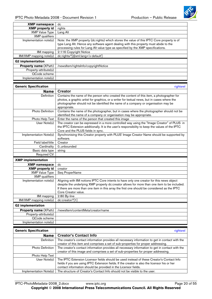

<span id="page-19-0"></span>

| <b>XMP namespace</b>         | dc                                                                                         |
|------------------------------|--------------------------------------------------------------------------------------------|
| <b>XMP</b> property id       | rights                                                                                     |
| <b>XMP Value Type</b>        | Lang Alt                                                                                   |
| <b>XMP</b> qualifiers        |                                                                                            |
| Implementation note(s)       | Note: the XMP property (dc:rights) which stores the value of this IPTC Core property is of |
|                              | type Lang Alt. Hence any software agent dealing with this property must abide to the       |
|                              | processing rules for Lang Alt value type as specified by the XMP specifications.           |
| IIM mapping                  | 2:116 Copyright Notice                                                                     |
| $IIM/XMP$ mapping note(s)    | dc:rights/*[@xml:lang='x-default']                                                         |
| <b>G2</b> implementation     |                                                                                            |
| <b>Property name (XPath)</b> | /newsltem/rightslnfo/copyrightNotice                                                       |
| Property-attribute(s)        |                                                                                            |
| QCode scheme                 |                                                                                            |
| Implementation note(s)       |                                                                                            |

| <b>Generic Specification</b> | rightsrel                                                                                                                                                                                                                                                                                                        |
|------------------------------|------------------------------------------------------------------------------------------------------------------------------------------------------------------------------------------------------------------------------------------------------------------------------------------------------------------|
| <b>Name</b>                  | <b>Creator</b>                                                                                                                                                                                                                                                                                                   |
| Definition                   | Contains the name of the person who created the content of this item, a photographer for<br>photos, a graphic artist for graphics, or a writer for textual news, but in cases where the<br>photographer should not be identified the name of a company or organisation may be<br>appropriate.                    |
| Photo Definition             | Contains the name of the photographer, but in cases where the photographer should not be<br>identified the name of a company or organisation may be appropriate.                                                                                                                                                 |
| Photo Help Text              | Enter the name of the person that created this image                                                                                                                                                                                                                                                             |
| User Note(s)                 | The creator can be expressed in a more controlled way using the "Image Creator" of PLUS in<br>the IPTC Extension additionally. It is the user's responsibility to keep the values of the IPTC<br>Core and the PLUS fields in sync.                                                                               |
| Implementation Note(s)       | Synchronising this Creator property with PLUS' Image Creator Name should be supported by<br>software.                                                                                                                                                                                                            |
| Field label/title            | Creator                                                                                                                                                                                                                                                                                                          |
| Cardinality                  | 0unbounded                                                                                                                                                                                                                                                                                                       |
| Basic data type              | string                                                                                                                                                                                                                                                                                                           |
| <b>Required CV</b>           |                                                                                                                                                                                                                                                                                                                  |
| <b>XMP</b> implementation    |                                                                                                                                                                                                                                                                                                                  |
| <b>XMP namespace</b>         | dc                                                                                                                                                                                                                                                                                                               |
| <b>XMP</b> property id       | creator                                                                                                                                                                                                                                                                                                          |
| <b>XMP Value Type</b>        | Seq ProperName                                                                                                                                                                                                                                                                                                   |
| <b>XMP</b> qualifiers        |                                                                                                                                                                                                                                                                                                                  |
| Implementation note(s)       | Aligning with IIM notions IPTC Core intents to have only one creator for this news object<br>despite the underlying XMP property dc:creator allows for more than one item to be included.<br>If there are more than one item in this array the first one should be considered as the IPTC<br>Core Creator value. |
| IIM mapping                  | 2:80 By-line                                                                                                                                                                                                                                                                                                     |
| IIM/XMP mapping note(s)      | dc:creator/*[1]                                                                                                                                                                                                                                                                                                  |
| <b>G2</b> implementation     |                                                                                                                                                                                                                                                                                                                  |
| Property name (XPath)        | /newsltem/contentMeta/creator/name                                                                                                                                                                                                                                                                               |
| Property-attribute(s)        |                                                                                                                                                                                                                                                                                                                  |
| QCode scheme                 |                                                                                                                                                                                                                                                                                                                  |
| Implementation note(s)       |                                                                                                                                                                                                                                                                                                                  |

| <b>Generic Specification</b> | rightsrel                                                                                       |
|------------------------------|-------------------------------------------------------------------------------------------------|
| Name                         | <b>Creator's Contact Info</b>                                                                   |
| <b>Definition</b>            | The creator's contact information provides all necessary information to get in contact with the |
|                              | creator of this item and comprises a set of sub-properties for proper addressing.               |
| <b>Photo Definition</b>      | The creator's contact information provides all necessary information to get in contact with the |
|                              | creator of this image and comprises a set of sub-properties for proper addressing.              |
| Photo Help Text              |                                                                                                 |
| User Note(s)                 | The IPTC Extension Licensor fields should be used instead of these Creator's Contact Info       |
|                              | fields if you are using IPTC Extension fields. If the creator is also the licensor his or her   |
|                              | contact information should be provided in the Licensor fields.                                  |
| Implementation Note(s)       | The structure of Creator's Contact Info should not be visible to the user.                      |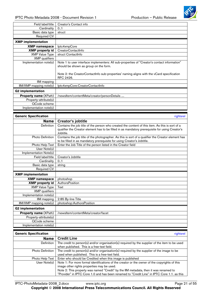

<span id="page-20-0"></span>

| Creator's Contact info                                                                                                                |
|---------------------------------------------------------------------------------------------------------------------------------------|
| 0.1                                                                                                                                   |
| struct                                                                                                                                |
|                                                                                                                                       |
|                                                                                                                                       |
| lptc4xmpCore                                                                                                                          |
| CreatorContactInfo                                                                                                                    |
| struct ContactInfo                                                                                                                    |
|                                                                                                                                       |
| Note 1 to user interface implementers: All sub-properties of "Creator's contact information"<br>should be shown as group on the form. |
| Note 2: the CreatorContactInfo sub-properties' naming aligns with the vCard specification<br>RFC 2426.                                |
|                                                                                                                                       |
| Iptc4xmpCore:CreatorContactInfo                                                                                                       |
|                                                                                                                                       |
| /newsltem/contentMeta/creator/personDetails                                                                                           |
|                                                                                                                                       |
|                                                                                                                                       |
|                                                                                                                                       |
|                                                                                                                                       |

| <b>Generic Specification</b> | rightsrel                                                                                                                                                                                                       |
|------------------------------|-----------------------------------------------------------------------------------------------------------------------------------------------------------------------------------------------------------------|
| Name                         | <b>Creator's jobtitle</b>                                                                                                                                                                                       |
| Definition                   | Contains the job title of the person who created the content of this item. As this is sort of a<br>qualifier the Creator element has to be filled in as mandatory prerequisite for using Creator's<br>Jobtitle. |
| Photo Definition             | Contains the job title of the photographer. As this is sort of a qualifier the Creator element has<br>to be filled in as mandatory prerequisite for using Creator's Jobtitle.                                   |
| Photo Help Text              | Enter the Job Title of the person listed in the Creator field                                                                                                                                                   |
| User Note(s)                 |                                                                                                                                                                                                                 |
| Implementation Note(s)       |                                                                                                                                                                                                                 |
| Field label/title            | Creator's Jobtitle                                                                                                                                                                                              |
| Cardinality                  | 0.1                                                                                                                                                                                                             |
| Basic data type              | string                                                                                                                                                                                                          |
| Required CV                  |                                                                                                                                                                                                                 |
|                              |                                                                                                                                                                                                                 |
| <b>XMP</b> implementation    |                                                                                                                                                                                                                 |
| <b>XMP namespace</b>         | photoshop                                                                                                                                                                                                       |
| <b>XMP</b> property id       | AuthorsPosition                                                                                                                                                                                                 |
| <b>XMP Value Type</b>        | Text                                                                                                                                                                                                            |
| <b>XMP</b> qualifiers        |                                                                                                                                                                                                                 |
| Implementation note(s)       |                                                                                                                                                                                                                 |
| IIM mapping                  | 2:85 By-line Title                                                                                                                                                                                              |
| IIM/XMP mapping note(s)      | photoshop:AuthorsPosition                                                                                                                                                                                       |
| <b>G2 implementation</b>     |                                                                                                                                                                                                                 |
| <b>Property name (XPath)</b> | /newsltem/contentMeta/creator/facet                                                                                                                                                                             |
| Property-attribute(s)        |                                                                                                                                                                                                                 |
| QCode scheme                 |                                                                                                                                                                                                                 |

| <b>Generic Specification</b> | rightsrel                                                                                      |
|------------------------------|------------------------------------------------------------------------------------------------|
| <b>Name</b>                  | <b>Credit Line</b>                                                                             |
| <b>Definition</b>            | The credit to person(s) and/or organisation(s) required by the supplier of the item to be used |
|                              | when published. This is a free-text field.                                                     |
| <b>Photo Definition</b>      | The credit to person(s) and/or organisation(s) required by the supplier of the image to be     |
|                              | used when published. This is a free-text field.                                                |
| Photo Help Text              | Enter who should be Credited when this image is published                                      |
| User Note(s)                 | Note 1: For more formal identifications of the creator or the owner of the copyrights of this  |
|                              | image other rights properties may be used.                                                     |
|                              | Note 2: This property was named "Credit" by the IIM metadata, then it was renamed to           |
|                              | "Provider" in IPTC Core 1.0 and has been renamed to "Credit Line" in IPTC Core 1.1. as this    |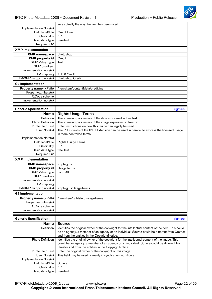

<span id="page-21-0"></span>

|                              | was actually the way the field has been used.                                               |
|------------------------------|---------------------------------------------------------------------------------------------|
| Implementation Note(s)       |                                                                                             |
| Field label/title            | Credit Line                                                                                 |
| Cardinality                  | 0.1                                                                                         |
| Basic data type              | free-text                                                                                   |
| Required CV                  |                                                                                             |
| <b>XMP</b> implementation    |                                                                                             |
| <b>XMP</b> namespace         | photoshop                                                                                   |
| <b>XMP</b> property id       | Credit                                                                                      |
| <b>XMP Value Type</b>        | Text                                                                                        |
| <b>XMP</b> qualifiers        |                                                                                             |
| Implementation note(s)       |                                                                                             |
| IIM mapping                  | 2:110 Credit                                                                                |
| IIM/XMP mapping note(s)      | photoshop:Credit                                                                            |
| <b>G2</b> implementation     |                                                                                             |
| Property name (XPath)        | /newsltem/contentMeta/creditline                                                            |
| Property-attribute(s)        |                                                                                             |
| QCode scheme                 |                                                                                             |
| Implementation note(s)       |                                                                                             |
|                              |                                                                                             |
| <b>Generic Specification</b> | rightsrel                                                                                   |
| <b>Name</b>                  | <b>Rights Usage Terms</b>                                                                   |
| Definition                   | The licensing parameters of the item expressed in free-text.                                |
| <b>Photo Definition</b>      | The licensing parameters of the image expressed in free-text.                               |
| Photo Help Text              | Enter instructions on how this image can legally be used                                    |
| User Note(s)                 | The PLUS fields of the IPTC Extension can be used in parallel to express the licensed usage |
|                              | in more controlled terms.                                                                   |
| Implementation Note(s)       |                                                                                             |
| Field label/title            | <b>Rights Usage Terms</b>                                                                   |
| Cardinality                  | 0.1                                                                                         |
| Basic data type              | free-text                                                                                   |
| <b>Required CV</b>           |                                                                                             |
| <b>XMP</b> implementation    |                                                                                             |
| <b>XMP</b> namespace         | xmpRights                                                                                   |
| <b>XMP</b> property id       | <b>UsageTerms</b>                                                                           |

| <b>XMP</b> property id       | UsageTerms                      |
|------------------------------|---------------------------------|
| <b>XMP Value Type</b>        | Lang Alt                        |
| <b>XMP</b> qualifiers        |                                 |
| Implementation note(s)       |                                 |
| IIM mapping                  |                                 |
| IIM/XMP mapping note(s)      | xmpRights:UsageTerms            |
|                              |                                 |
| <b>G2</b> implementation     |                                 |
| <b>Property name (XPath)</b> | /newsltem/rightslnfo/usageTerms |
| Property-attribute(s)        |                                 |
| QCode scheme                 |                                 |

| <b>Generic Specification</b> | rightsrel                                                                                           |
|------------------------------|-----------------------------------------------------------------------------------------------------|
| <b>Name</b>                  | <b>Source</b>                                                                                       |
| <b>Definition</b>            | Identifies the original owner of the copyright for the intellectual content of the item. This could |
|                              | be an agency, a member of an agency or an individual. Source could be different from Creator        |
|                              | and from the entities in the CopyrightNotice.                                                       |
| <b>Photo Definition</b>      | Identifies the original owner of the copyright for the intellectual content of the image. This      |
|                              | could be an agency, a member of an agency or an individual. Source could be different from          |
|                              | Creator and from the entities in the CopyrightNotice.                                               |
| Photo Help Text              | Enter the original owner of the copyright of this image                                             |
| User Note(s)                 | This field may be used primarily in syndication workflows.                                          |
| Implementation Note(s)       |                                                                                                     |
| Field label/title            | Source                                                                                              |
| Cardinality                  | 0.1                                                                                                 |
| Basic data type              | free-text                                                                                           |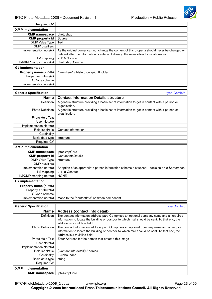

<span id="page-22-0"></span>

| Required CV                  |                                                                                                                                                                                        |
|------------------------------|----------------------------------------------------------------------------------------------------------------------------------------------------------------------------------------|
| <b>XMP</b> implementation    |                                                                                                                                                                                        |
| <b>XMP namespace</b>         | photoshop                                                                                                                                                                              |
| <b>XMP</b> property id       | Source                                                                                                                                                                                 |
| <b>XMP Value Type</b>        | Text                                                                                                                                                                                   |
| <b>XMP</b> qualifiers        |                                                                                                                                                                                        |
| Implementation note(s)       | As the original owner can not change the content of this property should never be changed or<br>deleted after the information is entered following the news object's initial creation. |
| IIM mapping                  | 2:115 Source                                                                                                                                                                           |
| IIM/XMP mapping note(s)      | photoshop:Source                                                                                                                                                                       |
| <b>G2 implementation</b>     |                                                                                                                                                                                        |
| Property name (XPath)        | /newsltem/rightsInfo/copyrightHolder                                                                                                                                                   |
| Property-attribute(s)        |                                                                                                                                                                                        |
| QCode scheme                 |                                                                                                                                                                                        |
| Implementation note(s)       |                                                                                                                                                                                        |
|                              |                                                                                                                                                                                        |
| <b>Generic Specification</b> | type-ContInfo                                                                                                                                                                          |
| <b>Name</b>                  | <b>Contact Information Details structure</b>                                                                                                                                           |
| Definition                   | A generic structure providing a basic set of information to get in contact with a person or<br>organisation.                                                                           |
| Photo Definition             | A generic structure providing a basic set of information to get in contact with a person or<br>organisation.                                                                           |
| Photo Help Text              |                                                                                                                                                                                        |
| User Note(s)                 |                                                                                                                                                                                        |
| Implementation Note(s)       |                                                                                                                                                                                        |
| Field label/title            | Contact Information                                                                                                                                                                    |
| $C$ ordinolity               |                                                                                                                                                                                        |

| Cardinality                  |                                                                                           |
|------------------------------|-------------------------------------------------------------------------------------------|
| Basic data type              | structure                                                                                 |
| <b>Required CV</b>           |                                                                                           |
| <b>XMP</b> implementation    |                                                                                           |
| <b>XMP namespace</b>         | lptc4xmpCore                                                                              |
| <b>XMP</b> property id       | ContactInfoDetails                                                                        |
| <b>XMP Value Type</b>        | structure                                                                                 |
| <b>XMP</b> qualifiers        |                                                                                           |
| Implementation note(s)       | Adoption of an appropriate person information scheme discussed - decision on 9 September. |
| IIM mapping                  | 2:118 Contact                                                                             |
| IIM/XMP mapping note(s)      | <b>NONE</b>                                                                               |
| <b>G2</b> implementation     |                                                                                           |
| <b>Property name (XPath)</b> |                                                                                           |
| Property-attribute(s)        |                                                                                           |
| QCode scheme                 |                                                                                           |
| Implementation note(s)       | Maps to the "contactinfo" common component                                                |

| <b>Generic Specification</b> | type-Continfo                                                                                                                 |
|------------------------------|-------------------------------------------------------------------------------------------------------------------------------|
| <b>Name</b>                  | Address {contact info detail}                                                                                                 |
| <b>Definition</b>            | The contact information address part. Comprises an optional company name and all required                                     |
|                              | information to locate the building or postbox to which mail should be sent. To that end, the<br>address is a multiline field. |
| <b>Photo Definition</b>      | The contact information address part. Comprises an optional company name and all required                                     |
|                              | information to locate the building or postbox to which mail should be sent. To that end, the                                  |
|                              | address is a multiline field.                                                                                                 |
| Photo Help Text              | Enter Address for the person that created this image                                                                          |
| User Note(s)                 |                                                                                                                               |
| Implementation Note(s)       |                                                                                                                               |
| Field label/title            | (Contact Info detail:) Address                                                                                                |
| Cardinality                  | 0unbounded                                                                                                                    |
| Basic data type              | string                                                                                                                        |
| <b>Required CV</b>           |                                                                                                                               |
| <b>XMP</b> implementation    |                                                                                                                               |
| <b>XMP namespace</b>         | lptc4xmpCore                                                                                                                  |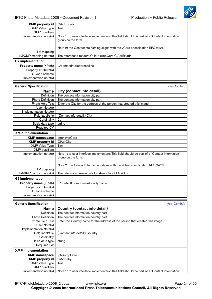

<span id="page-23-0"></span>

| <b>XMP</b> property id       | CiAdrExtadr                                                                                                        |
|------------------------------|--------------------------------------------------------------------------------------------------------------------|
| XMP Value Type               | Text                                                                                                               |
| <b>XMP</b> qualifiers        |                                                                                                                    |
| Implementation note(s)       | Note 1: to user interface implementers: This field should be part of a "Contact information"<br>group on the form. |
|                              | Note 2: the ContactInfo naming aligns with the vCard specification RFC 2426.                                       |
| IIM mapping                  |                                                                                                                    |
| $IIM/XMP$ mapping note(s)    | The referenced resource's lptc4xmpCore:CiAdrExtadr                                                                 |
| <b>G2</b> implementation     |                                                                                                                    |
| <b>Property name (XPath)</b> | /contactInfo/address/line                                                                                          |
| Property-attribute(s)        |                                                                                                                    |
| QCode scheme                 |                                                                                                                    |
| Implementation note(s)       |                                                                                                                    |

| <b>Generic Specification</b>       | type-ContInfo                                                                                                      |
|------------------------------------|--------------------------------------------------------------------------------------------------------------------|
| <b>Name</b>                        | City {contact info detail}                                                                                         |
| Definition                         | The contact information city part.                                                                                 |
| Photo Definition                   | The contact information city part.                                                                                 |
| Photo Help Text                    | Enter the City for the address of the person that created this image                                               |
| $\overline{\mathsf{User}}$ Note(s) |                                                                                                                    |
| Implementation Note(s)             |                                                                                                                    |
| Field label/title                  | (Contact Info detail:) City                                                                                        |
| Cardinality                        | 0.1                                                                                                                |
| Basic data type                    | string                                                                                                             |
| <b>Required CV</b>                 |                                                                                                                    |
| <b>XMP</b> implementation          |                                                                                                                    |
| <b>XMP namespace</b>               | lptc4xmpCore                                                                                                       |
| <b>XMP</b> property id             | CiAdrCity                                                                                                          |
| <b>XMP Value Type</b>              | Text                                                                                                               |
| <b>XMP</b> qualifiers              |                                                                                                                    |
| Implementation note(s)             | Note 1: to user interface implementers: This field should be part of a "Contact information"<br>group on the form. |
|                                    | Note 2: the ContactInfo naming aligns with the vCard specification RFC 2426.                                       |
| IIM mapping                        |                                                                                                                    |
| IIM/XMP mapping note(s)            | The referenced resource's lptc4xmpCore:CiAdrCity                                                                   |
| <b>G2 implementation</b>           |                                                                                                                    |
| Property name (XPath)              | /contactInfo/address/locality/name                                                                                 |
| Property-attribute(s)              |                                                                                                                    |
| QCode scheme                       |                                                                                                                    |
| Implementation note(s)             |                                                                                                                    |

| <b>Generic Specification</b> |                                                                                              | type-Continfo |
|------------------------------|----------------------------------------------------------------------------------------------|---------------|
| <b>Name</b>                  | Country {contact info detail}                                                                |               |
| <b>Definition</b>            | The contact information country part.                                                        |               |
| <b>Photo Definition</b>      | The contact information country part.                                                        |               |
| Photo Help Text              | Enter the Country name for the address of the person that created this image                 |               |
| User Note(s)                 |                                                                                              |               |
| Implementation Note(s)       |                                                                                              |               |
| Field label/title            | (Contact Info detail:) Country                                                               |               |
| Cardinality                  | 0 <sub>1</sub>                                                                               |               |
| Basic data type              | string                                                                                       |               |
| <b>Required CV</b>           |                                                                                              |               |
| <b>XMP</b> implementation    |                                                                                              |               |
| <b>XMP namespace</b>         | lptc4xmpCore                                                                                 |               |
| <b>XMP</b> property id       | CiAdrCtry                                                                                    |               |
| <b>XMP Value Type</b>        | Text                                                                                         |               |
| <b>XMP</b> qualifiers        |                                                                                              |               |
| Implementation note(s)       | Note 1: to user interface implementers: This field should be part of a "Contact information" |               |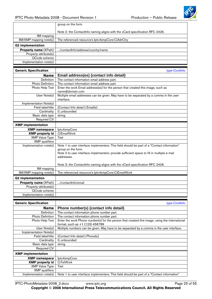

<span id="page-24-0"></span>

|                              | group on the form.                                                                          |  |
|------------------------------|---------------------------------------------------------------------------------------------|--|
|                              | Note 2: the ContactInfo naming aligns with the vCard specification RFC 2426.                |  |
| <b>IIM</b> mapping           |                                                                                             |  |
| IIM/XMP mapping note(s)      | The referenced resource's lptc4xmpCore:CiAdrCtry                                            |  |
| <b>G2 implementation</b>     |                                                                                             |  |
| Property name (XPath)        | /contactInfo/address/country/name                                                           |  |
| Property-attribute(s)        |                                                                                             |  |
| QCode scheme                 |                                                                                             |  |
| Implementation note(s)       |                                                                                             |  |
| <b>Generic Specification</b> | type-ContInfo                                                                               |  |
| <b>Name</b>                  | Email address(es) {contact info detail}                                                     |  |
| Definition                   | The contact information email address part.                                                 |  |
| Photo Definition             | The contact information email address part.                                                 |  |
| Photo Help Text              | Enter the work Email address(es) for the person that created this image, such as            |  |
|                              | name@domain.com                                                                             |  |
| User Note(s)                 | Multiple email addresses can be given. May have to be separated by a comma in the user      |  |
|                              | interface.                                                                                  |  |
| Implementation Note(s)       |                                                                                             |  |
| Field label/title            | (Contact Info detail:) Email(s)                                                             |  |
| Cardinality                  | 0unbounded                                                                                  |  |
| Basic data type              | string                                                                                      |  |
| Required CV                  |                                                                                             |  |
| <b>XMP</b> implementation    |                                                                                             |  |
| <b>XMP</b> namespace         | lptc4xmpCore                                                                                |  |
| <b>XMP</b> property id       | CiEmailWork                                                                                 |  |
| <b>XMP Value Type</b>        | Text                                                                                        |  |
| <b>XMP</b> qualifiers        |                                                                                             |  |
| Implementation note(s)       | Note 1 to user interface implementers: This field should be part of a "Contact information" |  |
|                              | group on the form.                                                                          |  |
|                              | Note 2 to user interface implementers: provide sufficient space to fill in multiple e-mail  |  |
|                              | addresses.                                                                                  |  |
|                              | Note 3: the ContactInfo naming aligns with the vCard specification RFC 2426.                |  |
| <b>IIM</b> mapping           |                                                                                             |  |
| IIM/XMP mapping note(s)      | The referenced resource's lptc4xmpCore:CiEmailWork                                          |  |
|                              |                                                                                             |  |
| <b>G2 implementation</b>     |                                                                                             |  |
| Property name (XPath)        | /contactInfo/email                                                                          |  |
| Property-attribute(s)        |                                                                                             |  |
| QCode scheme                 |                                                                                             |  |
| Implementation note(s)       |                                                                                             |  |

| <b>Generic Specification</b> | type-Continfo                                                                                  |
|------------------------------|------------------------------------------------------------------------------------------------|
| Name                         | Phone number(s) {contact info detail}                                                          |
| <b>Definition</b>            | The contact information phone number part.                                                     |
| <b>Photo Definition</b>      | The contact information phone number part.                                                     |
| Photo Help Text              | Enter the work Phone number(s) for the person that created this image, using the international |
|                              | format, such as +1 (123) 456789                                                                |
| User Note(s)                 | Multiple numbers can be given. May have to be separated by a comma in the user interface.      |
| Implementation Note(s)       |                                                                                                |
| Field label/title            | (Contact Info detail:) Phone(s)                                                                |
| Cardinality                  | 0.,unbounded                                                                                   |
| Basic data type              | string                                                                                         |
| <b>Required CV</b>           |                                                                                                |
| <b>XMP</b> implementation    |                                                                                                |
| <b>XMP namespace</b>         | lptc4xmpCore                                                                                   |
| <b>XMP</b> property id       | <b>CiTelWork</b>                                                                               |
| <b>XMP Value Type</b>        | Text                                                                                           |
| <b>XMP</b> qualifiers        |                                                                                                |
| Implementation note(s)       | Note 1 to user interface implementers: This field should be part of a "Contact information"    |

IPTC-PhotoMetadata-2008\_2.docx www.iptc.org Page 25 of 55 **Copyright** © **2008 International Press Telecommunications Council. All Rights Reserved**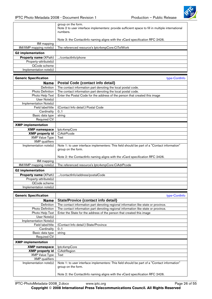

<span id="page-25-0"></span>

|                                                 | group on the form.<br>Note 2 to user interface implementers: provide sufficient space to fill in multiple international<br>numbers.                         |
|-------------------------------------------------|-------------------------------------------------------------------------------------------------------------------------------------------------------------|
|                                                 | Note 3: the ContactInfo naming aligns with the vCard specification RFC 2426.                                                                                |
| IIM mapping                                     |                                                                                                                                                             |
| IIM/XMP mapping note(s)                         | The referenced resource's lptc4xmpCore:CiTelWork                                                                                                            |
| <b>G2</b> implementation                        |                                                                                                                                                             |
| Property name (XPath)                           | /contactInfo/phone                                                                                                                                          |
| Property-attribute(s)                           |                                                                                                                                                             |
| QCode scheme                                    |                                                                                                                                                             |
| Implementation note(s)                          |                                                                                                                                                             |
| <b>Generic Specification</b>                    | type-ContInfo                                                                                                                                               |
| <b>Name</b>                                     | <b>Postal Code {contact info detail}</b>                                                                                                                    |
| Definition                                      | The contact information part denoting the local postal code.                                                                                                |
| Photo Definition                                | The contact information part denoting the local postal code.                                                                                                |
| Photo Help Text                                 | Enter the Postal Code for the address of the person that created this image                                                                                 |
| User Note(s)                                    |                                                                                                                                                             |
| Implementation Note(s)                          |                                                                                                                                                             |
| Field label/title                               | (Contact Info detail:) Postal Code                                                                                                                          |
| Cardinality                                     | 0.1                                                                                                                                                         |
| Basic data type                                 | string                                                                                                                                                      |
| Required CV                                     |                                                                                                                                                             |
| <b>XMP</b> implementation                       |                                                                                                                                                             |
| <b>XMP</b> namespace                            | lptc4xmpCore                                                                                                                                                |
| <b>XMP</b> property id                          | CiAdrPcode                                                                                                                                                  |
| <b>XMP Value Type</b>                           | Text                                                                                                                                                        |
| <b>XMP</b> qualifiers<br>Implementation note(s) | Note 1: to user interface implementers: This field should be part of a "Contact information"                                                                |
|                                                 | group on the form.                                                                                                                                          |
|                                                 |                                                                                                                                                             |
|                                                 | Note 2: the ContactInfo naming aligns with the vCard specification RFC 2426.                                                                                |
| IIM mapping                                     |                                                                                                                                                             |
| IIM/XMP mapping note(s)                         | The referenced resource's lptc4xmpCore:CiAdrPcode                                                                                                           |
| <b>G2</b> implementation                        |                                                                                                                                                             |
| <b>Property name (XPath)</b>                    | /contactInfo/address/postalCode                                                                                                                             |
| Property-attribute(s)                           |                                                                                                                                                             |
| QCode scheme                                    |                                                                                                                                                             |
| Implementation note(s)                          |                                                                                                                                                             |
|                                                 |                                                                                                                                                             |
| <b>Generic Specification</b>                    | type-ContInfo                                                                                                                                               |
| <b>Name</b>                                     | State/Provice {contact info detail}                                                                                                                         |
| Definition                                      | The contact information part denoting regional information like state or province.                                                                          |
| <b>Photo Definition</b><br>Photo Help Text      | The contact information part denoting regional information like state or province.<br>Enter the State for the address of the person that created this image |
| User Note(s)                                    |                                                                                                                                                             |
| Implementation Note(s)                          |                                                                                                                                                             |
| Field label/title                               | (Contact Info detail:) State/Province                                                                                                                       |
| Cardinality                                     | 0.1                                                                                                                                                         |
| Basic data type                                 | string                                                                                                                                                      |
| Required CV                                     |                                                                                                                                                             |
| <b>XMP</b> implementation                       |                                                                                                                                                             |
| <b>XMP namespace</b>                            | lptc4xmpCore                                                                                                                                                |
| <b>XMP</b> property id                          | CiAdrRegion                                                                                                                                                 |
| <b>XMP Value Type</b>                           | Text                                                                                                                                                        |
| <b>XMP</b> qualifiers                           |                                                                                                                                                             |
| Implementation note(s)                          | Note 1: to user interface implementers: This field should be part of a "Contact information"<br>group on the form.                                          |
|                                                 | Note 2: the ContactInfo naming aligns with the vCard specification RFC 2426.                                                                                |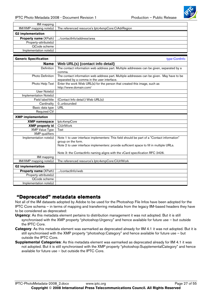

<span id="page-26-0"></span>

| IIM mapping                  |                                                                                                                                          |
|------------------------------|------------------------------------------------------------------------------------------------------------------------------------------|
| IIM/XMP mapping note(s)      | The referenced resource's lptc4xmpCore:CiAdrRegion                                                                                       |
| <b>G2</b> implementation     |                                                                                                                                          |
| Property name (XPath)        | /contactInfo/address/area                                                                                                                |
| Property-attribute(s)        |                                                                                                                                          |
| QCode scheme                 |                                                                                                                                          |
| Implementation note(s)       |                                                                                                                                          |
|                              |                                                                                                                                          |
| <b>Generic Specification</b> | type-ContInfo                                                                                                                            |
| <b>Name</b>                  | Web URL(s) {contact info detail}                                                                                                         |
| Definition                   | The contact information web address part. Multiple addresses can be given, separated by a                                                |
|                              | comma.                                                                                                                                   |
| Photo Definition             | The contact information web address part. Multiple addresses can be given. May have to be<br>separated by a comma in the user interface. |
| Photo Help Text              | Enter the work Web URL(s) for the person that created this image, such as                                                                |
|                              | http://www.domain.com/                                                                                                                   |
| User Note(s)                 |                                                                                                                                          |
| Implementation Note(s)       |                                                                                                                                          |
| Field label/title            | (Contact Info detail:) Web URL(s)                                                                                                        |
| Cardinality                  | 0unbounded                                                                                                                               |
| Basic data type              | URL                                                                                                                                      |
| <b>Required CV</b>           |                                                                                                                                          |
| <b>XMP</b> implementation    |                                                                                                                                          |
| <b>XMP</b> namespace         | lptc4xmpCore                                                                                                                             |
| <b>XMP</b> property id       | <b>CiUrlWork</b>                                                                                                                         |
| <b>XMP Value Type</b>        | Text                                                                                                                                     |
| <b>XMP</b> qualifiers        |                                                                                                                                          |
| Implementation note(s)       | Note 1 to user interface implementers: This field should be part of a "Contact information"                                              |
|                              | group on the form.                                                                                                                       |
|                              | Note 2 to user interface implementers: provide sufficient space to fill in multiple URLs.                                                |
|                              | Note 3: the ContactInfo naming aligns with the vCard specification RFC 2426.                                                             |
| IIM mapping                  |                                                                                                                                          |
| IIM/XMP mapping note(s)      | The referenced resource's lptc4xmpCore:CiUrlWork                                                                                         |
| <b>G2</b> implementation     |                                                                                                                                          |
| Property name (XPath)        | /contactInfo/web                                                                                                                         |
| Property-attribute(s)        |                                                                                                                                          |
| QCode scheme                 |                                                                                                                                          |
| Implementation note(s)       |                                                                                                                                          |

#### **"Deprecated" metadata elements**

Not all of the IIM datasets adopted by Adobe to be used for the Photoshop File Infos have been adopted for the IPTC Core schema – in terms of mapping and transferring metadata from the legacy IIM-based headers they have to be considered as deprecated:

- **Urgency**: As this metadata element pertains to distribution management it was not adopted. But it is still synchronised with the XMP property "photoshop:Urgency" and hence available for future use – but outside the IPTC Core.
- **Category**: As this metadata element was earmarked as deprecated already for IIM 4.1 it was not adopted. But it is still synchronised with the XMP property "photoshop:Category" and hence available for future use – but outside the IPTC Core.
- **Supplemental Categories**: As this metadata element was earmarked as deprecated already for IIM 4.1 it was not adopted. But it is still synchronised with the XMP property "photoshop:SupplementalCategory" and hence available for future use – but outside the IPTC Core.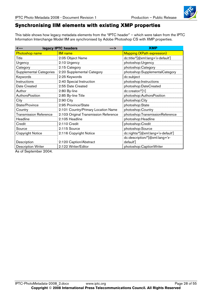### <span id="page-27-0"></span>**Synchronising IIM elements with existing XMP properties**

This table shows how legacy metadata elements from the "IPTC header" – which were taken from the IPTC Information Interchange Model IIM are synchronised by Adobe Photoshop CS with XMP properties.

| $\leftarrow$                   | legacy IPTC headers<br>--- >          | <b>XMP</b>                         |
|--------------------------------|---------------------------------------|------------------------------------|
| <b>Photoshop name</b>          | <b>IIM</b> name                       | <b>Mapping (XPath expression)</b>  |
| Title                          | 2:05 Object Name                      | dc:title/*[@xml:lang='x-default']  |
| Urgency                        | 2:10 Urgency                          | photoshop:Urgency                  |
| Category                       | 2:15 Category                         | photoshop:Category                 |
| <b>Supplemental Categories</b> | 2:20 Supplemental Category            | photoshop:SupplementalCategory     |
| Keywords                       | 2:25 Keywords                         | dc:subject                         |
| Instructions                   | 2:40 Special Instruction              | photoshop:Instructions             |
| Date Created                   | 2:55 Date Created                     | photoshop:DateCreated              |
| Author                         | 2:80 By-line                          | $dc: creator/*[1]$                 |
| AuthorsPosition                | 2:85 By-line Title                    | photoshop:AuthorsPosition          |
| City                           | 2:90 City                             | photoshop:City                     |
| State/Province                 | 2:95 Province/State                   | photoshop:State                    |
| Country                        | 2:101 Country/Primary Location Name   | photoshop:Country                  |
| <b>Transmission Reference</b>  | 2:103 Original Transmission Reference | photoshop:TransmissionReference    |
| Headline                       | 2:105 Headline                        | photoshop:Headline                 |
| Credit                         | 2:110 Credit                          | photoshop:Credit                   |
| Source                         | 2:115 Source                          | photoshop:Source                   |
| <b>Copyright Notice</b>        | 2:116 Copyright Notice                | dc:rights/*[@xml:lang='x-default'] |
|                                |                                       | dc:description/*[@xml:lang='x-     |
| Description                    | 2:120 Caption/Abstract                | default']                          |
| <b>Description Writer</b>      | 2:122 Writer/Editor                   | photoshop:CaptionWriter            |

As of September 2004.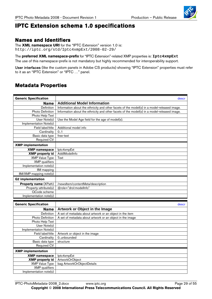

# <span id="page-28-0"></span>**IPTC Extension schema 1.0 specifications**

#### **Names and Identifiers**

The **XML namespace URI** for the "IPTC Extension" version 1.0 is: http://iptc.org/std/Iptc4xmpExt/2008-02-29/

The **preferred XML namespace-prefix** for "IPTC Extension"-related XMP properties is: **Iptc4xmpExt** The use of this namespace-prefix is not mandatory but highly recommended for interoperability support.

User interfaces (like the custom panels in Adobe CS products) showing "IPTC Extension" properties must refer to it as an "IPTC Extension" or "IPTC …" panel.

### **Metadata Properties**

| <b>Generic Specification</b> | descr                                                                                       |
|------------------------------|---------------------------------------------------------------------------------------------|
| Name                         | <b>Additional Model Information</b>                                                         |
| Definition                   | Information about the ethnicity and other facets of the model(s) in a model-released image. |
| <b>Photo Definition</b>      | Information about the ethnicity and other facets of the model(s) in a model-released image. |
| Photo Help Text              |                                                                                             |
| User Note(s)                 | Use the Model Age field for the age of model(s).                                            |
| Implementation Note(s)       |                                                                                             |
| Field label/title            | Additional model info                                                                       |
| Cardinality                  | 0.1                                                                                         |
| Basic data type              | free-text                                                                                   |
| Required CV                  |                                                                                             |
| <b>XMP</b> implementation    |                                                                                             |
| <b>XMP</b> namespace         | lptc4xmpExt                                                                                 |
| <b>XMP</b> property id       | AddlModelInfo                                                                               |
| <b>XMP Value Type</b>        | Text                                                                                        |
| <b>XMP</b> qualifiers        |                                                                                             |
| Implementation note(s)       |                                                                                             |
| IIM mapping                  |                                                                                             |
| IIM/XMP mapping note(s)      |                                                                                             |
| <b>G2</b> implementation     |                                                                                             |
| Property name (XPath)        | /newsltem/contentMeta/description                                                           |
| Property-attribute(s)        | @role="drol:modelInfo"                                                                      |
| QCode scheme                 |                                                                                             |
| Implementation note(s)       |                                                                                             |
|                              |                                                                                             |
| <b>Generic Specification</b> | descr                                                                                       |
| <b>Name</b>                  | Artwork or Object in the Image                                                              |
| Definition                   | A set of metadata about artwork or an object in the item                                    |
| Photo Definition             | A set of metadata about artwork or an object in the image                                   |
| Photo Help Text              |                                                                                             |
| User Note(s)                 |                                                                                             |
| Implementation Note(s)       |                                                                                             |
| Field label/title            | Artwork or object in the image                                                              |
| Cardinality                  | 0unbounded                                                                                  |
| Basic data type              | structure                                                                                   |
| <b>Required CV</b>           |                                                                                             |
| <b>XMP</b> implementation    |                                                                                             |
| <b>XMP namespace</b>         | lptc4xmpExt                                                                                 |
| <b>XMP</b> property id       | ArtworkOrObject                                                                             |
| <b>XMP Value Type</b>        | bag ArtworkOrObjectDetails                                                                  |
| <b>XMP</b> qualifiers        |                                                                                             |
| Implementation note(s)       |                                                                                             |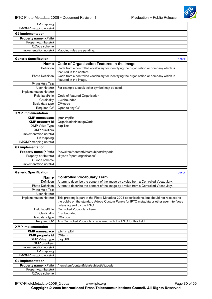

<span id="page-29-0"></span>

| IIM mapping                  |                                                                                             |
|------------------------------|---------------------------------------------------------------------------------------------|
| IIM/XMP mapping note(s)      |                                                                                             |
| <b>G2 implementation</b>     |                                                                                             |
| Property name (XPath)        |                                                                                             |
| Property-attribute(s)        |                                                                                             |
| QCode scheme                 |                                                                                             |
| Implementation note(s)       | Mapping rules are pending.                                                                  |
|                              |                                                                                             |
| <b>Generic Specification</b> | descr                                                                                       |
| <b>Name</b>                  | Code of Organisation Featured in the Image                                                  |
| Definition                   | Code from a controlled vocabulary for identifying the organisation or company which is      |
|                              | featured in the content.                                                                    |
| Photo Definition             | Code from a controlled vocabulary for identifying the organisation or company which is      |
|                              | featured in the image.                                                                      |
| Photo Help Text              |                                                                                             |
| User Note(s)                 | For example a stock ticker symbol may be used.                                              |
| Implementation Note(s)       |                                                                                             |
| Field label/title            | Code of featured Organisation                                                               |
| Cardinality                  | 0unbounded                                                                                  |
| Basic data type              | CV-code                                                                                     |
| <b>Required CV</b>           | Open to any CV                                                                              |
|                              |                                                                                             |
| <b>XMP</b> implementation    |                                                                                             |
| <b>XMP</b> namespace         | lptc4xmpExt                                                                                 |
| <b>XMP</b> property id       | OrganisationInImageCode                                                                     |
| <b>XMP Value Type</b>        | bag Text                                                                                    |
| <b>XMP</b> qualifiers        |                                                                                             |
| Implementation note(s)       |                                                                                             |
| IIM mapping                  |                                                                                             |
| IIM/XMP mapping note(s)      |                                                                                             |
| <b>G2</b> implementation     |                                                                                             |
| <b>Property name (XPath)</b> | /newsltem/contentMeta/subject/@qcode                                                        |
| Property-attribute(s)        | @type="cpnat:organisation"                                                                  |
| QCode scheme                 |                                                                                             |
| Implementation note(s)       |                                                                                             |
|                              |                                                                                             |
| <b>Generic Specification</b> | descr                                                                                       |
| <b>Name</b>                  | <b>Controlled Vocabulary Term</b>                                                           |
| Definition                   | A term to describe the content of the image by a value from a Controlled Vocabulary.        |
| Photo Definition             | A term to describe the content of the image by a value from a Controlled Vocabulary.        |
| Photo Help Text              |                                                                                             |
| User Note(s)                 |                                                                                             |
| Implementation Note(s)       | This property is part of the Photo Metadata 2008 specifications, but should not released to |
|                              | the public on the standard Adobe Custom Panels for IPTC metadata or other user interfaces   |
|                              | unless agreed by the IPTC.                                                                  |
| Field label/title            | <b>Controlled Vocabulary Term</b>                                                           |
| Cardinality                  | 0unbounded                                                                                  |
| Basic data type              | CV-code                                                                                     |
| Required CV                  | Any Controlled Vocabulary registered with the IPTC for this field.                          |
| <b>XMP</b> implementation    |                                                                                             |
| <b>XMP namespace</b>         | lptc4xmpExt                                                                                 |
| <b>XMP</b> property id       | <b>CVterm</b>                                                                               |
| <b>XMP Value Type</b>        | bag URI                                                                                     |
| <b>XMP</b> qualifiers        |                                                                                             |
| Implementation note(s)       |                                                                                             |
| IIM mapping                  |                                                                                             |
| IIM/XMP mapping note(s)      |                                                                                             |
| <b>G2 implementation</b>     |                                                                                             |
| Property name (XPath)        | /newsltem/contentMeta/subject/@qcode                                                        |
| Property-attribute(s)        |                                                                                             |
| QCode scheme                 |                                                                                             |
|                              |                                                                                             |

IPTC-PhotoMetadata-2008\_2.docx www.iptc.org Page 30 of 55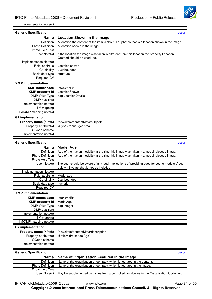

<span id="page-30-0"></span>Implementation note(s)

| <b>Generic Specification</b> | descr                                                                                          |
|------------------------------|------------------------------------------------------------------------------------------------|
| <b>Name</b>                  | <b>Location Shown in the Image</b>                                                             |
| Definition                   | A location the content of the item is about. For photos that is a location shown in the image. |
| Photo Definition             | A location shown in the image.                                                                 |
| Photo Help Text              |                                                                                                |
| User Note(s)                 | If the location the image was taken is different from this location the property Location      |
|                              | Created should be used too.                                                                    |
| Implementation Note(s)       |                                                                                                |
| Field label/title            | Location shown                                                                                 |
| Cardinality                  | 0.,unbounded                                                                                   |
| Basic data type              | structure                                                                                      |
| Required CV                  |                                                                                                |
| <b>XMP</b> implementation    |                                                                                                |
| <b>XMP</b> namespace         | lptc4xmpExt                                                                                    |
| <b>XMP</b> property id       | LocationShown                                                                                  |
| <b>XMP Value Type</b>        | bag LocationDetails                                                                            |
| <b>XMP</b> qualifiers        |                                                                                                |
| Implementation note(s)       |                                                                                                |
| IIM mapping                  |                                                                                                |
| IIM/XMP mapping note(s)      |                                                                                                |
| <b>G2 implementation</b>     |                                                                                                |
| Property name (XPath)        | /newsltem/contentMeta/subject/                                                                 |
| Property-attribute(s)        | @type="cpnat:geoArea"                                                                          |
| QCode scheme                 |                                                                                                |
| Implementation note(s)       |                                                                                                |

| <b>Generic Specification</b> | descr                                                                                       |
|------------------------------|---------------------------------------------------------------------------------------------|
| <b>Name</b>                  | <b>Model Age</b>                                                                            |
| Definition                   | Age of the human model(s) at the time this image was taken in a model released image.       |
| <b>Photo Definition</b>      | Age of the human model(s) at the time this image was taken in a model released image.       |
| Photo Help Text              |                                                                                             |
| User Note(s)                 | The user should be aware of any legal implications of providing ages for young models. Ages |
|                              | below 18 years should not be included.                                                      |
| Implementation Note(s)       |                                                                                             |
| Field label/title            | Model age                                                                                   |
| Cardinality                  | 0.,unbounded                                                                                |
| Basic data type              | numeric                                                                                     |
| Required CV                  |                                                                                             |
| <b>XMP</b> implementation    |                                                                                             |
| <b>XMP namespace</b>         | lptc4xmpExt                                                                                 |
| <b>XMP</b> property id       | ModelAge                                                                                    |
| <b>XMP Value Type</b>        | bag Integer                                                                                 |
| <b>XMP</b> qualifiers        |                                                                                             |
| Implementation note(s)       |                                                                                             |
| <b>IIM</b> mapping           |                                                                                             |
| IIM/XMP mapping note(s)      |                                                                                             |
| <b>G2 implementation</b>     |                                                                                             |
| <b>Property name (XPath)</b> | /newsltem/contentMeta/description                                                           |
| Property-attribute(s)        | @role="drol:modelAge"                                                                       |
| QCode scheme                 |                                                                                             |
| Implementation note(s)       |                                                                                             |

| <b>Generic Specification</b> | descr                                                                                      |
|------------------------------|--------------------------------------------------------------------------------------------|
| Name                         | Name of Organisation Featured in the Image                                                 |
| Definition                   | Name of the organisation or company which is featured in the content.                      |
| <b>Photo Definition</b>      | Name of the organisation or company which is featured in the image.                        |
| Photo Help Text              |                                                                                            |
| User $Note(s)$               | May be supplemented by values from a controlled vocabulary in the Organisation Code field. |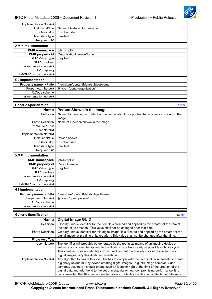

<span id="page-31-0"></span>

| Implementation Note(s)       |                                    |
|------------------------------|------------------------------------|
| Field label/title            | Name of featured Organisation      |
| Cardinality                  | 0unbounded                         |
| Basic data type              | free-text                          |
| Required CV                  |                                    |
| <b>XMP</b> implementation    |                                    |
| <b>XMP namespace</b>         | lptc4xmpExt                        |
| <b>XMP</b> property id       | OrganisationInImageName            |
| <b>XMP Value Type</b>        | bag Text                           |
| <b>XMP</b> qualifiers        |                                    |
| Implementation note(s)       |                                    |
| IIM mapping                  |                                    |
| IIM/XMP mapping note(s)      |                                    |
| <b>G2</b> implementation     |                                    |
| <b>Property name (XPath)</b> | /newsltem/contentMeta/subject/name |
| Property-attribute(s)        | @type="cpnat:organisation"         |
| QCode scheme                 |                                    |
| Implementation note(s)       |                                    |

| <b>Generic Specification</b> | descr                                                                                       |
|------------------------------|---------------------------------------------------------------------------------------------|
| Name                         | Person Shown in the Image                                                                   |
| <b>Definition</b>            | Name of a person the content of the item is about. For photos that is a person shown in the |
|                              | image.                                                                                      |
| Photo Definition             | Name of a person shown in the image.                                                        |
| Photo Help Text              |                                                                                             |
| User Note(s)                 |                                                                                             |
| Implementation Note(s)       |                                                                                             |
| Field label/title            | Person shown                                                                                |
| Cardinality                  | 0.unbounded                                                                                 |
| Basic data type              | free-text                                                                                   |
| Required CV                  |                                                                                             |
| <b>XMP</b> implementation    |                                                                                             |
| <b>XMP namespace</b>         | lptc4xmpExt                                                                                 |
| <b>XMP</b> property id       | PersonInImage                                                                               |
| <b>XMP Value Type</b>        | bag Text                                                                                    |
| <b>XMP</b> qualifiers        |                                                                                             |
| Implementation note(s)       |                                                                                             |
| IIM mapping                  |                                                                                             |
| IIM/XMP mapping note(s)      |                                                                                             |
| <b>G2 implementation</b>     |                                                                                             |
| <b>Property name (XPath)</b> | /newsltem/contentMeta/subject/name                                                          |
| Property-attribute(s)        | @type="cpnat:person"                                                                        |
| QCode scheme                 |                                                                                             |
| Implementation note(s)       |                                                                                             |

| <b>Generic Specification</b> | admin                                                                                              |
|------------------------------|----------------------------------------------------------------------------------------------------|
| <b>Name</b>                  | <b>Digital Image GUID</b>                                                                          |
| <b>Definition</b>            | Globally unique identifier for the item. It is created and applied by the creator of the item at   |
|                              | the time of its creation. This value shall not be changed after that time.                         |
| <b>Photo Definition</b>      | Globally unique identifier for this digital image. It is created and applied by the creator of the |
|                              | digital image at the time of its creation. This value shall not be changed after that time.        |
| Photo Help Text              |                                                                                                    |
| User Note(s)                 | The identifier will probably be generated by the technical means of an imaging device or           |
|                              | software and should be applied to the digital image file as early as possible in its life cycle.   |
|                              | This identifier does not identify any pictured content, particularly in case of a scan of non-     |
|                              | digital images, only this digital representation.                                                  |
| Implementation Note(s)       | Any algorithm to create this identifier has to comply with the technical requirements to create    |
|                              | a globally unique id. Any device creating digital images - e.g. still image cameras, video         |
|                              | cameras, scanners - should create such an identifer right at the time of the creation of the       |
|                              | digital data and add the id to the set of metadata without compromising performance. It is         |
|                              | recommended that this image identifier allows to identify the device by which the data were        |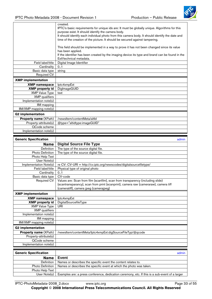

<span id="page-32-0"></span>

|                              | created.<br>IPTC's basic requirements for unique ids are: It must be globally unique. Algorithms for this<br>purpose exist. It should identify the camera body.<br>It should identify each individual photo from this camera body. It should identify the date and<br>time of the creation of the picture. It should be secured against tampering. |
|------------------------------|----------------------------------------------------------------------------------------------------------------------------------------------------------------------------------------------------------------------------------------------------------------------------------------------------------------------------------------------------|
|                              | This field should be implemented in a way to prove it has not been changed since its value<br>has been applied.                                                                                                                                                                                                                                    |
|                              | If the identifier has been created by the imaging device its type and brand can be found in the<br>Exif/technical metadata.                                                                                                                                                                                                                        |
| Field label/title            | Digital Image Identifier                                                                                                                                                                                                                                                                                                                           |
| Cardinality                  | 0.1                                                                                                                                                                                                                                                                                                                                                |
| Basic data type              | string                                                                                                                                                                                                                                                                                                                                             |
| <b>Required CV</b>           |                                                                                                                                                                                                                                                                                                                                                    |
| <b>XMP</b> implementation    |                                                                                                                                                                                                                                                                                                                                                    |
| <b>XMP namespace</b>         | lptc4xmpExt                                                                                                                                                                                                                                                                                                                                        |
| <b>XMP</b> property id       | DigImageGUID                                                                                                                                                                                                                                                                                                                                       |
| <b>XMP Value Type</b>        | text                                                                                                                                                                                                                                                                                                                                               |
| <b>XMP</b> qualifiers        |                                                                                                                                                                                                                                                                                                                                                    |
| Implementation note(s)       |                                                                                                                                                                                                                                                                                                                                                    |
| IIM mapping                  |                                                                                                                                                                                                                                                                                                                                                    |
| IIM/XMP mapping note(s)      |                                                                                                                                                                                                                                                                                                                                                    |
| <b>G2</b> implementation     |                                                                                                                                                                                                                                                                                                                                                    |
| Property name (XPath)        | /newsltem/contentMeta/altId                                                                                                                                                                                                                                                                                                                        |
| Property-attribute(s)        | @type="altidtype:imageGUID"                                                                                                                                                                                                                                                                                                                        |
| QCode scheme                 |                                                                                                                                                                                                                                                                                                                                                    |
| Implementation note(s)       |                                                                                                                                                                                                                                                                                                                                                    |
|                              |                                                                                                                                                                                                                                                                                                                                                    |
| <b>Generic Specification</b> | admin                                                                                                                                                                                                                                                                                                                                              |
| <b>Name</b>                  | <b>Digital Source File Type</b>                                                                                                                                                                                                                                                                                                                    |

| Generic Specification        |                                                                                      | dunni |
|------------------------------|--------------------------------------------------------------------------------------|-------|
| <b>Name</b>                  | <b>Digital Source File Type</b>                                                      |       |
| Definition                   | The type of the source digital file.                                                 |       |
| Photo Definition             | The type of the source digital file.                                                 |       |
| Photo Help Text              |                                                                                      |       |
| User Note(s)                 |                                                                                      |       |
| Implementation Note(s)       | re CV: CV-URI = http://cv.iptc.org/newscodes/digitalsourcefiletype/                  |       |
| Field label/title            | Physical type of original photo                                                      |       |
| Cardinality                  | 0.1                                                                                  |       |
| Basic data type              | CV-code                                                                              |       |
| Required CV                  | Values are: Scan from film {scanfilm}, scan from transparency (including slide)      |       |
|                              | {scantransparancy}, scan from print {scanprint}, camera raw {cameraraw}, camera tiff |       |
|                              | {cameratiff}, camera jpeg {camerajpeg}                                               |       |
| <b>XMP</b> implementation    |                                                                                      |       |
| <b>XMP</b> namespace         | lptc4xmpExt                                                                          |       |
| <b>XMP</b> property id       | DigitalSourcefileType                                                                |       |
| <b>XMP Value Type</b>        | <b>URI</b>                                                                           |       |
| <b>XMP</b> qualifiers        |                                                                                      |       |
| Implementation note(s)       |                                                                                      |       |
| IIM mapping                  |                                                                                      |       |
| IIM/XMP mapping note(s)      |                                                                                      |       |
| <b>G2 implementation</b>     |                                                                                      |       |
| <b>Property name (XPath)</b> | /newsltem/contentMeta/lptc4xmpExt:digSourceFileTyp/@qcode                            |       |
| Property-attribute(s)        |                                                                                      |       |
| QCode scheme                 |                                                                                      |       |
| Implementation note(s)       |                                                                                      |       |

| <b>Generic Specification</b> | admin                                                                                          |
|------------------------------|------------------------------------------------------------------------------------------------|
| <b>Name</b>                  | Event                                                                                          |
| Definition                   | Names or describes the specific event the content relates to.                                  |
|                              | Photo Definition   Names or describes the specific event at which the photo was taken.         |
| Photo Help Text              |                                                                                                |
| User Note(s)                 | Examples are: a press conference, dedication ceremony, etc. If this is a sub-event of a larger |

**Copyright** © **2008 International Press Telecommunications Council. All Rights Reserved**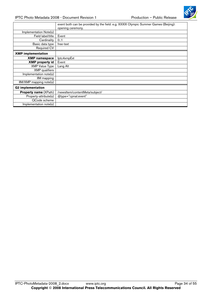

|                              | event both can be provided by the field: e.g. XXXIX Olympic Summer Games (Beijing):<br>opening ceremony. |
|------------------------------|----------------------------------------------------------------------------------------------------------|
| Implementation Note(s)       |                                                                                                          |
| Field label/title            | Event                                                                                                    |
| Cardinality                  | 0.1                                                                                                      |
| Basic data type              | free-text                                                                                                |
| <b>Required CV</b>           |                                                                                                          |
| <b>XMP</b> implementation    |                                                                                                          |
| <b>XMP namespace</b>         | lptc4xmpExt                                                                                              |
| <b>XMP</b> property id       | Event                                                                                                    |
| <b>XMP Value Type</b>        | Lang Alt                                                                                                 |
| <b>XMP</b> qualifiers        |                                                                                                          |
| Implementation note(s)       |                                                                                                          |
| IIM mapping                  |                                                                                                          |
| IIM/XMP mapping note(s)      |                                                                                                          |
| <b>G2</b> implementation     |                                                                                                          |
| <b>Property name (XPath)</b> | /newsltem/contentMeta/subject/                                                                           |
| Property-attribute(s)        | @type="cpnat:event"                                                                                      |
| QCode scheme                 |                                                                                                          |
| Implementation note(s)       |                                                                                                          |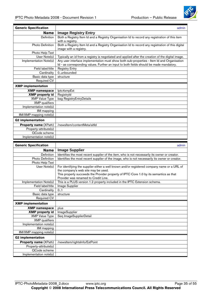

<span id="page-34-0"></span>

| <b>Generic Specification</b>           | admin                                                                                                                                                                                 |
|----------------------------------------|---------------------------------------------------------------------------------------------------------------------------------------------------------------------------------------|
| <b>Name</b>                            | <b>Image Registry Entry</b>                                                                                                                                                           |
| Definition                             | Both a Registry Item Id and a Registry Organisation Id to record any registration of this item<br>with a registry.                                                                    |
| Photo Definition                       | Both a Registry Item Id and a Registry Organisation Id to record any registration of this digital<br>image with a registry.                                                           |
| Photo Help Text                        |                                                                                                                                                                                       |
| User Note(s)                           | Typically an id from a registry is negotiated and applied after the creation of the digital image.                                                                                    |
| Implementation Note(s)                 | Any user interface implementation must show both sub-properties - Item Id and Organisation<br>Id - as corresponding values. Further an input to both fields should be made mandatory. |
| Field label/title                      | <b>Registry Entry</b>                                                                                                                                                                 |
| Cardinality                            | 0unbounded                                                                                                                                                                            |
| Basic data type                        | structure                                                                                                                                                                             |
| <b>Required CV</b>                     |                                                                                                                                                                                       |
| <b>XMP</b> implementation              |                                                                                                                                                                                       |
| <b>XMP namespace</b>                   | lptc4xmpExt                                                                                                                                                                           |
| <b>XMP</b> property id                 | RegistryId                                                                                                                                                                            |
| <b>XMP Value Type</b>                  | bag RegistryEntryDetails                                                                                                                                                              |
| <b>XMP</b> qualifiers                  |                                                                                                                                                                                       |
| Implementation note(s)                 |                                                                                                                                                                                       |
| IIM mapping                            |                                                                                                                                                                                       |
| IIM/XMP mapping note(s)                |                                                                                                                                                                                       |
| <b>G2 implementation</b>               |                                                                                                                                                                                       |
| Property name (XPath)                  | /newsltem/contentMeta/altId                                                                                                                                                           |
| Property-attribute(s)                  |                                                                                                                                                                                       |
| QCode scheme                           |                                                                                                                                                                                       |
| Implementation note(s)                 |                                                                                                                                                                                       |
|                                        |                                                                                                                                                                                       |
|                                        |                                                                                                                                                                                       |
| <b>Generic Specification</b>           | admin                                                                                                                                                                                 |
| <b>Name</b><br>Definition              | <b>Image Supplier</b>                                                                                                                                                                 |
| Photo Definition                       | Identifies the most recent supplier of the item, who is not necessarily its owner or creator.                                                                                         |
| Photo Help Text                        | Identifies the most recent supplier of the image, who is not necessarily its owner or creator.                                                                                        |
| User Note(s)                           | For identifying the supplier either a well known and/or registered company name or a URL of<br>the company's web site may be used.                                                    |
|                                        | This property succeeds the Provider property of IPTC Core 1.0 by its semantics as that                                                                                                |
| Implementation Note(s)                 | Provider was renamed to Credit Line.<br>This is a PLUS version 1.2 property included in the IPTC Extension schema.                                                                    |
| Field label/title                      | Image Supplier                                                                                                                                                                        |
| Cardinality                            | 0.1                                                                                                                                                                                   |
| Basic data type                        | structure                                                                                                                                                                             |
| <b>Required CV</b>                     |                                                                                                                                                                                       |
| <b>XMP</b> implementation              |                                                                                                                                                                                       |
| <b>XMP</b> namespace                   | plus                                                                                                                                                                                  |
| <b>XMP</b> property id                 | ImageSupplier                                                                                                                                                                         |
| <b>XMP Value Type</b>                  | Seq ImageSupplierDetail                                                                                                                                                               |
| <b>XMP</b> qualifiers                  |                                                                                                                                                                                       |
| Implementation note(s)                 |                                                                                                                                                                                       |
| IIM mapping                            |                                                                                                                                                                                       |
| IIM/XMP mapping note(s)                |                                                                                                                                                                                       |
| <b>G2</b> implementation               |                                                                                                                                                                                       |
| <b>Property name (XPath)</b>           | /newsltem/rightsInfo/ExtPoint                                                                                                                                                         |
| Property-attribute(s)                  |                                                                                                                                                                                       |
| QCode scheme<br>Implementation note(s) |                                                                                                                                                                                       |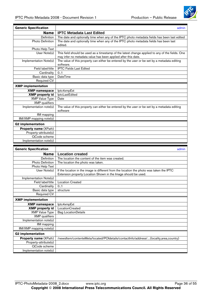

<span id="page-35-0"></span>

| <b>Generic Specification</b> | admin                                                                                           |
|------------------------------|-------------------------------------------------------------------------------------------------|
| <b>Name</b>                  | <b>IPTC Metadata Last Edited</b>                                                                |
| Definition                   | The date and optionally time when any of the IPTC photo metadata fields has been last edited    |
| Photo Definition             | The date and optionally time when any of the IPTC photo metadata fields has been last           |
|                              | edited.                                                                                         |
| Photo Help Text              |                                                                                                 |
| User Note(s)                 | This field should be used as a timestamp of the latest change applied to any of the fields. One |
|                              | may infer no metadata value has been applied after this date.                                   |
| Implementation Note(s)       | The value of this property can either be entered by the user or be set by a metadata editing    |
|                              | software.                                                                                       |
| Field label/title            | <b>IPTC Fields Last Edited</b>                                                                  |
| Cardinality                  | 0.1                                                                                             |
| Basic data type              | <b>DateTime</b>                                                                                 |
| <b>Required CV</b>           |                                                                                                 |
| <b>XMP</b> implementation    |                                                                                                 |
| <b>XMP</b> namespace         | lptc4xmpExt                                                                                     |
| <b>XMP</b> property id       | <b>IptcLastEdited</b>                                                                           |
| <b>XMP Value Type</b>        | Date                                                                                            |
| <b>XMP</b> qualifiers        |                                                                                                 |
| Implementation note(s)       | The value of this property can either be entered by the user or be set by a metadata editing    |
|                              | software                                                                                        |
| IIM mapping                  |                                                                                                 |
| IIM/XMP mapping note(s)      |                                                                                                 |
| <b>G2 implementation</b>     |                                                                                                 |
| Property name (XPath)        |                                                                                                 |
| Property-attribute(s)        |                                                                                                 |
| QCode scheme                 |                                                                                                 |
| Implementation note(s)       |                                                                                                 |
|                              |                                                                                                 |

| <b>Generic Specification</b> |                                                                                          | admin |
|------------------------------|------------------------------------------------------------------------------------------|-------|
| <b>Name</b>                  | <b>Location created</b>                                                                  |       |
| Definition                   | The location the content of the item was created.                                        |       |
| <b>Photo Definition</b>      | The location the photo was taken.                                                        |       |
| Photo Help Text              |                                                                                          |       |
| User Note(s)                 | If the location in the image is different from the location the photo was taken the IPTC |       |
|                              | Extension property Location Shown in the Image should be used.                           |       |
| Implementation Note(s)       |                                                                                          |       |
| Field label/title            | <b>Location Created</b>                                                                  |       |
| Cardinality                  | 0.1                                                                                      |       |
| Basic data type              | structure                                                                                |       |
| Required CV                  |                                                                                          |       |
| <b>XMP</b> implementation    |                                                                                          |       |
|                              |                                                                                          |       |
| <b>XMP namespace</b>         | lptc4xmpExt                                                                              |       |
| <b>XMP</b> property id       | LocationCreated                                                                          |       |
| <b>XMP Value Type</b>        | <b>Bag LocationDetails</b>                                                               |       |
| <b>XMP</b> qualifiers        |                                                                                          |       |
| Implementation note(s)       |                                                                                          |       |
| IIM mapping                  |                                                                                          |       |
| $IIM/XMP$ mapping note(s)    |                                                                                          |       |
| <b>G2 implementation</b>     |                                                                                          |       |
| Property name (XPath)        | /newsltem/contenteMeta/located/POIdetails/contactInfo/address/(locality,area,country)    |       |
| Property-attribute(s)        |                                                                                          |       |
| QCode scheme                 |                                                                                          |       |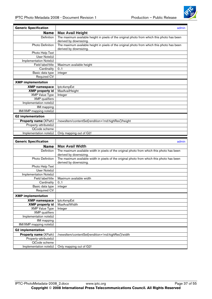

<span id="page-36-0"></span>

| <b>Generic Specification</b>           | admin                                                                                                                 |
|----------------------------------------|-----------------------------------------------------------------------------------------------------------------------|
| <b>Name</b>                            | <b>Max Avail Height</b>                                                                                               |
| Definition                             | The maximum available height in pixels of the original photo from which this photo has been<br>derived by downsizing. |
| <b>Photo Definition</b>                | The maximum available height in pixels of the original photo from which this photo has been<br>derived by downsizing. |
| Photo Help Text                        |                                                                                                                       |
| User Note(s)                           |                                                                                                                       |
| Implementation Note(s)                 |                                                                                                                       |
| Field label/title                      | Maximum available height                                                                                              |
| Cardinality                            | 0.1                                                                                                                   |
| Basic data type                        | integer                                                                                                               |
| <b>Required CV</b>                     |                                                                                                                       |
| <b>XMP</b> implementation              |                                                                                                                       |
| <b>XMP</b> namespace                   | lptc4xmpExt                                                                                                           |
| <b>XMP</b> property id                 | MaxAvailHeight                                                                                                        |
| <b>XMP Value Type</b>                  | Integer                                                                                                               |
| <b>XMP</b> qualifiers                  |                                                                                                                       |
| Implementation note(s)                 |                                                                                                                       |
| IIM mapping<br>IIM/XMP mapping note(s) |                                                                                                                       |
|                                        |                                                                                                                       |
| <b>G2</b> implementation               |                                                                                                                       |
| Property name (XPath)                  | /newsltem/contentSet[rendition='rnd:highRes']/height                                                                  |
| Property-attribute(s)                  |                                                                                                                       |
| QCode scheme                           |                                                                                                                       |
| Implementation note(s)                 | Only mapping out of G2!                                                                                               |
|                                        |                                                                                                                       |
|                                        |                                                                                                                       |
| <b>Generic Specification</b>           | admin                                                                                                                 |
| <b>Name</b><br>Definition              | <b>Max Avail Width</b><br>The maximum available width in pixels of the original photo from which this photo has been  |
|                                        | derived by downsizing.                                                                                                |
| Photo Definition                       | The maximum available width in pixels of the original photo from which this photo has been<br>derived by downsizing.  |
| Photo Help Text                        |                                                                                                                       |
| User Note(s)                           |                                                                                                                       |
| Implementation Note(s)                 |                                                                                                                       |
| Field label/title                      | Maximum available width                                                                                               |
| Cardinality                            | 01                                                                                                                    |
| Basic data type                        | integer                                                                                                               |
| Required CV                            |                                                                                                                       |
| <b>XMP</b> implementation              |                                                                                                                       |
| <b>XMP</b> namespace                   | lptc4xmpExt                                                                                                           |
| <b>XMP</b> property id                 | MaxAvailWidth                                                                                                         |
| <b>XMP Value Type</b>                  | Integer                                                                                                               |
| <b>XMP</b> qualifiers                  |                                                                                                                       |
| Implementation note(s)                 |                                                                                                                       |
| IIM mapping                            |                                                                                                                       |
| IIM/XMP mapping note(s)                |                                                                                                                       |
| <b>G2</b> implementation               |                                                                                                                       |
| <b>Property name (XPath)</b>           | /newsltem/contentSet[rendition='rnd:highRes']/width                                                                   |
| Property-attribute(s)<br>QCode scheme  |                                                                                                                       |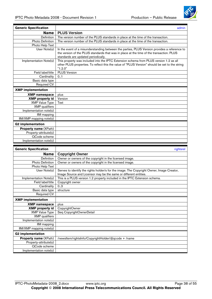QCode scheme Implementation note(s)



<span id="page-37-0"></span>

| <b>Generic Specification</b>                   | admin                                                                                                                                                                                    |
|------------------------------------------------|------------------------------------------------------------------------------------------------------------------------------------------------------------------------------------------|
| <b>Name</b>                                    | <b>PLUS Version</b>                                                                                                                                                                      |
| Definition                                     | The version number of the PLUS standards in place at the time of the transaction.                                                                                                        |
| Photo Definition                               | The version number of the PLUS standards in place at the time of the transaction.                                                                                                        |
| Photo Help Text                                |                                                                                                                                                                                          |
| User Note(s)                                   | In the event of a misunderstanding between the parties, PLUS Version provides a reference to                                                                                             |
|                                                | the version of the PLUS standards that was in place at the time of the transaction. PLUS                                                                                                 |
|                                                | standards are updated periodically.                                                                                                                                                      |
| Implementation Note(s)                         | This property was included into the IPTC Extension schema from PLUS version 1.2 as all<br>other PLUS properties. To reflect this the value of "PLUS Version" should be set to the string |
|                                                | "1.2.0"                                                                                                                                                                                  |
| Field label/title                              | <b>PLUS Version</b>                                                                                                                                                                      |
| Cardinality                                    | 0.1                                                                                                                                                                                      |
| Basic data type                                |                                                                                                                                                                                          |
| Required CV                                    |                                                                                                                                                                                          |
| <b>XMP</b> implementation                      |                                                                                                                                                                                          |
| <b>XMP namespace</b>                           | plus                                                                                                                                                                                     |
| <b>XMP</b> property id                         | Version                                                                                                                                                                                  |
| <b>XMP Value Type</b>                          | Text                                                                                                                                                                                     |
| <b>XMP</b> qualifiers                          |                                                                                                                                                                                          |
| Implementation note(s)                         |                                                                                                                                                                                          |
| <b>IIM</b> mapping                             |                                                                                                                                                                                          |
| IIM/XMP mapping note(s)                        |                                                                                                                                                                                          |
| <b>G2</b> implementation                       |                                                                                                                                                                                          |
| Property name (XPath)                          |                                                                                                                                                                                          |
| Property-attribute(s)                          |                                                                                                                                                                                          |
|                                                |                                                                                                                                                                                          |
|                                                |                                                                                                                                                                                          |
| QCode scheme                                   |                                                                                                                                                                                          |
| Implementation note(s)                         |                                                                                                                                                                                          |
| <b>Generic Specification</b>                   | rightsrel                                                                                                                                                                                |
| <b>Name</b>                                    | <b>Copyright Owner</b>                                                                                                                                                                   |
| Definition                                     | Owner or owners of the copyright in the licensed image.                                                                                                                                  |
| <b>Photo Definition</b>                        | Owner or owners of the copyright in the licensed image.                                                                                                                                  |
| Photo Help Text                                |                                                                                                                                                                                          |
| User Note(s)                                   | Serves to identify the rights holder/s for the image. The Copyright Owner, Image Creator,                                                                                                |
|                                                | Image Source and Licensor may be the same or different entities.                                                                                                                         |
| Implementation Note(s)                         | This is a PLUS version 1.2 property included in the IPTC Extension schema.                                                                                                               |
| Field label/title                              | Copyright owner                                                                                                                                                                          |
| Cardinality                                    | 0.3                                                                                                                                                                                      |
| Basic data type                                | structure                                                                                                                                                                                |
| Required CV                                    |                                                                                                                                                                                          |
| <b>XMP</b> implementation                      |                                                                                                                                                                                          |
| <b>XMP</b> namespace                           | plus                                                                                                                                                                                     |
| <b>XMP</b> property id                         | CopyrightOwner                                                                                                                                                                           |
| <b>XMP Value Type</b>                          | Seq CopyrightOwnerDetail                                                                                                                                                                 |
| <b>XMP</b> qualifiers                          |                                                                                                                                                                                          |
| Implementation note(s)                         |                                                                                                                                                                                          |
| IIM mapping                                    |                                                                                                                                                                                          |
| IIM/XMP mapping note(s)                        |                                                                                                                                                                                          |
| <b>G2 implementation</b>                       |                                                                                                                                                                                          |
| Property name (XPath)<br>Property-attribute(s) | /newsltem/rightslnfo/CopyrightHolder/@qcode + /name                                                                                                                                      |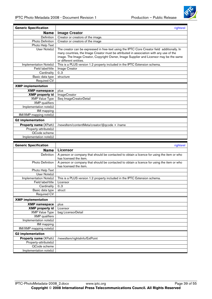

<span id="page-38-0"></span>

| <b>Generic Specification</b>                   | rightsrel                                                                                    |
|------------------------------------------------|----------------------------------------------------------------------------------------------|
| <b>Name</b>                                    | <b>Image Creator</b>                                                                         |
| Definition                                     | Creator or creators of the image.                                                            |
| Photo Definition                               | Creator or creators of the image                                                             |
| Photo Help Text                                |                                                                                              |
| User Note(s)                                   | The creator can be expressed in free-text using the IPTC Core Creator field additionally. In |
|                                                | many countries, the Image Creator must be attributed in association with any use of the      |
|                                                | image. The Image Creator, Copyright Owner, Image Supplier and Licensor may be the same       |
|                                                | or different entities.                                                                       |
| Implementation Note(s)                         | This is a PLUS version 1.2 property included in the IPTC Extension schema.                   |
| Field label/title                              | Image Creator                                                                                |
| Cardinality                                    | 0.3                                                                                          |
| Basic data type<br>Required CV                 | structure                                                                                    |
|                                                |                                                                                              |
| <b>XMP</b> implementation                      |                                                                                              |
| <b>XMP namespace</b>                           | plus                                                                                         |
| <b>XMP</b> property id                         | <b>ImageCreator</b>                                                                          |
| <b>XMP Value Type</b>                          | Seq ImageCreatorDetail                                                                       |
| <b>XMP</b> qualifiers                          |                                                                                              |
| Implementation note(s)<br><b>IIM</b> mapping   |                                                                                              |
| IIM/XMP mapping note(s)                        |                                                                                              |
|                                                |                                                                                              |
| <b>G2 implementation</b>                       |                                                                                              |
| Property name (XPath)                          | /newsltem/contentMeta/creator/@qcode + /name                                                 |
| Property-attribute(s)                          |                                                                                              |
| QCode scheme                                   |                                                                                              |
| Implementation note(s)                         |                                                                                              |
|                                                |                                                                                              |
| <b>Generic Specification</b>                   | rightsrel                                                                                    |
| <b>Name</b>                                    | <b>Licensor</b>                                                                              |
| Definition                                     | A person or company that should be contacted to obtain a licence for using the item or who   |
|                                                | has licensed the item.                                                                       |
| Photo Definition                               | A person or company that should be contacted to obtain a licence for using the item or who   |
|                                                | has licensed the item.                                                                       |
| Photo Help Text                                |                                                                                              |
| User Note(s)                                   |                                                                                              |
| Implementation Note(s)                         | This is a PLUS version 1.2 property included in the IPTC Extension schema.                   |
| Field label/title                              | Licensor                                                                                     |
| Cardinality                                    | 03<br>struct                                                                                 |
| Basic data type<br><b>Required CV</b>          |                                                                                              |
|                                                |                                                                                              |
| <b>XMP</b> implementation                      |                                                                                              |
| <b>XMP</b> namespace                           | plus                                                                                         |
| <b>XMP</b> property id                         | Licensor                                                                                     |
| <b>XMP Value Type</b><br><b>XMP</b> qualifiers | bag LicensorDetail                                                                           |
| Implementation note(s)                         |                                                                                              |
| <b>IIM</b> mapping                             |                                                                                              |
| IIM/XMP mapping note(s)                        |                                                                                              |
| <b>G2 implementation</b>                       |                                                                                              |
| Property name (XPath)                          | /newsltem/rightsInfo/ExtPoint                                                                |
| Property-attribute(s)                          |                                                                                              |
| QCode scheme                                   |                                                                                              |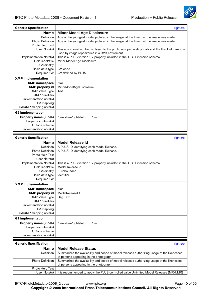

<span id="page-39-0"></span>

| <b>Generic Specification</b>                    | rightsrel                                                                                      |
|-------------------------------------------------|------------------------------------------------------------------------------------------------|
| <b>Name</b>                                     | <b>Minor Model Age Disclosure</b>                                                              |
| Definition                                      | Age of the youngest model pictured in the image, at the time that the image was made.          |
| Photo Definition                                | Age of the youngest model pictured in the image, at the time that the image was made.          |
| Photo Help Text                                 |                                                                                                |
| User Note(s)                                    | This age should not be displayed to the public on open web portals and the like. But it may be |
|                                                 | used by image repositories in a B2B enviroment.                                                |
| Implementation Note(s)                          | This is a PLUS version 1.2 property included in the IPTC Extension schema.                     |
| Field label/title                               | Minor Model Age Disclosure                                                                     |
| Cardinality                                     | 0.1                                                                                            |
| Basic data type                                 | CV-code                                                                                        |
| Required CV                                     | CV defined by PLUS                                                                             |
| <b>XMP</b> implementation                       |                                                                                                |
| <b>XMP</b> namespace                            | plus                                                                                           |
| <b>XMP</b> property id                          | MinorModelAgeDisclosure                                                                        |
| <b>XMP Value Type</b>                           | Text                                                                                           |
| <b>XMP</b> qualifiers                           |                                                                                                |
| Implementation note(s)                          |                                                                                                |
| <b>IIM</b> mapping                              |                                                                                                |
| IIM/XMP mapping note(s)                         |                                                                                                |
| <b>G2</b> implementation                        |                                                                                                |
| <b>Property name (XPath)</b>                    | /newsltem/rightsInfo/ExtPoint                                                                  |
| Property-attribute(s)                           |                                                                                                |
| QCode scheme                                    |                                                                                                |
| Implementation note(s)                          |                                                                                                |
|                                                 |                                                                                                |
|                                                 |                                                                                                |
| <b>Generic Specification</b>                    | rightsrel                                                                                      |
| <b>Name</b>                                     | <b>Model Release Id</b>                                                                        |
| Definition                                      | A PLUS-ID identifying each Model Release.                                                      |
| <b>Photo Definition</b>                         | A PLUS-ID identifying each Model Release.                                                      |
| Photo Help Text                                 |                                                                                                |
| User Note(s)                                    |                                                                                                |
| Implementation Note(s)                          | This is a PLUS version 1.2 property included in the IPTC Extension schema.                     |
| Field label/title                               | Model Release Id<br>0unbounded                                                                 |
| Cardinality                                     | Identifier                                                                                     |
| Basic data type<br>Required CV                  |                                                                                                |
| <b>XMP</b> implementation                       |                                                                                                |
|                                                 | plus                                                                                           |
| <b>XMP namespace</b>                            |                                                                                                |
| <b>XMP</b> property id<br><b>XMP Value Type</b> | ModelReleaseID<br><b>Bag Text</b>                                                              |
| <b>XMP</b> qualifiers                           |                                                                                                |
| Implementation note(s)                          |                                                                                                |
| IIM mapping                                     |                                                                                                |
| IIM/XMP mapping note(s)                         |                                                                                                |
| <b>G2</b> implementation                        |                                                                                                |
| Property name (XPath)                           | /newsltem/rightsInfo/ExtPoint                                                                  |
| $\overline{Property}$ -attribute(s)             |                                                                                                |
| QCode scheme<br>Implementation note(s)          |                                                                                                |

| <b>Generic Specification</b> | rightsrel                                                                                   |
|------------------------------|---------------------------------------------------------------------------------------------|
| <b>Name</b>                  | <b>Model Release Status</b>                                                                 |
| <b>Definition</b>            | Summarizes the availability and scope of model releases authorizing usage of the likenesses |
|                              | of persons appearing in the photograph.                                                     |
| <b>Photo Definition</b>      | Summarizes the availability and scope of model releases authorizing usage of the likenesses |
|                              | of persons appearing in the photograph.                                                     |
| Photo Help Text              |                                                                                             |
| User Note(s)                 | It is recommended to apply the PLUS controlled value Unlimited Model Releases (MR-UMR)      |

IPTC-PhotoMetadata-2008\_2.docx www.iptc.org Page 40 of 55

**Copyright** © **2008 International Press Telecommunications Council. All Rights Reserved**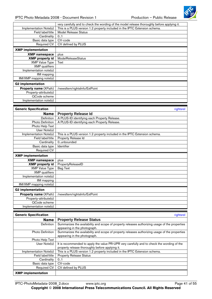

<span id="page-40-0"></span>

|                              | very carefully and to check the wording of the model release thoroughly before applying it. |
|------------------------------|---------------------------------------------------------------------------------------------|
| Implementation Note(s)       | This is a PLUS version 1.2 property included in the IPTC Extension schema.                  |
| Field label/title            | <b>Model Release Status</b>                                                                 |
| Cardinality                  | 0.1                                                                                         |
| Basic data type              | CV-code                                                                                     |
| <b>Required CV</b>           | CV defined by PLUS                                                                          |
| <b>XMP</b> implementation    |                                                                                             |
| <b>XMP namespace</b>         | plus                                                                                        |
| <b>XMP</b> property id       | <b>ModelReleaseStatus</b>                                                                   |
| <b>XMP Value Type</b>        | Text                                                                                        |
| <b>XMP</b> qualifiers        |                                                                                             |
| Implementation note(s)       |                                                                                             |
| IIM mapping                  |                                                                                             |
| IIM/XMP mapping note(s)      |                                                                                             |
| <b>G2 implementation</b>     |                                                                                             |
| <b>Property name (XPath)</b> | /newsltem/rightslnfo/ExtPoint                                                               |
| Property-attribute(s)        |                                                                                             |
| QCode scheme                 |                                                                                             |
| Implementation note(s)       |                                                                                             |
|                              |                                                                                             |
| <b>Generic Specification</b> | rightsrel                                                                                   |
| <b>Name</b>                  | <b>Property Release Id</b>                                                                  |
| Definition                   | A PLUS-ID identifying each Property Release.                                                |
| Photo Definition             | A PLUS-ID identifying each Property Release.                                                |
| Photo Help Text              |                                                                                             |
| User Note(s)                 |                                                                                             |
| Implementation Note(s)       | This is a PLUS version 1.2 property included in the IPTC Extension schema.                  |
|                              |                                                                                             |

| Field label/title            | Property Release Id           |
|------------------------------|-------------------------------|
| Cardinality                  | 0unbounded                    |
| Basic data type              | <b>Identifier</b>             |
| Required CV                  |                               |
| <b>XMP</b> implementation    |                               |
| <b>XMP namespace</b>         | plus                          |
| <b>XMP</b> property id       | PropertyReleaseID             |
| <b>XMP Value Type</b>        | <b>Bag Text</b>               |
| <b>XMP</b> qualifiers        |                               |
| Implementation note(s)       |                               |
| IIM mapping                  |                               |
| IIM/XMP mapping note(s)      |                               |
| <b>G2</b> implementation     |                               |
| <b>Property name (XPath)</b> | /newsltem/rightsInfo/ExtPoint |
| Property-attribute(s)        |                               |
| QCode scheme                 |                               |
| Implementation note(s)       |                               |

| <b>Generic Specification</b> | rightsrel                                                                                                                                     |
|------------------------------|-----------------------------------------------------------------------------------------------------------------------------------------------|
| <b>Name</b>                  | <b>Property Release Status</b>                                                                                                                |
| <b>Definition</b>            | Summarizes the availability and scope of property releases authorizing usage of the properties<br>appearing in the photograph.                |
| Photo Definition             | Summarizes the availability and scope of property releases authorizing usage of the properties<br>appearing in the photograph.                |
| Photo Help Text              |                                                                                                                                               |
| User Note(s)                 | It is recommended to apply the value PR-UPR very carefully and to check the wording of the<br>property release thoroughly before applying it. |
| Implementation Note(s)       | This is a PLUS version 1.2 property included in the IPTC Extension schema.                                                                    |
| Field label/title            | <b>Property Release Status</b>                                                                                                                |
| Cardinality                  | 0.1                                                                                                                                           |
| Basic data type              | CV-code                                                                                                                                       |
| Required CV                  | CV defined by PLUS                                                                                                                            |
| <b>XMP</b> implementation    |                                                                                                                                               |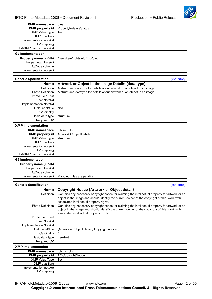

<span id="page-41-0"></span>

| IPTC Photo Metadata 2008 - Document Revision 1 | Production - Public Release                                                                      |
|------------------------------------------------|--------------------------------------------------------------------------------------------------|
| <b>XMP namespace</b>                           | plus                                                                                             |
| <b>XMP</b> property id                         | PropertyReleaseStatus                                                                            |
| <b>XMP Value Type</b>                          | Text                                                                                             |
| <b>XMP</b> qualifiers                          |                                                                                                  |
| Implementation note(s)                         |                                                                                                  |
| <b>IIM</b> mapping<br>IIM/XMP mapping note(s)  |                                                                                                  |
| <b>G2 implementation</b>                       |                                                                                                  |
|                                                |                                                                                                  |
| Property name (XPath)<br>Property-attribute(s) | /newsltem/rightsInfo/ExtPoint                                                                    |
| QCode scheme                                   |                                                                                                  |
| Implementation note(s)                         |                                                                                                  |
|                                                |                                                                                                  |
| <b>Generic Specification</b>                   | type-artobj                                                                                      |
| <b>Name</b>                                    | Artwork or Object in the Image Details {data type}                                               |
| Definition                                     | A structured datatype for details about artwork or an object in an image                         |
| Photo Definition                               | A structured datatype for details about artwork or an object in an image                         |
| Photo Help Text                                |                                                                                                  |
| User Note(s)<br>Implementation Note(s)         |                                                                                                  |
| Field label/title                              | N/A                                                                                              |
| Cardinality                                    |                                                                                                  |
| Basic data type                                | structure                                                                                        |
| <b>Required CV</b>                             |                                                                                                  |
| <b>XMP</b> implementation                      |                                                                                                  |
| <b>XMP namespace</b>                           | lptc4xmpExt                                                                                      |
| <b>XMP</b> property id                         | ArtworkOrObjectDetails                                                                           |
| <b>XMP Value Type</b>                          | structure                                                                                        |
| <b>XMP</b> qualifiers                          |                                                                                                  |
| Implementation note(s)<br>IIM mapping          |                                                                                                  |
| IIM/XMP mapping note(s)                        |                                                                                                  |
| <b>G2</b> implementation                       |                                                                                                  |
| Property name (XPath)                          |                                                                                                  |
| Property-attribute(s)                          |                                                                                                  |
| QCode scheme                                   |                                                                                                  |
| Implementation note(s)                         | Mapping rules are pending.                                                                       |
|                                                |                                                                                                  |
| <b>Generic Specification</b><br><b>Name</b>    | type-artobj<br><b>Copyright Notice {Artwork or Object detail}</b>                                |
| Definition                                     | Contains any necessary copyright notice for claiming the intellectual property for artwork or an |
|                                                | object in the image and should identify the current owner of the copyright of this work with     |
|                                                | associated intellectual property rights.                                                         |
| Photo Definition                               | Contains any necessary copyright notice for claiming the intellectual property for artwork or an |
|                                                | object in the image and should identify the current owner of the copyright of this work with     |
|                                                | associated intellectual property rights.                                                         |
| Photo Help Text                                |                                                                                                  |
| User Note(s)<br>Implementation Note(s)         |                                                                                                  |
| Field label/title                              | (Artwork or Object detail:) Copyright notice                                                     |
| Cardinality                                    | 0.1                                                                                              |
| Basic data type                                | free-text                                                                                        |
| <b>Required CV</b>                             |                                                                                                  |
| <b>XMP</b> implementation                      |                                                                                                  |
| <b>XMP namespace</b>                           | lptc4xmpExt                                                                                      |
| <b>XMP</b> property id                         | AOCopyrightNotice                                                                                |

XMP Value Type Text XMP qualifiers Implementation note(s)

IIM mapping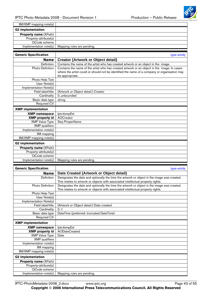

<span id="page-42-0"></span>

| IIM/XMP mapping note(s)      |                                                                                              |
|------------------------------|----------------------------------------------------------------------------------------------|
| <b>G2 implementation</b>     |                                                                                              |
| Property name (XPath)        |                                                                                              |
| Property-attribute(s)        |                                                                                              |
| QCode scheme                 |                                                                                              |
| Implementation note(s)       | Mapping rules are pending.                                                                   |
|                              |                                                                                              |
| <b>Generic Specification</b> | type-artobj                                                                                  |
|                              |                                                                                              |
| Name                         | <b>Creator {Artwork or Object detail}</b>                                                    |
| Definition                   | Contains the name of the artist who has created artwork or an object in the image.           |
| Photo Definition             | Contains the name of the artist who has created artwork or an object in the image. In cases  |
|                              | where the artist could or should not be identified the name of a company or organisation may |
| Photo Help Text              | be appropriate.                                                                              |
| User Note(s)                 |                                                                                              |
| Implementation Note(s)       |                                                                                              |
| Field label/title            | (Artwork or Object detail:) Creator                                                          |
| Cardinality                  | 0unbounded                                                                                   |
| Basic data type              | string                                                                                       |
| <b>Required CV</b>           |                                                                                              |
|                              |                                                                                              |
| <b>XMP</b> implementation    |                                                                                              |
| <b>XMP</b> namespace         | lptc4xmpExt                                                                                  |
| <b>XMP</b> property id       | <b>AOCreator</b>                                                                             |
| <b>XMP Value Type</b>        | Seq ProperName                                                                               |
| <b>XMP</b> qualifiers        |                                                                                              |
| Implementation note(s)       |                                                                                              |
| IIM mapping                  |                                                                                              |
| IIM/XMP mapping note(s)      |                                                                                              |
| <b>G2 implementation</b>     |                                                                                              |
| Property name (XPath)        |                                                                                              |
| Property-attribute(s)        |                                                                                              |
| QCode scheme                 |                                                                                              |
| Implementation note(s)       | Mapping rules are pending.                                                                   |
| <b>Generic Specification</b> |                                                                                              |
|                              | type-artobj                                                                                  |
| <b>Name</b>                  | Date Created {Artwork or Object detail}                                                      |
| Definition                   | Designates the date and optionally the time the artwork or object in the image was created.  |
|                              | This relates to artwork or objects with associated intellectual property rights.             |
| Photo Definition             | Designates the date and optionally the time the artwork or object in the image was created.  |
| Photo Help Text              | This relates to artwork or objects with associated intellectual property rights.             |
| User Note(s)                 |                                                                                              |
| Implementation Note(s)       |                                                                                              |
| Field label/title            | (Artwork or Object detail:) Date created                                                     |
| Cardinality                  | 0.1                                                                                          |
| Basic data type              | DateTime (preferred: truncated DateTime)                                                     |
| Required CV                  |                                                                                              |
| <b>XMP</b> implementation    |                                                                                              |
| <b>XMP namespace</b>         | lptc4xmpExt                                                                                  |
| <b>XMP</b> property id       | <b>AODateCreated</b>                                                                         |
| <b>XMP Value Type</b>        | Date                                                                                         |
| <b>XMP</b> qualifiers        |                                                                                              |
|                              |                                                                                              |

Implementation note(s) Mapping rules are pending.

Implementation note(s)

IIM/XMP mapping note(s)

**Property name** (XPath) Property-attribute(s) QCode scheme

**G2 implementation** 

IIM mapping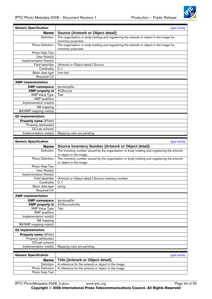

<span id="page-43-0"></span>

| <b>Generic Specification</b>                  | type-artobj                                                                                                            |
|-----------------------------------------------|------------------------------------------------------------------------------------------------------------------------|
| Name                                          | <b>Source {Artwork or Object detail}</b>                                                                               |
| Definition                                    | The organisation or body holding and registering the artwork or object in the image for<br>inventory purposes.         |
| <b>Photo Definition</b>                       | The organisation or body holding and registering the artwork or object in the image for<br>inventory purposes.         |
| Photo Help Text                               |                                                                                                                        |
| $\overline{Use}$ Note(s)                      |                                                                                                                        |
| Implementation Note(s)                        |                                                                                                                        |
| Field label/title                             | (Artwork or Object detail:) Source                                                                                     |
| Cardinality                                   | 0.1                                                                                                                    |
| Basic data type                               | free-text                                                                                                              |
| Required CV                                   |                                                                                                                        |
| <b>XMP</b> implementation                     |                                                                                                                        |
| <b>XMP</b> namespace                          | lptc4xmpExt                                                                                                            |
| <b>XMP</b> property id                        | AOSource                                                                                                               |
| <b>XMP Value Type</b>                         | Text                                                                                                                   |
| <b>XMP</b> qualifiers                         |                                                                                                                        |
| Implementation note(s)                        |                                                                                                                        |
| <b>IIM</b> mapping<br>IIM/XMP mapping note(s) |                                                                                                                        |
|                                               |                                                                                                                        |
| <b>G2 implementation</b>                      |                                                                                                                        |
| Property name (XPath)                         |                                                                                                                        |
| Property-attribute(s)                         |                                                                                                                        |
| QCode scheme                                  |                                                                                                                        |
| Implementation note(s)                        | Mapping rules are pending.                                                                                             |
| <b>Generic Specification</b>                  | type-artobj                                                                                                            |
| <b>Name</b>                                   | Source Inventory Number {Artwork or Object detail}                                                                     |
|                                               |                                                                                                                        |
|                                               |                                                                                                                        |
| Definition                                    | The inventory number issued by the organisation or body holding and registering the artwork<br>or object in the image. |
| <b>Photo Definition</b>                       | The inventory number issued by the organisation or body holding and registering the artwork<br>or object in the image. |
| Photo Help Text                               |                                                                                                                        |
| User Note(s)                                  |                                                                                                                        |
| Implementation Note(s)                        |                                                                                                                        |
| Field label/title                             | (Artwork or Object detail:) Source inventory number                                                                    |
| Cardinality                                   | 0.1                                                                                                                    |
| Basic data type                               | string                                                                                                                 |
| <b>Required CV</b>                            |                                                                                                                        |
| <b>XMP</b> implementation                     |                                                                                                                        |
| <b>XMP namespace</b>                          | lptc4xmpExt                                                                                                            |
| <b>XMP</b> property id                        | AOSourcelnvNo                                                                                                          |
| <b>XMP Value Type</b>                         | Text                                                                                                                   |
| <b>XMP</b> qualifiers                         |                                                                                                                        |
| Implementation note(s)                        |                                                                                                                        |
| <b>IIM</b> mapping<br>IIM/XMP mapping note(s) |                                                                                                                        |
|                                               |                                                                                                                        |
| <b>G2 implementation</b>                      |                                                                                                                        |
| Property name (XPath)                         |                                                                                                                        |
| Property-attribute(s)                         |                                                                                                                        |
| QCode scheme<br>Implementation note(s)        | Mapping rules are pending.                                                                                             |
|                                               |                                                                                                                        |
| <b>Generic Specification</b>                  | type-artobj                                                                                                            |
| <b>Name</b>                                   | <b>Title {Artwork or Object detail}</b>                                                                                |
| Definition                                    | A reference for the artwork or object in the image.                                                                    |
| <b>Photo Definition</b>                       | A reference for the artwork or object in the image.                                                                    |

IPTC-PhotoMetadata-2008\_2.docx www.iptc.org Page 44 of 55 **Copyright** © **2008 International Press Telecommunications Council. All Rights Reserved**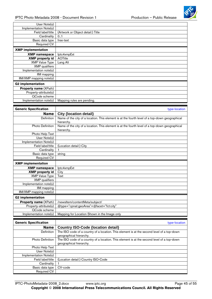

<span id="page-44-0"></span>

| User Note(s)                 |                                                                                                              |
|------------------------------|--------------------------------------------------------------------------------------------------------------|
| Implementation Note(s)       |                                                                                                              |
| Field label/title            | (Artwork or Object detail:) Title                                                                            |
| Cardinality                  | 0.1                                                                                                          |
| Basic data type              | free-text                                                                                                    |
| <b>Required CV</b>           |                                                                                                              |
| <b>XMP</b> implementation    |                                                                                                              |
| <b>XMP namespace</b>         | lptc4xmpExt                                                                                                  |
| <b>XMP</b> property id       | <b>AOTitle</b>                                                                                               |
| <b>XMP Value Type</b>        | Lang Alt                                                                                                     |
| <b>XMP</b> qualifiers        |                                                                                                              |
| Implementation note(s)       |                                                                                                              |
| IIM mapping                  |                                                                                                              |
| IIM/XMP mapping note(s)      |                                                                                                              |
| <b>G2</b> implementation     |                                                                                                              |
| Property name (XPath)        |                                                                                                              |
| Property-attribute(s)        |                                                                                                              |
| QCode scheme                 |                                                                                                              |
|                              |                                                                                                              |
| Implementation note(s)       | Mapping rules are pending.                                                                                   |
|                              |                                                                                                              |
| <b>Generic Specification</b> | type-location                                                                                                |
| <b>Name</b>                  | <b>City {location detail}</b>                                                                                |
| Definition                   | Name of the city of a location. This element is at the fourth level of a top-down geographical               |
|                              | hierarchy.                                                                                                   |
| Photo Definition             | Name of the city of a location. This element is at the fourth level of a top-down geographical<br>hierarchy. |
| Photo Help Text              |                                                                                                              |
| User Note(s)                 |                                                                                                              |
| Implementation Note(s)       |                                                                                                              |
| Field label/title            | (Location detail:) City                                                                                      |
| Cardinality                  |                                                                                                              |
| Basic data type              | string                                                                                                       |
| Required CV                  |                                                                                                              |
| <b>XMP</b> implementation    |                                                                                                              |
| <b>XMP</b> namespace         | lptc4xmpExt                                                                                                  |

| <b>XMP Value Type</b>        | Text                                       |
|------------------------------|--------------------------------------------|
| <b>XMP</b> qualifiers        |                                            |
| Implementation note(s)       |                                            |
| IIM mapping                  |                                            |
| IIM/XMP mapping note(s)      |                                            |
|                              |                                            |
| <b>G2</b> implementation     |                                            |
| <b>Property name (XPath)</b> | /newsltem/contentMeta/subject/             |
| Property-attribute(s)        | $@type="cpnat:geoArea" + @face='fct:city"$ |
| QCode scheme                 |                                            |

| <b>Generic Specification</b> | type-location                                                                                                         |
|------------------------------|-----------------------------------------------------------------------------------------------------------------------|
| <b>Name</b>                  | <b>Country ISO-Code {location detail}</b>                                                                             |
| <b>Definition</b>            | The ISO code of a country of a location. This element is at the second level of a top-down<br>geographical hierarchy. |
| <b>Photo Definition</b>      | The ISO code of a country of a location. This element is at the second level of a top-down<br>geographical hierarchy. |
| Photo Help Text              |                                                                                                                       |
| User Note(s)                 |                                                                                                                       |
| Implementation Note(s)       |                                                                                                                       |
| Field label/title            | (Location detail:) Country ISO-Code                                                                                   |
| Cardinality                  |                                                                                                                       |
| Basic data type              | CV-code                                                                                                               |
| <b>Required CV</b>           |                                                                                                                       |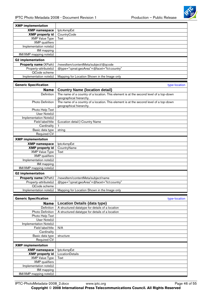

<span id="page-45-0"></span>

| <b>XMP</b> implementation<br><b>XMP</b> namespace<br>lptc4xmpExt<br><b>XMP</b> property id<br>CountryCode<br><b>XMP Value Type</b><br>Text<br><b>XMP</b> qualifiers<br>Implementation note(s)<br>IIM mapping<br>IIM/XMP mapping note(s)<br><b>G2</b> implementation<br>Property name (XPath)<br>/newsltem/contentMeta/subject/@qcode<br>@type="cpnat:geoArea"+@facet="fct:country"<br>Property-attribute(s)<br>QCode scheme<br>Implementation note(s)<br>Mapping for Location Shown in the Image only<br><b>Generic Specification</b><br>type-location<br><b>Country Name {location detail}</b><br><b>Name</b><br>The name of a country of a location. This element is at the second level of a top-down<br>Definition<br>geographical hierarchy.<br>The name of a country of a location. This element is at the second level of a top-down<br><b>Photo Definition</b><br>geographical hierarchy.<br>Photo Help Text<br>User Note(s)<br>Implementation Note(s)<br>(Location detail:) Country Name<br>Field label/title<br>Cardinality<br>1<br>Basic data type<br>string<br><b>Required CV</b><br><b>XMP</b> implementation<br><b>XMP</b> namespace<br>lptc4xmpExt<br><b>XMP</b> property id<br>CountryName<br><b>XMP Value Type</b><br>Text<br><b>XMP</b> qualifiers<br>Implementation note(s)<br>IIM mapping<br>IIM/XMP mapping note(s)<br><b>G2</b> implementation<br><b>Property name (XPath)</b><br>/newsltem/contentMeta/subject/name<br>@type="cpnat:geoArea"+@facet="fct:country"<br>Property-attribute(s)<br>QCode scheme<br>Implementation note(s)<br>Mapping for Location Shown in the Image only<br><b>Generic Specification</b><br>type-location<br><b>Name</b><br><b>Location Details {data type}</b><br>Definition<br>A structured datatype for details of a location<br>Photo Definition<br>A structured datatype for details of a location<br>Photo Help Text<br>User Note(s)<br>Implementation Note(s)<br>Field label/title<br>N/A<br>Cardinality<br>Basic data type<br>structure<br><b>Required CV</b><br><b>XMP</b> implementation<br><b>XMP namespace</b><br>lptc4xmpExt<br><b>XMP</b> property id<br>LocationDetails<br><b>XMP Value Type</b><br>Text<br><b>XMP</b> qualifiers<br>Implementation note(s)<br>IIM mapping<br>IIM/XMP mapping note(s) |  |
|-------------------------------------------------------------------------------------------------------------------------------------------------------------------------------------------------------------------------------------------------------------------------------------------------------------------------------------------------------------------------------------------------------------------------------------------------------------------------------------------------------------------------------------------------------------------------------------------------------------------------------------------------------------------------------------------------------------------------------------------------------------------------------------------------------------------------------------------------------------------------------------------------------------------------------------------------------------------------------------------------------------------------------------------------------------------------------------------------------------------------------------------------------------------------------------------------------------------------------------------------------------------------------------------------------------------------------------------------------------------------------------------------------------------------------------------------------------------------------------------------------------------------------------------------------------------------------------------------------------------------------------------------------------------------------------------------------------------------------------------------------------------------------------------------------------------------------------------------------------------------------------------------------------------------------------------------------------------------------------------------------------------------------------------------------------------------------------------------------------------------------------------------------------------------------------------------------------------------------------------------------------------------|--|
|                                                                                                                                                                                                                                                                                                                                                                                                                                                                                                                                                                                                                                                                                                                                                                                                                                                                                                                                                                                                                                                                                                                                                                                                                                                                                                                                                                                                                                                                                                                                                                                                                                                                                                                                                                                                                                                                                                                                                                                                                                                                                                                                                                                                                                                                         |  |
|                                                                                                                                                                                                                                                                                                                                                                                                                                                                                                                                                                                                                                                                                                                                                                                                                                                                                                                                                                                                                                                                                                                                                                                                                                                                                                                                                                                                                                                                                                                                                                                                                                                                                                                                                                                                                                                                                                                                                                                                                                                                                                                                                                                                                                                                         |  |
|                                                                                                                                                                                                                                                                                                                                                                                                                                                                                                                                                                                                                                                                                                                                                                                                                                                                                                                                                                                                                                                                                                                                                                                                                                                                                                                                                                                                                                                                                                                                                                                                                                                                                                                                                                                                                                                                                                                                                                                                                                                                                                                                                                                                                                                                         |  |
|                                                                                                                                                                                                                                                                                                                                                                                                                                                                                                                                                                                                                                                                                                                                                                                                                                                                                                                                                                                                                                                                                                                                                                                                                                                                                                                                                                                                                                                                                                                                                                                                                                                                                                                                                                                                                                                                                                                                                                                                                                                                                                                                                                                                                                                                         |  |
|                                                                                                                                                                                                                                                                                                                                                                                                                                                                                                                                                                                                                                                                                                                                                                                                                                                                                                                                                                                                                                                                                                                                                                                                                                                                                                                                                                                                                                                                                                                                                                                                                                                                                                                                                                                                                                                                                                                                                                                                                                                                                                                                                                                                                                                                         |  |
|                                                                                                                                                                                                                                                                                                                                                                                                                                                                                                                                                                                                                                                                                                                                                                                                                                                                                                                                                                                                                                                                                                                                                                                                                                                                                                                                                                                                                                                                                                                                                                                                                                                                                                                                                                                                                                                                                                                                                                                                                                                                                                                                                                                                                                                                         |  |
|                                                                                                                                                                                                                                                                                                                                                                                                                                                                                                                                                                                                                                                                                                                                                                                                                                                                                                                                                                                                                                                                                                                                                                                                                                                                                                                                                                                                                                                                                                                                                                                                                                                                                                                                                                                                                                                                                                                                                                                                                                                                                                                                                                                                                                                                         |  |
|                                                                                                                                                                                                                                                                                                                                                                                                                                                                                                                                                                                                                                                                                                                                                                                                                                                                                                                                                                                                                                                                                                                                                                                                                                                                                                                                                                                                                                                                                                                                                                                                                                                                                                                                                                                                                                                                                                                                                                                                                                                                                                                                                                                                                                                                         |  |
|                                                                                                                                                                                                                                                                                                                                                                                                                                                                                                                                                                                                                                                                                                                                                                                                                                                                                                                                                                                                                                                                                                                                                                                                                                                                                                                                                                                                                                                                                                                                                                                                                                                                                                                                                                                                                                                                                                                                                                                                                                                                                                                                                                                                                                                                         |  |
|                                                                                                                                                                                                                                                                                                                                                                                                                                                                                                                                                                                                                                                                                                                                                                                                                                                                                                                                                                                                                                                                                                                                                                                                                                                                                                                                                                                                                                                                                                                                                                                                                                                                                                                                                                                                                                                                                                                                                                                                                                                                                                                                                                                                                                                                         |  |
|                                                                                                                                                                                                                                                                                                                                                                                                                                                                                                                                                                                                                                                                                                                                                                                                                                                                                                                                                                                                                                                                                                                                                                                                                                                                                                                                                                                                                                                                                                                                                                                                                                                                                                                                                                                                                                                                                                                                                                                                                                                                                                                                                                                                                                                                         |  |
|                                                                                                                                                                                                                                                                                                                                                                                                                                                                                                                                                                                                                                                                                                                                                                                                                                                                                                                                                                                                                                                                                                                                                                                                                                                                                                                                                                                                                                                                                                                                                                                                                                                                                                                                                                                                                                                                                                                                                                                                                                                                                                                                                                                                                                                                         |  |
|                                                                                                                                                                                                                                                                                                                                                                                                                                                                                                                                                                                                                                                                                                                                                                                                                                                                                                                                                                                                                                                                                                                                                                                                                                                                                                                                                                                                                                                                                                                                                                                                                                                                                                                                                                                                                                                                                                                                                                                                                                                                                                                                                                                                                                                                         |  |
|                                                                                                                                                                                                                                                                                                                                                                                                                                                                                                                                                                                                                                                                                                                                                                                                                                                                                                                                                                                                                                                                                                                                                                                                                                                                                                                                                                                                                                                                                                                                                                                                                                                                                                                                                                                                                                                                                                                                                                                                                                                                                                                                                                                                                                                                         |  |
|                                                                                                                                                                                                                                                                                                                                                                                                                                                                                                                                                                                                                                                                                                                                                                                                                                                                                                                                                                                                                                                                                                                                                                                                                                                                                                                                                                                                                                                                                                                                                                                                                                                                                                                                                                                                                                                                                                                                                                                                                                                                                                                                                                                                                                                                         |  |
|                                                                                                                                                                                                                                                                                                                                                                                                                                                                                                                                                                                                                                                                                                                                                                                                                                                                                                                                                                                                                                                                                                                                                                                                                                                                                                                                                                                                                                                                                                                                                                                                                                                                                                                                                                                                                                                                                                                                                                                                                                                                                                                                                                                                                                                                         |  |
|                                                                                                                                                                                                                                                                                                                                                                                                                                                                                                                                                                                                                                                                                                                                                                                                                                                                                                                                                                                                                                                                                                                                                                                                                                                                                                                                                                                                                                                                                                                                                                                                                                                                                                                                                                                                                                                                                                                                                                                                                                                                                                                                                                                                                                                                         |  |
|                                                                                                                                                                                                                                                                                                                                                                                                                                                                                                                                                                                                                                                                                                                                                                                                                                                                                                                                                                                                                                                                                                                                                                                                                                                                                                                                                                                                                                                                                                                                                                                                                                                                                                                                                                                                                                                                                                                                                                                                                                                                                                                                                                                                                                                                         |  |
|                                                                                                                                                                                                                                                                                                                                                                                                                                                                                                                                                                                                                                                                                                                                                                                                                                                                                                                                                                                                                                                                                                                                                                                                                                                                                                                                                                                                                                                                                                                                                                                                                                                                                                                                                                                                                                                                                                                                                                                                                                                                                                                                                                                                                                                                         |  |
|                                                                                                                                                                                                                                                                                                                                                                                                                                                                                                                                                                                                                                                                                                                                                                                                                                                                                                                                                                                                                                                                                                                                                                                                                                                                                                                                                                                                                                                                                                                                                                                                                                                                                                                                                                                                                                                                                                                                                                                                                                                                                                                                                                                                                                                                         |  |
|                                                                                                                                                                                                                                                                                                                                                                                                                                                                                                                                                                                                                                                                                                                                                                                                                                                                                                                                                                                                                                                                                                                                                                                                                                                                                                                                                                                                                                                                                                                                                                                                                                                                                                                                                                                                                                                                                                                                                                                                                                                                                                                                                                                                                                                                         |  |
|                                                                                                                                                                                                                                                                                                                                                                                                                                                                                                                                                                                                                                                                                                                                                                                                                                                                                                                                                                                                                                                                                                                                                                                                                                                                                                                                                                                                                                                                                                                                                                                                                                                                                                                                                                                                                                                                                                                                                                                                                                                                                                                                                                                                                                                                         |  |
|                                                                                                                                                                                                                                                                                                                                                                                                                                                                                                                                                                                                                                                                                                                                                                                                                                                                                                                                                                                                                                                                                                                                                                                                                                                                                                                                                                                                                                                                                                                                                                                                                                                                                                                                                                                                                                                                                                                                                                                                                                                                                                                                                                                                                                                                         |  |
|                                                                                                                                                                                                                                                                                                                                                                                                                                                                                                                                                                                                                                                                                                                                                                                                                                                                                                                                                                                                                                                                                                                                                                                                                                                                                                                                                                                                                                                                                                                                                                                                                                                                                                                                                                                                                                                                                                                                                                                                                                                                                                                                                                                                                                                                         |  |
|                                                                                                                                                                                                                                                                                                                                                                                                                                                                                                                                                                                                                                                                                                                                                                                                                                                                                                                                                                                                                                                                                                                                                                                                                                                                                                                                                                                                                                                                                                                                                                                                                                                                                                                                                                                                                                                                                                                                                                                                                                                                                                                                                                                                                                                                         |  |
|                                                                                                                                                                                                                                                                                                                                                                                                                                                                                                                                                                                                                                                                                                                                                                                                                                                                                                                                                                                                                                                                                                                                                                                                                                                                                                                                                                                                                                                                                                                                                                                                                                                                                                                                                                                                                                                                                                                                                                                                                                                                                                                                                                                                                                                                         |  |
|                                                                                                                                                                                                                                                                                                                                                                                                                                                                                                                                                                                                                                                                                                                                                                                                                                                                                                                                                                                                                                                                                                                                                                                                                                                                                                                                                                                                                                                                                                                                                                                                                                                                                                                                                                                                                                                                                                                                                                                                                                                                                                                                                                                                                                                                         |  |
|                                                                                                                                                                                                                                                                                                                                                                                                                                                                                                                                                                                                                                                                                                                                                                                                                                                                                                                                                                                                                                                                                                                                                                                                                                                                                                                                                                                                                                                                                                                                                                                                                                                                                                                                                                                                                                                                                                                                                                                                                                                                                                                                                                                                                                                                         |  |
|                                                                                                                                                                                                                                                                                                                                                                                                                                                                                                                                                                                                                                                                                                                                                                                                                                                                                                                                                                                                                                                                                                                                                                                                                                                                                                                                                                                                                                                                                                                                                                                                                                                                                                                                                                                                                                                                                                                                                                                                                                                                                                                                                                                                                                                                         |  |
|                                                                                                                                                                                                                                                                                                                                                                                                                                                                                                                                                                                                                                                                                                                                                                                                                                                                                                                                                                                                                                                                                                                                                                                                                                                                                                                                                                                                                                                                                                                                                                                                                                                                                                                                                                                                                                                                                                                                                                                                                                                                                                                                                                                                                                                                         |  |
|                                                                                                                                                                                                                                                                                                                                                                                                                                                                                                                                                                                                                                                                                                                                                                                                                                                                                                                                                                                                                                                                                                                                                                                                                                                                                                                                                                                                                                                                                                                                                                                                                                                                                                                                                                                                                                                                                                                                                                                                                                                                                                                                                                                                                                                                         |  |
|                                                                                                                                                                                                                                                                                                                                                                                                                                                                                                                                                                                                                                                                                                                                                                                                                                                                                                                                                                                                                                                                                                                                                                                                                                                                                                                                                                                                                                                                                                                                                                                                                                                                                                                                                                                                                                                                                                                                                                                                                                                                                                                                                                                                                                                                         |  |
|                                                                                                                                                                                                                                                                                                                                                                                                                                                                                                                                                                                                                                                                                                                                                                                                                                                                                                                                                                                                                                                                                                                                                                                                                                                                                                                                                                                                                                                                                                                                                                                                                                                                                                                                                                                                                                                                                                                                                                                                                                                                                                                                                                                                                                                                         |  |
|                                                                                                                                                                                                                                                                                                                                                                                                                                                                                                                                                                                                                                                                                                                                                                                                                                                                                                                                                                                                                                                                                                                                                                                                                                                                                                                                                                                                                                                                                                                                                                                                                                                                                                                                                                                                                                                                                                                                                                                                                                                                                                                                                                                                                                                                         |  |
|                                                                                                                                                                                                                                                                                                                                                                                                                                                                                                                                                                                                                                                                                                                                                                                                                                                                                                                                                                                                                                                                                                                                                                                                                                                                                                                                                                                                                                                                                                                                                                                                                                                                                                                                                                                                                                                                                                                                                                                                                                                                                                                                                                                                                                                                         |  |
|                                                                                                                                                                                                                                                                                                                                                                                                                                                                                                                                                                                                                                                                                                                                                                                                                                                                                                                                                                                                                                                                                                                                                                                                                                                                                                                                                                                                                                                                                                                                                                                                                                                                                                                                                                                                                                                                                                                                                                                                                                                                                                                                                                                                                                                                         |  |
|                                                                                                                                                                                                                                                                                                                                                                                                                                                                                                                                                                                                                                                                                                                                                                                                                                                                                                                                                                                                                                                                                                                                                                                                                                                                                                                                                                                                                                                                                                                                                                                                                                                                                                                                                                                                                                                                                                                                                                                                                                                                                                                                                                                                                                                                         |  |
|                                                                                                                                                                                                                                                                                                                                                                                                                                                                                                                                                                                                                                                                                                                                                                                                                                                                                                                                                                                                                                                                                                                                                                                                                                                                                                                                                                                                                                                                                                                                                                                                                                                                                                                                                                                                                                                                                                                                                                                                                                                                                                                                                                                                                                                                         |  |
|                                                                                                                                                                                                                                                                                                                                                                                                                                                                                                                                                                                                                                                                                                                                                                                                                                                                                                                                                                                                                                                                                                                                                                                                                                                                                                                                                                                                                                                                                                                                                                                                                                                                                                                                                                                                                                                                                                                                                                                                                                                                                                                                                                                                                                                                         |  |
|                                                                                                                                                                                                                                                                                                                                                                                                                                                                                                                                                                                                                                                                                                                                                                                                                                                                                                                                                                                                                                                                                                                                                                                                                                                                                                                                                                                                                                                                                                                                                                                                                                                                                                                                                                                                                                                                                                                                                                                                                                                                                                                                                                                                                                                                         |  |
|                                                                                                                                                                                                                                                                                                                                                                                                                                                                                                                                                                                                                                                                                                                                                                                                                                                                                                                                                                                                                                                                                                                                                                                                                                                                                                                                                                                                                                                                                                                                                                                                                                                                                                                                                                                                                                                                                                                                                                                                                                                                                                                                                                                                                                                                         |  |
|                                                                                                                                                                                                                                                                                                                                                                                                                                                                                                                                                                                                                                                                                                                                                                                                                                                                                                                                                                                                                                                                                                                                                                                                                                                                                                                                                                                                                                                                                                                                                                                                                                                                                                                                                                                                                                                                                                                                                                                                                                                                                                                                                                                                                                                                         |  |
|                                                                                                                                                                                                                                                                                                                                                                                                                                                                                                                                                                                                                                                                                                                                                                                                                                                                                                                                                                                                                                                                                                                                                                                                                                                                                                                                                                                                                                                                                                                                                                                                                                                                                                                                                                                                                                                                                                                                                                                                                                                                                                                                                                                                                                                                         |  |
|                                                                                                                                                                                                                                                                                                                                                                                                                                                                                                                                                                                                                                                                                                                                                                                                                                                                                                                                                                                                                                                                                                                                                                                                                                                                                                                                                                                                                                                                                                                                                                                                                                                                                                                                                                                                                                                                                                                                                                                                                                                                                                                                                                                                                                                                         |  |
|                                                                                                                                                                                                                                                                                                                                                                                                                                                                                                                                                                                                                                                                                                                                                                                                                                                                                                                                                                                                                                                                                                                                                                                                                                                                                                                                                                                                                                                                                                                                                                                                                                                                                                                                                                                                                                                                                                                                                                                                                                                                                                                                                                                                                                                                         |  |
|                                                                                                                                                                                                                                                                                                                                                                                                                                                                                                                                                                                                                                                                                                                                                                                                                                                                                                                                                                                                                                                                                                                                                                                                                                                                                                                                                                                                                                                                                                                                                                                                                                                                                                                                                                                                                                                                                                                                                                                                                                                                                                                                                                                                                                                                         |  |
|                                                                                                                                                                                                                                                                                                                                                                                                                                                                                                                                                                                                                                                                                                                                                                                                                                                                                                                                                                                                                                                                                                                                                                                                                                                                                                                                                                                                                                                                                                                                                                                                                                                                                                                                                                                                                                                                                                                                                                                                                                                                                                                                                                                                                                                                         |  |
|                                                                                                                                                                                                                                                                                                                                                                                                                                                                                                                                                                                                                                                                                                                                                                                                                                                                                                                                                                                                                                                                                                                                                                                                                                                                                                                                                                                                                                                                                                                                                                                                                                                                                                                                                                                                                                                                                                                                                                                                                                                                                                                                                                                                                                                                         |  |
|                                                                                                                                                                                                                                                                                                                                                                                                                                                                                                                                                                                                                                                                                                                                                                                                                                                                                                                                                                                                                                                                                                                                                                                                                                                                                                                                                                                                                                                                                                                                                                                                                                                                                                                                                                                                                                                                                                                                                                                                                                                                                                                                                                                                                                                                         |  |
|                                                                                                                                                                                                                                                                                                                                                                                                                                                                                                                                                                                                                                                                                                                                                                                                                                                                                                                                                                                                                                                                                                                                                                                                                                                                                                                                                                                                                                                                                                                                                                                                                                                                                                                                                                                                                                                                                                                                                                                                                                                                                                                                                                                                                                                                         |  |
|                                                                                                                                                                                                                                                                                                                                                                                                                                                                                                                                                                                                                                                                                                                                                                                                                                                                                                                                                                                                                                                                                                                                                                                                                                                                                                                                                                                                                                                                                                                                                                                                                                                                                                                                                                                                                                                                                                                                                                                                                                                                                                                                                                                                                                                                         |  |
|                                                                                                                                                                                                                                                                                                                                                                                                                                                                                                                                                                                                                                                                                                                                                                                                                                                                                                                                                                                                                                                                                                                                                                                                                                                                                                                                                                                                                                                                                                                                                                                                                                                                                                                                                                                                                                                                                                                                                                                                                                                                                                                                                                                                                                                                         |  |
|                                                                                                                                                                                                                                                                                                                                                                                                                                                                                                                                                                                                                                                                                                                                                                                                                                                                                                                                                                                                                                                                                                                                                                                                                                                                                                                                                                                                                                                                                                                                                                                                                                                                                                                                                                                                                                                                                                                                                                                                                                                                                                                                                                                                                                                                         |  |
|                                                                                                                                                                                                                                                                                                                                                                                                                                                                                                                                                                                                                                                                                                                                                                                                                                                                                                                                                                                                                                                                                                                                                                                                                                                                                                                                                                                                                                                                                                                                                                                                                                                                                                                                                                                                                                                                                                                                                                                                                                                                                                                                                                                                                                                                         |  |
|                                                                                                                                                                                                                                                                                                                                                                                                                                                                                                                                                                                                                                                                                                                                                                                                                                                                                                                                                                                                                                                                                                                                                                                                                                                                                                                                                                                                                                                                                                                                                                                                                                                                                                                                                                                                                                                                                                                                                                                                                                                                                                                                                                                                                                                                         |  |
|                                                                                                                                                                                                                                                                                                                                                                                                                                                                                                                                                                                                                                                                                                                                                                                                                                                                                                                                                                                                                                                                                                                                                                                                                                                                                                                                                                                                                                                                                                                                                                                                                                                                                                                                                                                                                                                                                                                                                                                                                                                                                                                                                                                                                                                                         |  |
|                                                                                                                                                                                                                                                                                                                                                                                                                                                                                                                                                                                                                                                                                                                                                                                                                                                                                                                                                                                                                                                                                                                                                                                                                                                                                                                                                                                                                                                                                                                                                                                                                                                                                                                                                                                                                                                                                                                                                                                                                                                                                                                                                                                                                                                                         |  |
|                                                                                                                                                                                                                                                                                                                                                                                                                                                                                                                                                                                                                                                                                                                                                                                                                                                                                                                                                                                                                                                                                                                                                                                                                                                                                                                                                                                                                                                                                                                                                                                                                                                                                                                                                                                                                                                                                                                                                                                                                                                                                                                                                                                                                                                                         |  |
|                                                                                                                                                                                                                                                                                                                                                                                                                                                                                                                                                                                                                                                                                                                                                                                                                                                                                                                                                                                                                                                                                                                                                                                                                                                                                                                                                                                                                                                                                                                                                                                                                                                                                                                                                                                                                                                                                                                                                                                                                                                                                                                                                                                                                                                                         |  |
|                                                                                                                                                                                                                                                                                                                                                                                                                                                                                                                                                                                                                                                                                                                                                                                                                                                                                                                                                                                                                                                                                                                                                                                                                                                                                                                                                                                                                                                                                                                                                                                                                                                                                                                                                                                                                                                                                                                                                                                                                                                                                                                                                                                                                                                                         |  |
|                                                                                                                                                                                                                                                                                                                                                                                                                                                                                                                                                                                                                                                                                                                                                                                                                                                                                                                                                                                                                                                                                                                                                                                                                                                                                                                                                                                                                                                                                                                                                                                                                                                                                                                                                                                                                                                                                                                                                                                                                                                                                                                                                                                                                                                                         |  |
|                                                                                                                                                                                                                                                                                                                                                                                                                                                                                                                                                                                                                                                                                                                                                                                                                                                                                                                                                                                                                                                                                                                                                                                                                                                                                                                                                                                                                                                                                                                                                                                                                                                                                                                                                                                                                                                                                                                                                                                                                                                                                                                                                                                                                                                                         |  |
|                                                                                                                                                                                                                                                                                                                                                                                                                                                                                                                                                                                                                                                                                                                                                                                                                                                                                                                                                                                                                                                                                                                                                                                                                                                                                                                                                                                                                                                                                                                                                                                                                                                                                                                                                                                                                                                                                                                                                                                                                                                                                                                                                                                                                                                                         |  |
|                                                                                                                                                                                                                                                                                                                                                                                                                                                                                                                                                                                                                                                                                                                                                                                                                                                                                                                                                                                                                                                                                                                                                                                                                                                                                                                                                                                                                                                                                                                                                                                                                                                                                                                                                                                                                                                                                                                                                                                                                                                                                                                                                                                                                                                                         |  |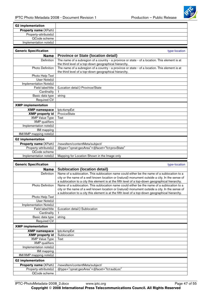

<span id="page-46-0"></span>

| <b>G2</b> implementation                    |                                                                                                  |
|---------------------------------------------|--------------------------------------------------------------------------------------------------|
|                                             |                                                                                                  |
| Property name (XPath)                       |                                                                                                  |
| Property-attribute(s)                       |                                                                                                  |
| QCode scheme                                |                                                                                                  |
| Implementation note(s)                      |                                                                                                  |
|                                             |                                                                                                  |
| <b>Generic Specification</b>                | type-location                                                                                    |
| <b>Name</b>                                 | <b>Province or State {location detail}</b>                                                       |
| Definition                                  | The name of a subregion of a country - a province or state - of a location. This element is at   |
|                                             | the third level of a top-down geographical hierarchy.                                            |
| <b>Photo Definition</b>                     | The name of a subregion of a country - a province or state - of a location. This element is at   |
|                                             | the third level of a top-down geographical hierarchy.                                            |
| Photo Help Text                             |                                                                                                  |
| User Note(s)                                |                                                                                                  |
| Implementation Note(s)                      |                                                                                                  |
| Field label/title                           | (Location detail:) Province/State                                                                |
| Cardinality                                 | $\mathbf{1}$                                                                                     |
| Basic data type                             | string                                                                                           |
| Required CV                                 |                                                                                                  |
| <b>XMP</b> implementation                   |                                                                                                  |
| <b>XMP namespace</b>                        | lptc4xmpExt                                                                                      |
| <b>XMP</b> property id                      | ProviceState                                                                                     |
| <b>XMP Value Type</b>                       | Text                                                                                             |
| <b>XMP</b> qualifiers                       |                                                                                                  |
| Implementation note(s)                      |                                                                                                  |
| IIM mapping                                 |                                                                                                  |
| IIM/XMP mapping note(s)                     |                                                                                                  |
| <b>G2</b> implementation                    |                                                                                                  |
| Property name (XPath)                       | /newsltem/contentMeta/subject/                                                                   |
| Property-attribute(s)                       | @type="cpnat:geoArea"+@facet="fct:provState"                                                     |
|                                             |                                                                                                  |
|                                             |                                                                                                  |
| QCode scheme                                |                                                                                                  |
| Implementation note(s)                      | Mapping for Location Shown in the Image only                                                     |
|                                             |                                                                                                  |
| <b>Generic Specification</b>                | type-location                                                                                    |
| <b>Name</b>                                 | <b>Sublocation {location detail}</b>                                                             |
| Definition                                  | Name of a sublocation. This sublocation name could either be the name of a sublocation to a      |
|                                             | city or the name of a well known location or (natural) monument outside a city. In the sense of  |
|                                             | a sublocation to a city this element is at the fifth level of a top-down geographical hierarchy. |
| Photo Definition                            | Name of a sublocation. This sublocation name could either be the name of a sublocation to a      |
|                                             | city or the name of a well known location or (natural) monument outside a city. In the sense of  |
|                                             | a sublocation to a city this element is at the fifth level of a top-down geographical hierarchy. |
| Photo Help Text<br>User Note(s)             |                                                                                                  |
|                                             |                                                                                                  |
| Implementation Note(s)<br>Field label/title | (Location detail:) Sublocation                                                                   |
| Cardinality                                 | 1                                                                                                |
| Basic data type                             | string                                                                                           |
| <b>Required CV</b>                          |                                                                                                  |
|                                             |                                                                                                  |
| <b>XMP</b> implementation                   |                                                                                                  |
| <b>XMP namespace</b>                        | lptc4xmpExt                                                                                      |
| <b>XMP</b> property id                      | Sublocation                                                                                      |
| <b>XMP Value Type</b>                       | Text                                                                                             |
| <b>XMP</b> qualifiers                       |                                                                                                  |
| Implementation note(s)                      |                                                                                                  |
| IIM mapping                                 |                                                                                                  |
| IIM/XMP mapping note(s)                     |                                                                                                  |
| <b>G2 implementation</b>                    |                                                                                                  |
| <b>Property name (XPath)</b>                | /newsltem/contentMeta/subject/                                                                   |
| Property-attribute(s)<br>QCode scheme       | @type="cpnat:geoArea"+@facet="fct:subLoc"                                                        |

IPTC-PhotoMetadata-2008\_2.docx www.iptc.org Page 47 of 55

**Copyright** © **2008 International Press Telecommunications Council. All Rights Reserved**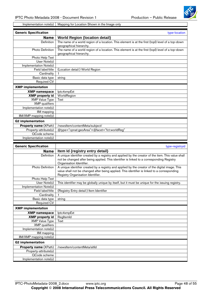

<span id="page-47-0"></span>Implementation note(s) | Mapping for Location Shown in the Image only

| <b>Generic Specification</b> | type-location                                                                                                                |
|------------------------------|------------------------------------------------------------------------------------------------------------------------------|
| <b>Name</b>                  | <b>World Region {location detail}</b>                                                                                        |
| Definition                   | The name of a world region of a location. This element is at the first (topl) level of a top-down<br>geographical hierarchy. |
| Photo Definition             | The name of a world region of a location. This element is at the first (topl) level of a top-down<br>geographical hierarchy. |
| Photo Help Text              |                                                                                                                              |
| User Note(s)                 |                                                                                                                              |
| Implementation Note(s)       |                                                                                                                              |
| Field label/title            | (Location detail:) World Region                                                                                              |
| Cardinality                  | 1                                                                                                                            |
| Basic data type              | string                                                                                                                       |
| Required CV                  |                                                                                                                              |
| <b>XMP</b> implementation    |                                                                                                                              |
| <b>XMP</b> namespace         | lptc4xmpExt                                                                                                                  |
| <b>XMP</b> property id       | WorldRegion                                                                                                                  |
| <b>XMP</b> Value Type        | Text                                                                                                                         |
| <b>XMP</b> qualifiers        |                                                                                                                              |
| Implementation note(s)       |                                                                                                                              |
| IIM mapping                  |                                                                                                                              |
| IIM/XMP mapping note(s)      |                                                                                                                              |
| <b>G2</b> implementation     |                                                                                                                              |
| <b>Property name (XPath)</b> | /newsltem/contentMeta/subject/                                                                                               |
| Property-attribute(s)        | @type="cpnat:geoArea"+@facet="fct:worldReg"                                                                                  |
| QCode scheme                 |                                                                                                                              |
| Implementation note(s)       |                                                                                                                              |
|                              |                                                                                                                              |
| <b>Generic Specification</b> | type-registryid                                                                                                              |
| <b>Name</b>                  | Item Id {registry entry detail}                                                                                              |
| Definition                   | A unique identifier created by a registry and applied by the creator of the item. This value shall                           |
|                              | not be changed after being applied. This identifier is linked to a corresponding Registry                                    |
|                              | Organisation Identifier.                                                                                                     |
| <b>Photo Definition</b>      | A unique identifier created by a registry and applied by the creator of the digital image. This                              |
|                              | value shall not be changed after being applied. This identifier is linked to a corresponding                                 |
|                              | Registry Organisation Identifier.                                                                                            |
| Photo Help Text              |                                                                                                                              |
| User Note(s)                 | This identifier may be globally unique by itself, but it must be unique for the issuing registry.                            |
| Implementation Note(s)       |                                                                                                                              |

| <b>Photo Definition</b>      | A unique identifier created by a registry and applied by the creator of the digital image. This   |
|------------------------------|---------------------------------------------------------------------------------------------------|
|                              | value shall not be changed after being applied. This identifier is linked to a corresponding      |
|                              | Registry Organisation Identifier.                                                                 |
| Photo Help Text              |                                                                                                   |
| User Note(s)                 | This identifier may be globally unique by itself, but it must be unique for the issuing registry. |
| Implementation Note(s)       |                                                                                                   |
| Field label/title            | (Registry Entry detail:) Item Identifier                                                          |
| Cardinality                  |                                                                                                   |
| Basic data type              | string                                                                                            |
| Required CV                  |                                                                                                   |
| <b>XMP</b> implementation    |                                                                                                   |
| <b>XMP namespace</b>         | lptc4xmpExt                                                                                       |
| <b>XMP</b> property id       | RegltemId                                                                                         |
| <b>XMP Value Type</b>        | Text                                                                                              |
| <b>XMP</b> qualifiers        |                                                                                                   |
| Implementation note(s)       |                                                                                                   |
| IIM mapping                  |                                                                                                   |
| IIM/XMP mapping note(s)      |                                                                                                   |
| <b>G2 implementation</b>     |                                                                                                   |
| <b>Property name (XPath)</b> | /newsltem/contentMeta/altId                                                                       |
| Property-attribute(s)        |                                                                                                   |
| QCode scheme                 |                                                                                                   |
| Implementation note(s)       |                                                                                                   |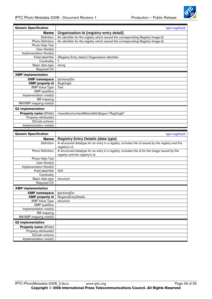Implementation note(s)



<span id="page-48-0"></span>

| <b>Generic Specification</b>                             | type-registryid                                                                                                                               |
|----------------------------------------------------------|-----------------------------------------------------------------------------------------------------------------------------------------------|
| <b>Name</b>                                              | Organisation Id {registry entry detail}                                                                                                       |
| Definition                                               | An identifier for the registry which issued the corresponding Registry Image Id.                                                              |
| Photo Definition                                         | An identifier for the registry which issued the corresponding Registry Image Id.                                                              |
| Photo Help Text                                          |                                                                                                                                               |
| $\overline{Use}$ Note(s)                                 |                                                                                                                                               |
| Implementation Note(s)                                   |                                                                                                                                               |
| Field label/title                                        | (Registry Entry detail:) Organisation Identifier                                                                                              |
| Cardinality                                              |                                                                                                                                               |
| Basic data type                                          | string                                                                                                                                        |
| <b>Required CV</b>                                       |                                                                                                                                               |
| <b>XMP</b> implementation                                |                                                                                                                                               |
| <b>XMP</b> namespace                                     | lptc4xmpExt                                                                                                                                   |
| <b>XMP</b> property id                                   | RegOrgId                                                                                                                                      |
| <b>XMP Value Type</b>                                    | Text                                                                                                                                          |
| <b>XMP</b> qualifiers                                    |                                                                                                                                               |
| Implementation note(s)                                   |                                                                                                                                               |
| IIM mapping                                              |                                                                                                                                               |
| IIM/XMP mapping note(s)                                  |                                                                                                                                               |
| <b>G2 implementation</b>                                 |                                                                                                                                               |
| Property name (XPath)                                    | /newsltem/contentMeta/altId/@type="RegOrgId"                                                                                                  |
| Property-attribute(s)                                    |                                                                                                                                               |
| QCode scheme                                             |                                                                                                                                               |
| Implementation note(s)                                   |                                                                                                                                               |
|                                                          |                                                                                                                                               |
|                                                          |                                                                                                                                               |
| <b>Generic Specification</b>                             | type-registryid                                                                                                                               |
| <b>Name</b>                                              |                                                                                                                                               |
| Definition                                               | <b>Registry Entry Details {data type}</b><br>A structured datatype for an entry in a registry, includes the id issued by the registry and the |
|                                                          | registry's id.                                                                                                                                |
| Photo Definition                                         | A structured datatype for an entry in a registry, includes the id for the image issued by the                                                 |
|                                                          | registry and the registry's id.                                                                                                               |
| Photo Help Text                                          |                                                                                                                                               |
| User Note(s)                                             |                                                                                                                                               |
| Implementation Note(s)                                   |                                                                                                                                               |
| Field label/title                                        | N/A                                                                                                                                           |
| Cardinality                                              |                                                                                                                                               |
| Basic data type                                          | structure                                                                                                                                     |
| <b>Required CV</b>                                       |                                                                                                                                               |
| <b>XMP</b> implementation                                |                                                                                                                                               |
| <b>XMP</b> namespace                                     | lptc4xmpExt                                                                                                                                   |
| <b>XMP</b> property id                                   | RegistryEntryDetails                                                                                                                          |
| <b>XMP Value Type</b>                                    | structure                                                                                                                                     |
| <b>XMP</b> qualifiers                                    |                                                                                                                                               |
| Implementation note(s)                                   |                                                                                                                                               |
| <b>IIM</b> mapping                                       |                                                                                                                                               |
| IIM/XMP mapping note(s)                                  |                                                                                                                                               |
|                                                          |                                                                                                                                               |
| <b>G2</b> implementation<br><b>Property name (XPath)</b> |                                                                                                                                               |
| Property-attribute(s)                                    |                                                                                                                                               |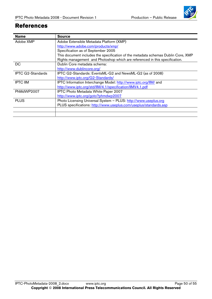

### <span id="page-49-0"></span>**References**

| <b>Name</b>              | <b>Source</b>                                                                     |
|--------------------------|-----------------------------------------------------------------------------------|
| Adobe XMP                | Adobe Extensible Metadata Platform (XMP)                                          |
|                          | http://www.adobe.com/products/xmp/                                                |
|                          | Specification as of September 2005                                                |
|                          | This document includes the specification of the metadata schemas Dublin Core, XMP |
|                          | Rights management and Photoshop which are referenced in this specification.       |
| <b>DC</b>                | Dublin Core metadata schema:                                                      |
|                          | http://www.dublincore.org/                                                        |
| <b>IPTC G2-Standards</b> | IPTC G2-Standards: EventsML-G2 and NewsML-G2 (as of 2008)                         |
|                          | http://www.iptc.org/G2-Standards/                                                 |
| <b>IPTC IIM</b>          | IPTC Information Interchange Model: http://www.iptc.org/IIM/ and                  |
|                          | http://www.iptc.org/std/llM/4.1/specification/llMV4.1.pdf                         |
| PhMdWP2007               | IPTC Photo Metadata White Paper 2007                                              |
|                          | http://www.iptc.org/goto?phmdwp2007                                               |
| <b>PLUS</b>              | Photo Licensing Universal System - PLUS: http://www.useplus.org                   |
|                          | PLUS specifications: http://www.useplus.com/useplus/standards.asp                 |
|                          |                                                                                   |
|                          |                                                                                   |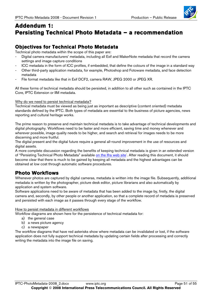

# <span id="page-50-0"></span>**Addendum 1: Persisting Technical Photo Metadata – a recommendation**

#### **Objectives for Technical Photo Metadata**

Technical photo metadata within the scope of this paper are:

- Digital camera manufacturers' metadata, including all Exif and MakerNote metadata that record the camera settings and image capture conditions
- ICC metadata in the form of ICC profiles, if embedded, that define the colours of the image in a standard way
- Other third-party application metadata, for example, Photoshop and Fotoware metadata, and face detection metadata
- File format metadata like that in Exif DCF2, camera RAW, JPEG 2000 or JPEG XR.

All these forms of technical metadata should be persisted, in addition to all other such as contained in the IPTC Core, IPTC Extension or IIM metadata.

Why do we need to persist technical metadata?

Technical metadata must be viewed as being just as important as descriptive (content oriented) metadata standards defined by the IPTC. Both types of metadata are essential to the business of picture agencies, news reporting and cultural heritage works.

The prime reason to preserve and maintain technical metadata is to take advantage of technical developments and digital photography. Workflows need to be faster and more efficient, saving time and money whenever and wherever possible, image quality needs to be higher, and search and retrieval for images needs to be more discerning and more fruitful.

The digital present and the digital future require a general all-round improvement in the use of resources and digital assets.

A more complete discussion regarding the benefits of keeping technical metadata is given in an extended version of "Pers[i](#page-54-0)sting Technical Photo Metadata" available <u>on the Ifra web site</u><sup>i</sup>. After reading this document, it should become clear that there is much to be gained by keeping all metadata and the highest advantages can be obtained at low cost through automatic software procedures.

## **Photo Workflows**

Whenever photos are captured by digital cameras, metadata is written into the image file. Subsequently, additional metadata is written by the photographer, picture desk editor, picture librarians and also automatically by application and system software.

Software applications need to be aware of metadata that has been added to the image by, firstly, the digital camera and, secondly, by other people or another application, so that a complete record of metadata is preserved and persisted with each image as it passes through every stage of the workflow.

#### How to persist metadata in different workflows

Workflow diagrams are shown here for the persistence of technical metadata for:

- a) the general case
- b) a news picture agency
- c) a newspaper

The workflow diagrams that have red asterisks show where metadata can be invalidated or lost, if the software application does not fully support technical metadata by updating certain fields after processing and correctly writing the metadata into the image file on saving.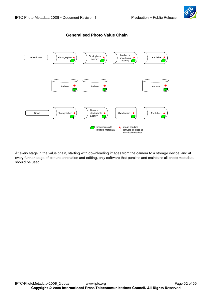



At every stage in the value chain, starting with downloading images from the camera to a storage device, and at every further stage of picture annotation and editing, only software that persists and maintains all photo metadata should be used.

#### IPTC-PhotoMetadata-2008 2.docx www.iptc.org Page 52 of 55 **Copyright** © **2008 International Press Telecommunications Council. All Rights Reserved**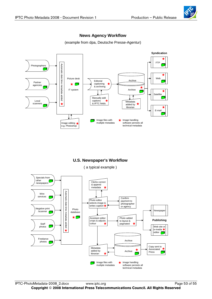



#### **News Agency Workflow**

(example from dpa, Deutsche Presse-Agentur)

#### **U.S. Newspaper's Workflow**

( a typical example )

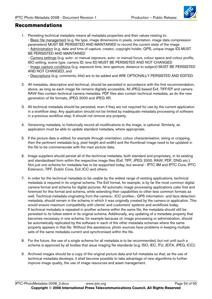#### <span id="page-53-0"></span>**Recommendations**

1. Persisting technical metadata means all metadata properties and their values relating to: - Basic file management (e.g. file type, image dimensions in pixels, orientation, image data compression parameters) MUST BE PERSISTED AND MAINTAINED to record the current state of the image - Administration (e.g. date and time of capture, creator, copyright holder, GPS, unique image ID) MUST BE PERSISTED AND MAINTAINED

- Camera settings (e.g. auto- or manual exposure, auto- or manual focus, colour space and colour profile, ISO setting, scene type, camera ID, lens ID) MUST BE PERSISTED AND NOT CHANGED

- Image capture conditions (e.g. exposure time, lens aperture, distance to subject) MUST BE PERSISTED AND NOT CHANGED, and

- Descriptions (e.g. comments, title) are to be added and ARE OPTIONALLY PERSISTED AND EDITED.

- 2. All metadata, descriptive and technical, should be persisted in accordance with the first recommendation, above, as long as each image file remains digitally accessible. All JPEG-based Exif, TIFF/EP and camera RAW files contain technical camera metadata. PDF files also contain technical metadata, as do the new generation of file formats, JPEG 2000 and JPEG XR.
- 3. All technical metadata should be persisted, even if they are not required for use by the current application in a workflow step. Any application should not be limited by inadequate metadata processing of software in a previous workflow step. It should not remove any property.
- 4. Versioning metadata, to historically record all modifications to the image, is optional. Similarly, an application must be able to update standard metadata, where appropriate.
- 5. If the picture data is edited, for example through orientation, colour characterisation, sizing or cropping, then the pertinent metadata (e.g. pixel height and width) and the thumbnail image need to be updated in the file to be commensurate with the main picture data.
- 6. Image suppliers should persist all of the technical metadata, both standard and proprietary, in its existing and standardised form within the respective image files (Exif, TIFF, JPEG 2000, RAW, PDF, DNG etc.). Not just one schema for metadata has to be supported today, but several - IPTC IIM and IPTC Core, IPTC Extension, TIFF, Dublin Core, Exif, ICC and others.
- 7. In order for the technical metadata to be usable by the widest range of existing applications, technical metadata is required in its original schema. The Exif format, for example, is by far the most common digital camera format and schema for digital pictures. All automatic image processing applications cater first and foremost for this format and schema, while extending their capabilities to other less common formats as well. Technical metadata originating from the camera-, ICC profiles-, GPS information- and face detection metadata, should remain in the schema in which it was originally created by the camera or application. This would ensure maximum compatibility with clients' and customers' systems and workflows today. If technical metadata is repeated in another schema within the same file, the metadata should still be persisted to its fullest extent in its original schema. Additionally, any updating of a metadata property that becomes necessary in one schema, for example because of, image processing or administration, should be automatically replicated by the software in each of the other metadata schemas where the same property appears in that file. Without this assistance, photo sources have problems in keeping multiple sets of the same metadata current and synchronised within the file.
- 8. For the future, the use of a single schema for all metadata is to be recommended, but not until such a schema is approved by all bodies that issue imaging file standards (e.g. ISO, IEC, ITU, JEITA, JPEG, ICC).
- 9. Archived images should be a copy of the original picture data and full metadata so that, as the use of technical metadata develops, it shall become possible to take advantage of new algorithms to further improve image quality, the use of image resources and asset management.